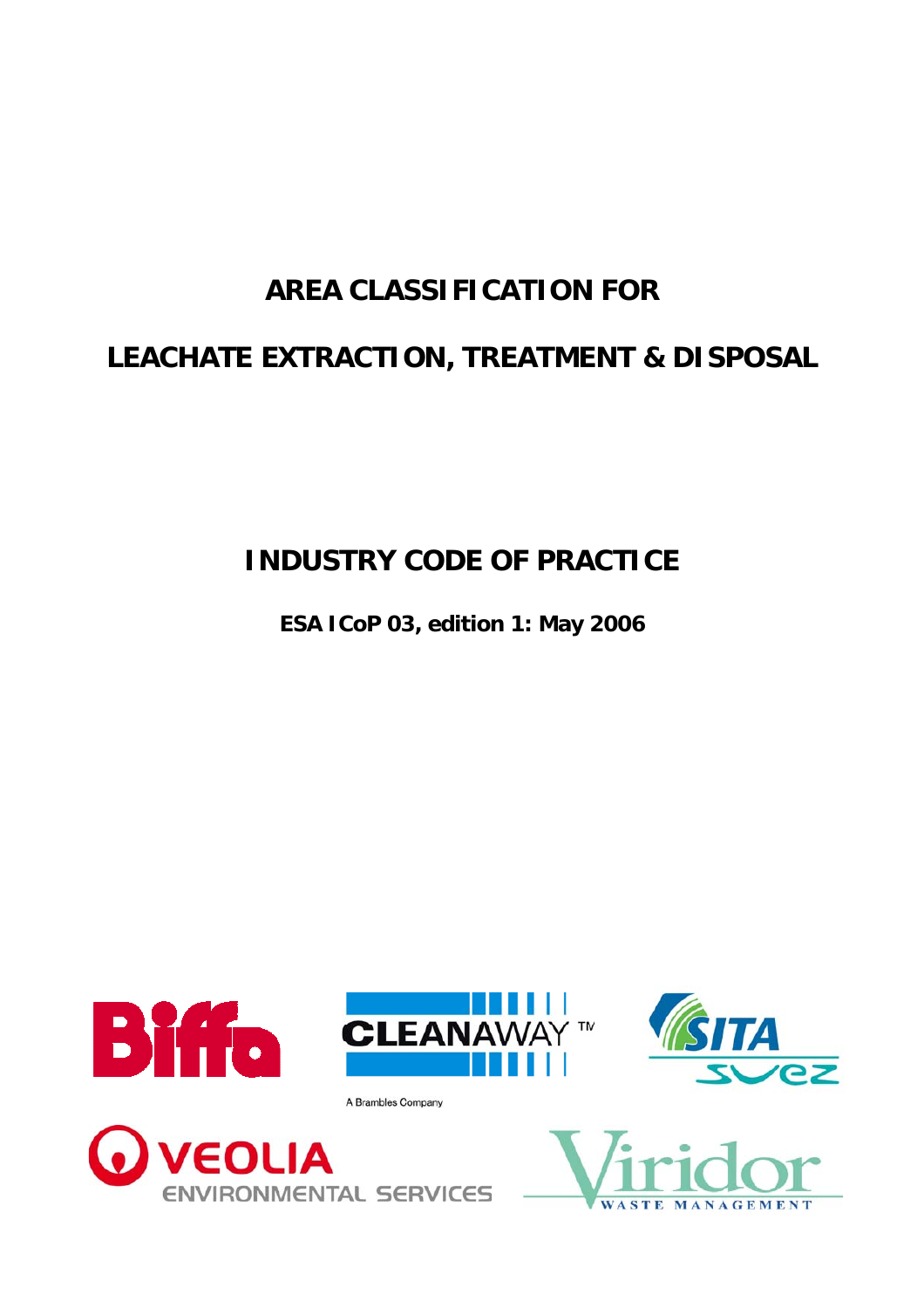# **AREA CLASSIFICATION FOR**

# <span id="page-0-0"></span>**LEACHATE EXTRACTION, TREATMENT & DISPOSAL**

**INDUSTRY CODE OF PRACTICE** 

**ESA ICoP 03, edition 1: May 2006** 

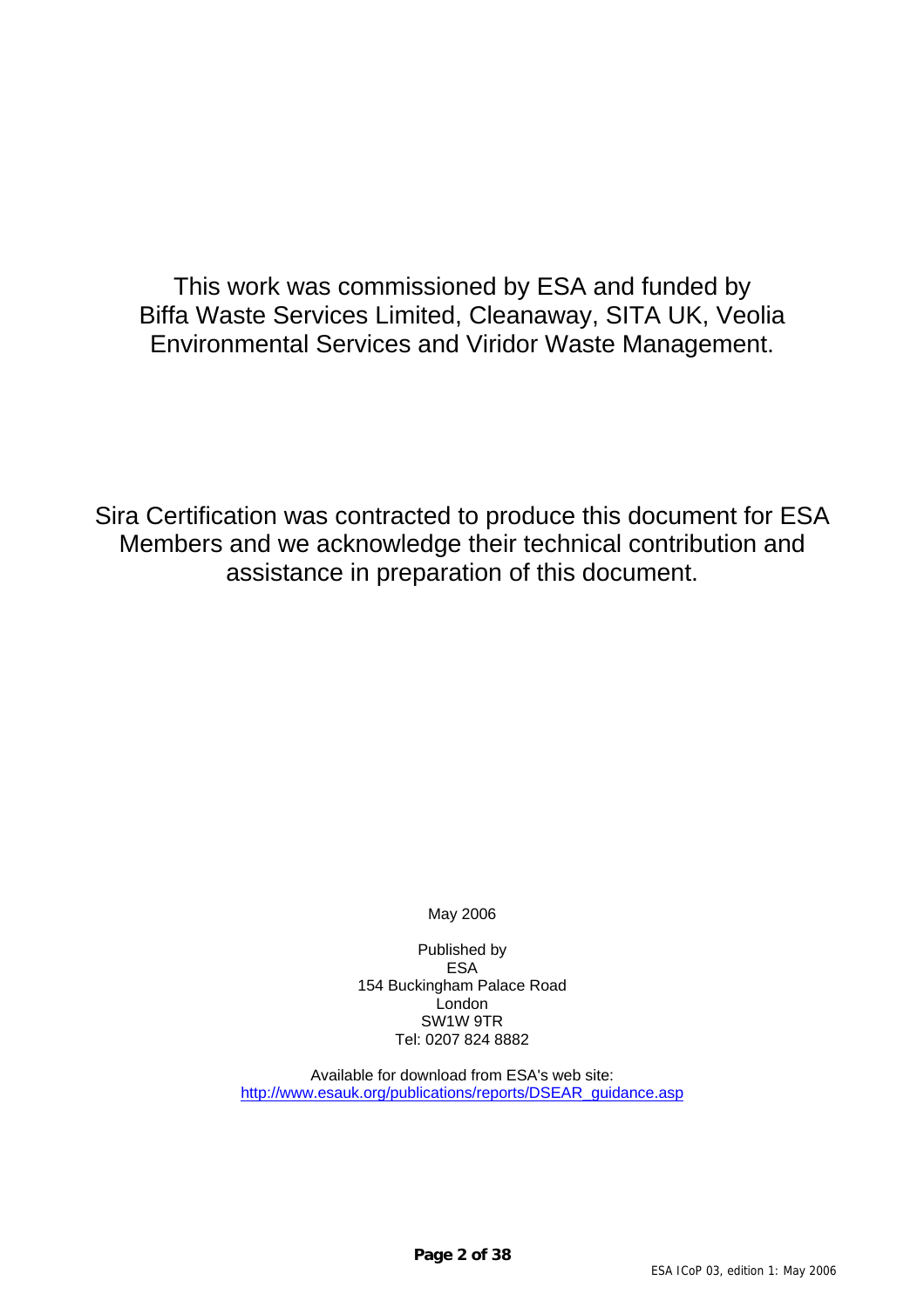This work was commissioned by ESA and funded by Biffa Waste Services Limited, Cleanaway, SITA UK, Veolia Environmental Services and Viridor Waste Management.

Sira Certification was contracted to produce this document for ESA Members and we acknowledge their technical contribution and assistance in preparation of this document.

May 2006

Published by ESA 154 Buckingham Palace Road London SW1W 9TR Tel: 0207 824 8882

Available for download from ESA's web site: [http://www.esauk.org/publications/reports/DSEAR\\_guidance.asp](http://www.esauk.org/publications/reports/DSEAR_guidance.asp)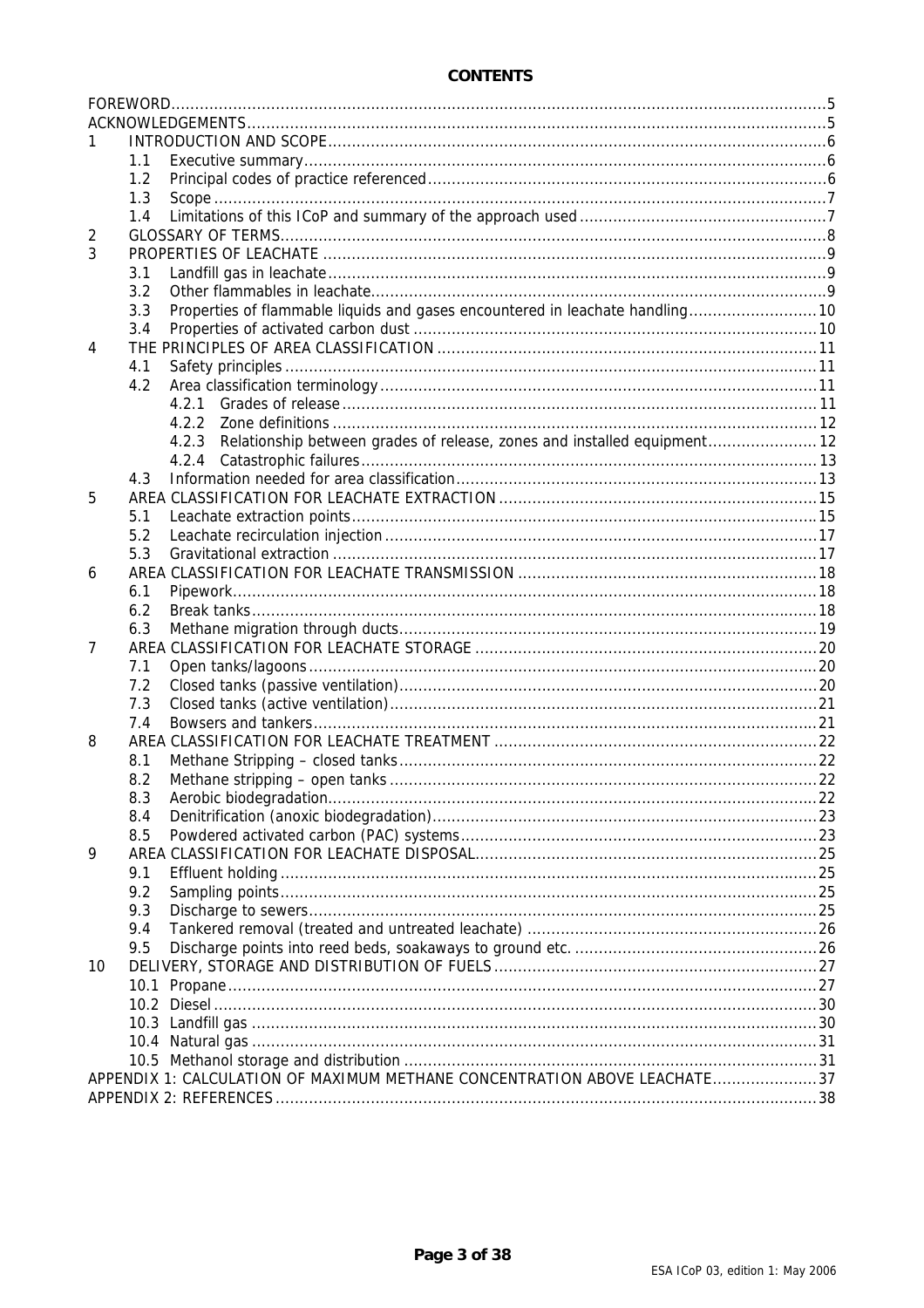|    | 1.1                                                                       |                                                                                   |  |  |  |  |  |
|----|---------------------------------------------------------------------------|-----------------------------------------------------------------------------------|--|--|--|--|--|
|    | 1.2                                                                       |                                                                                   |  |  |  |  |  |
|    | 1.3                                                                       |                                                                                   |  |  |  |  |  |
|    | 1.4                                                                       |                                                                                   |  |  |  |  |  |
| 2  |                                                                           |                                                                                   |  |  |  |  |  |
| 3  |                                                                           |                                                                                   |  |  |  |  |  |
|    | 3.1                                                                       |                                                                                   |  |  |  |  |  |
|    | 3.2                                                                       |                                                                                   |  |  |  |  |  |
|    | 3.3                                                                       | Properties of flammable liquids and gases encountered in leachate handling 10     |  |  |  |  |  |
|    | 3.4                                                                       |                                                                                   |  |  |  |  |  |
| 4  |                                                                           |                                                                                   |  |  |  |  |  |
|    | 4.1                                                                       |                                                                                   |  |  |  |  |  |
|    | 4.2                                                                       |                                                                                   |  |  |  |  |  |
|    |                                                                           | 4.2.1                                                                             |  |  |  |  |  |
|    |                                                                           | 422                                                                               |  |  |  |  |  |
|    |                                                                           | Relationship between grades of release, zones and installed equipment 12<br>4.2.3 |  |  |  |  |  |
|    |                                                                           | 4.2.4                                                                             |  |  |  |  |  |
|    | 4.3                                                                       |                                                                                   |  |  |  |  |  |
| 5  |                                                                           |                                                                                   |  |  |  |  |  |
|    | 5.1                                                                       |                                                                                   |  |  |  |  |  |
|    | 5.2                                                                       |                                                                                   |  |  |  |  |  |
|    | 5.3                                                                       |                                                                                   |  |  |  |  |  |
| 6  |                                                                           |                                                                                   |  |  |  |  |  |
|    | 6.1                                                                       |                                                                                   |  |  |  |  |  |
|    | 6.2                                                                       |                                                                                   |  |  |  |  |  |
|    | 6.3                                                                       |                                                                                   |  |  |  |  |  |
| 7  |                                                                           |                                                                                   |  |  |  |  |  |
|    | 7.1                                                                       |                                                                                   |  |  |  |  |  |
|    | 7.2                                                                       |                                                                                   |  |  |  |  |  |
|    | 7.3                                                                       |                                                                                   |  |  |  |  |  |
|    | 7.4                                                                       |                                                                                   |  |  |  |  |  |
| 8  |                                                                           |                                                                                   |  |  |  |  |  |
|    | 8.1                                                                       |                                                                                   |  |  |  |  |  |
|    | 8.2                                                                       |                                                                                   |  |  |  |  |  |
|    | 8.3                                                                       |                                                                                   |  |  |  |  |  |
|    | 8.4                                                                       |                                                                                   |  |  |  |  |  |
|    | 8.5                                                                       |                                                                                   |  |  |  |  |  |
| 9  |                                                                           |                                                                                   |  |  |  |  |  |
|    | 9.1                                                                       |                                                                                   |  |  |  |  |  |
|    | 9.2                                                                       |                                                                                   |  |  |  |  |  |
|    | 9.3                                                                       |                                                                                   |  |  |  |  |  |
|    | 9.4                                                                       |                                                                                   |  |  |  |  |  |
|    | 9.5                                                                       |                                                                                   |  |  |  |  |  |
| 10 |                                                                           |                                                                                   |  |  |  |  |  |
|    |                                                                           |                                                                                   |  |  |  |  |  |
|    |                                                                           |                                                                                   |  |  |  |  |  |
|    |                                                                           |                                                                                   |  |  |  |  |  |
|    |                                                                           |                                                                                   |  |  |  |  |  |
|    |                                                                           |                                                                                   |  |  |  |  |  |
|    | APPENDIX 1: CALCULATION OF MAXIMUM METHANE CONCENTRATION ABOVE LEACHATE37 |                                                                                   |  |  |  |  |  |
|    |                                                                           |                                                                                   |  |  |  |  |  |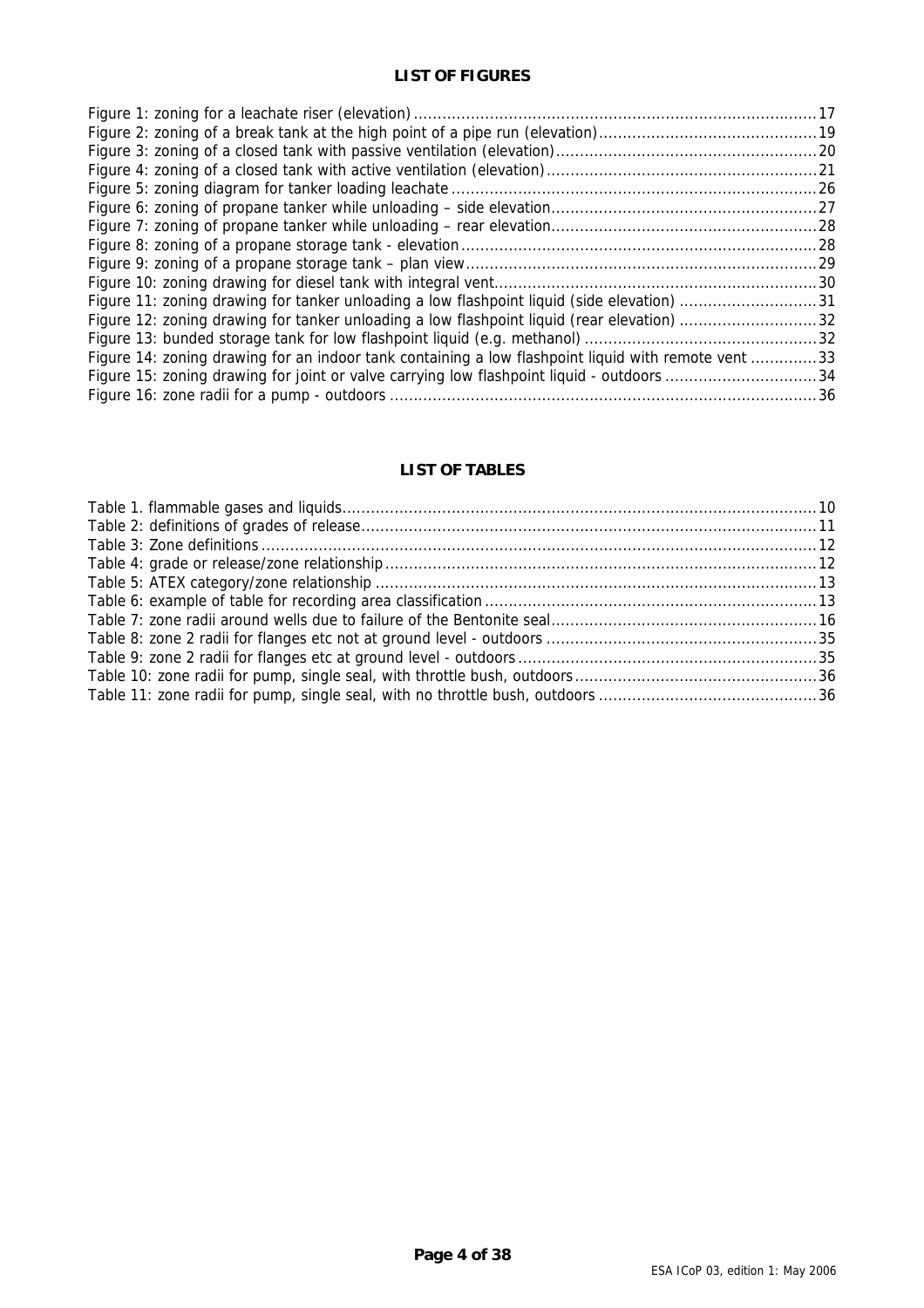### **LIST OF FIGURES**

| Figure 11: zoning drawing for tanker unloading a low flashpoint liquid (side elevation) 31          |  |
|-----------------------------------------------------------------------------------------------------|--|
|                                                                                                     |  |
|                                                                                                     |  |
| Figure 14: zoning drawing for an indoor tank containing a low flashpoint liquid with remote vent 33 |  |
| Figure 15: zoning drawing for joint or valve carrying low flashpoint liquid - outdoors 34           |  |
|                                                                                                     |  |

# **LIST OF TABLES**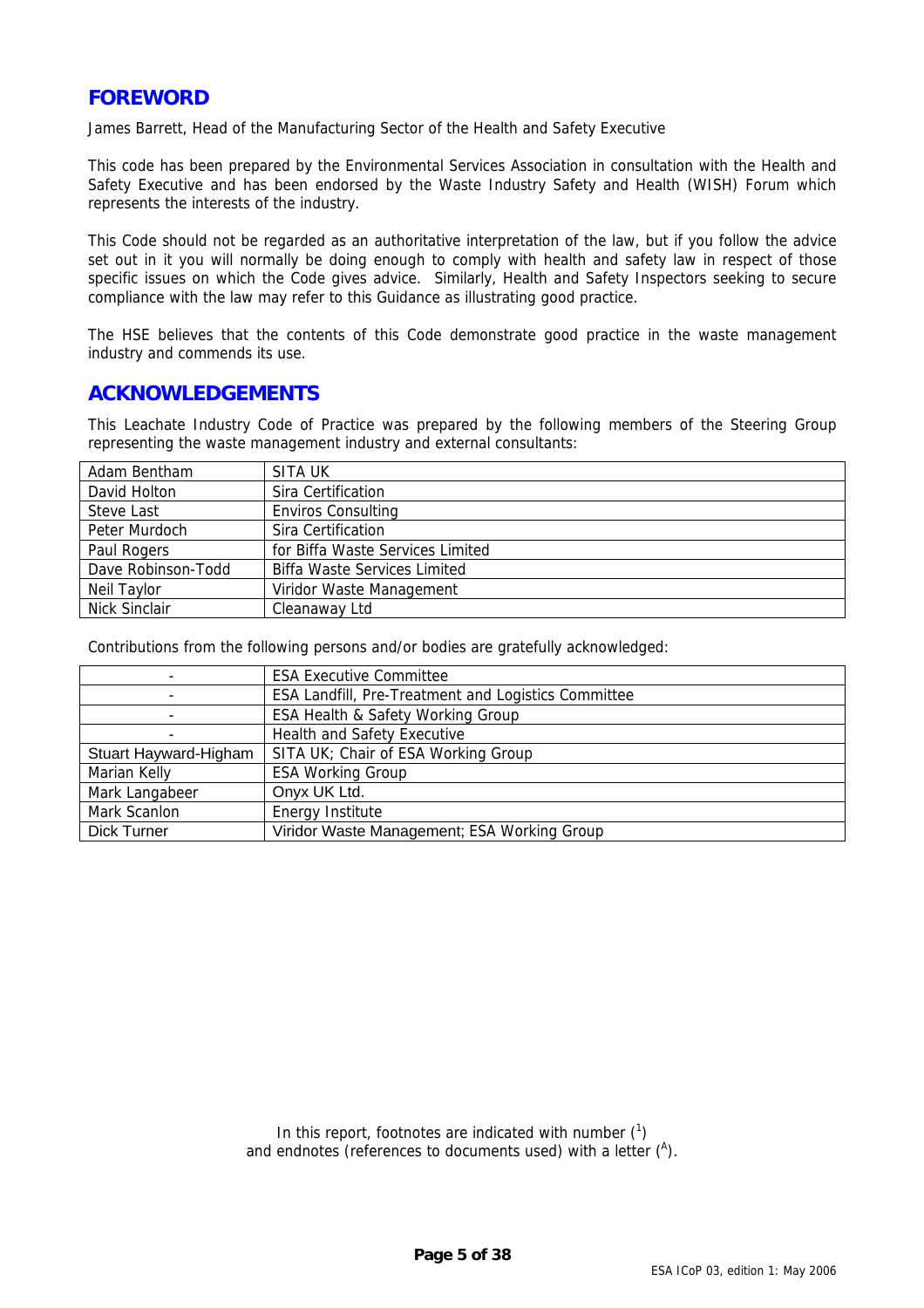# <span id="page-4-0"></span>**FOREWORD**

James Barrett, Head of the Manufacturing Sector of the Health and Safety Executive

This code has been prepared by the Environmental Services Association in consultation with the Health and Safety Executive and has been endorsed by the Waste Industry Safety and Health (WISH) Forum which represents the interests of the industry.

This Code should not be regarded as an authoritative interpretation of the law, but if you follow the advice set out in it you will normally be doing enough to comply with health and safety law in respect of those specific issues on which the Code gives advice. Similarly, Health and Safety Inspectors seeking to secure compliance with the law may refer to this Guidance as illustrating good practice.

The HSE believes that the contents of this Code demonstrate good practice in the waste management industry and commends its use.

# **ACKNOWLEDGEMENTS**

This Leachate Industry Code of Practice was prepared by the following members of the Steering Group representing the waste management industry and external consultants:

| Adam Bentham       | SITA UK                             |  |  |  |
|--------------------|-------------------------------------|--|--|--|
| David Holton       | Sira Certification                  |  |  |  |
| Steve Last         | <b>Enviros Consulting</b>           |  |  |  |
| Peter Murdoch      | Sira Certification                  |  |  |  |
| Paul Rogers        | for Biffa Waste Services Limited    |  |  |  |
| Dave Robinson-Todd | <b>Biffa Waste Services Limited</b> |  |  |  |
| Neil Taylor        | Viridor Waste Management            |  |  |  |
| Nick Sinclair      | Cleanaway Ltd                       |  |  |  |

Contributions from the following persons and/or bodies are gratefully acknowledged:

|                       | <b>ESA Executive Committee</b>                             |  |  |  |
|-----------------------|------------------------------------------------------------|--|--|--|
|                       | <b>ESA Landfill, Pre-Treatment and Logistics Committee</b> |  |  |  |
|                       | ESA Health & Safety Working Group                          |  |  |  |
|                       | <b>Health and Safety Executive</b>                         |  |  |  |
| Stuart Hayward-Higham | SITA UK; Chair of ESA Working Group                        |  |  |  |
| Marian Kelly          | <b>ESA Working Group</b>                                   |  |  |  |
| Mark Langabeer        | Onyx UK Ltd.                                               |  |  |  |
| Mark Scanlon          | Energy Institute                                           |  |  |  |
| Dick Turner           | Viridor Waste Management; ESA Working Group                |  |  |  |

In this report, footnotes are indicated with number  $(1)$ and endnotes (references to documents used) with a letter  $(^{A})$ .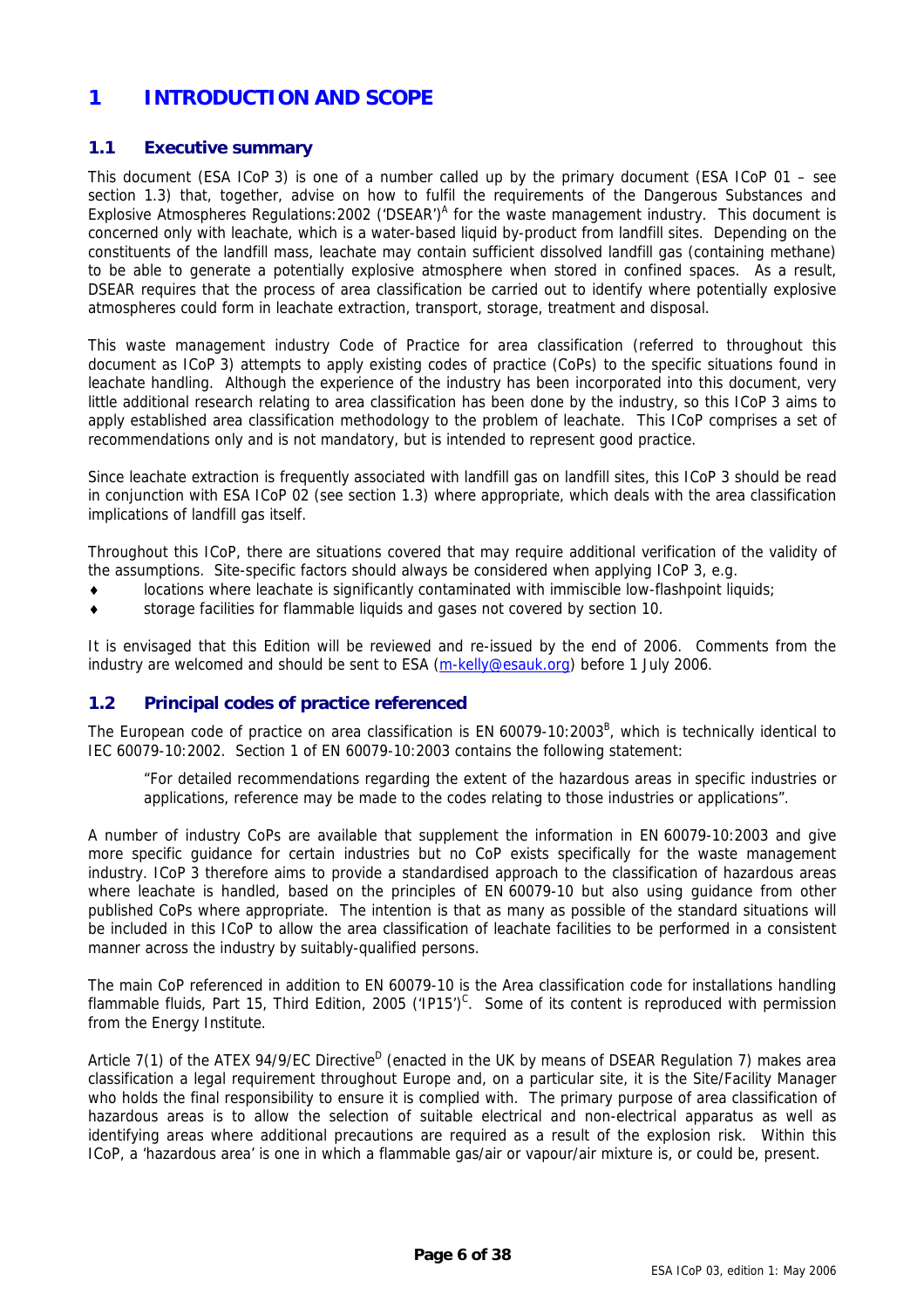# <span id="page-5-0"></span>**1 INTRODUCTION AND SCOPE**

### **1.1 Executive summary**

<span id="page-5-1"></span>This document (ESA ICoP 3) is one of a number called up by the primary document (ESA ICoP 01 – see section 1.3) that, together, advise on how to fulfil the requirements of the Dangerous Substances and Explosive [A](#page-37-1)tmospheres Regulations: 2002 ('DSEAR')<sup>A</sup> for the waste management industry. This document is concerned only with leachate, which is a water-based liquid by-product from landfill sites. Depending on the constituents of the landfill mass, leachate may contain sufficient dissolved landfill gas (containing methane) to be able to generate a potentially explosive atmosphere when stored in confined spaces. As a result, DSEAR requires that the process of area classification be carried out to identify where potentially explosive atmospheres could form in leachate extraction, transport, storage, treatment and disposal.

This waste management industry Code of Practice for area classification (referred to throughout this document as [ICoP 3\)](#page-5-1) attempts to apply existing codes of practice (CoPs) to the specific situations found in leachate handling. Although the experience of the industry has been incorporated into this document, very little additional research relating to area classification has been done by the industry, so this [ICoP 3](#page-5-1) aims to apply established area classification methodology to the problem of leachate. This ICoP comprises a set of recommendations only and is not mandatory, but is intended to represent good practice.

Since leachate extraction is frequently associated with landfill gas on landfill sites, this [ICoP 3](#page-5-1) should be read in conjunction with ESA ICoP 02 (see section 1.3) where appropriate, which deals with the area classification implications of landfill gas itself.

Throughout this ICoP, there are situations covered that may require additional verification of the validity of the assumptions. Site-specific factors should always be considered when applying [ICoP 3,](#page-5-1) e.g.

- locations where leachate is significantly contaminated with immiscible low-flashpoint liquids;
- ♦ storage facilities for flammable liquids and gases not covered by section [10.](#page-26-1)

It is envisaged that this Edition will be reviewed and re-issued by the end of 2006. Comments from the industry are welcomed and should be sent to ESA [\(m-kelly@esauk.org](mailto:m-kelly@esauk.org)) before 1 July 2006.

# **1.2 Principal codes of practice referenced**

The European code of practice on area classification is EN 60079-10:2003<sup>[B](#page-37-2)</sup>, which is technically identical to IEC 60079-10:2002. Section 1 of EN 60079-10:2003 contains the following statement:

"For detailed recommendations regarding the extent of the hazardous areas in specific industries or applications, reference may be made to the codes relating to those industries or applications".

A number of industry CoPs are available that supplement the information in EN 60079-10:2003 and give more specific guidance for certain industries but no CoP exists specifically for the waste management industry. [ICoP 3](#page-5-1) therefore aims to provide a standardised approach to the classification of hazardous areas where leachate is handled, based on the principles of EN 60079-10 but also using guidance from other published CoPs where appropriate. The intention is that as many as possible of the standard situations will be included in this ICoP to allow the area classification of leachate facilities to be performed in a consistent manner across the industry by suitably-qualified persons.

The main CoP referenced in addition to EN 60079-10 is the Area classification code for installations handling flammable fluids, Part 15, Third Edition, 2005 ('IP15')<sup>[C](#page-37-3)</sup>. Some of its content is reproduced with permission from the Energy Institute.

Article 7(1) of the ATEX 94/9/EC [D](#page-37-4)irective<sup>D</sup> (enacted in the UK by means of DSEAR Regulation 7) makes area classification a legal requirement throughout Europe and, on a particular site, it is the Site/Facility Manager who holds the final responsibility to ensure it is complied with. The primary purpose of area classification of hazardous areas is to allow the selection of suitable electrical and non-electrical apparatus as well as identifying areas where additional precautions are required as a result of the explosion risk. Within this ICoP, a 'hazardous area' is one in which a flammable gas/air or vapour/air mixture is, or could be, present.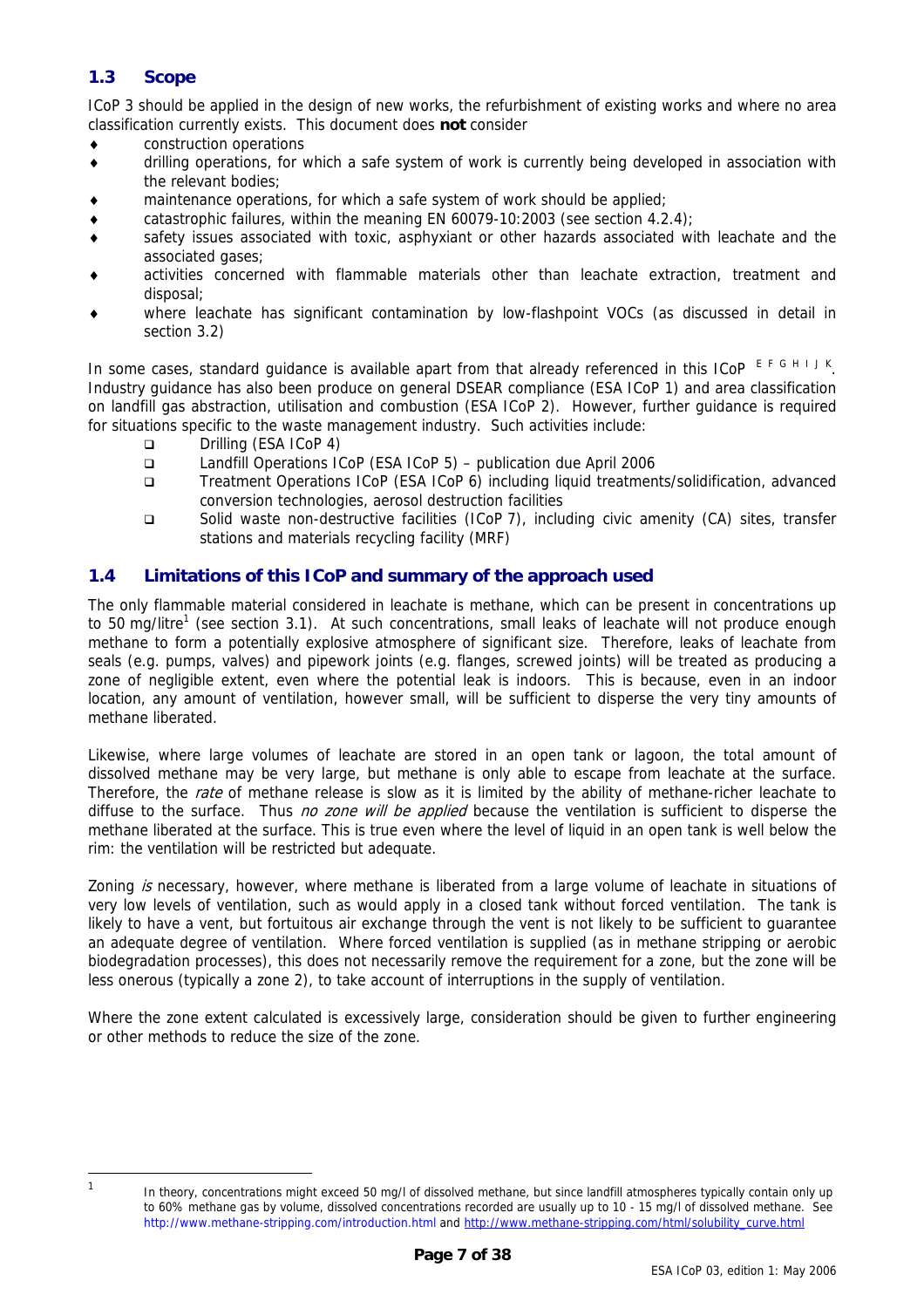# <span id="page-6-0"></span>**1.3 Scope**

[ICoP 3](#page-5-1) should be applied in the design of new works, the refurbishment of existing works and where no area classification currently exists. This document does **not** consider

- ♦ construction operations
- ♦ drilling operations, for which a safe system of work is currently being developed in association with the relevant bodies;
- maintenance operations, for which a safe system of work should be applied;
- catastrophic failures, within the meaning EN 60079-10:2003 (see section [4.2.4\)](#page-12-1);
- safety issues associated with toxic, asphyxiant or other hazards associated with leachate and the associated gases;
- activities concerned with flammable materials other than leachate extraction, treatment and disposal;
- where leachate has significant contamination by low-flashpoint VOCs (as discussed in detail in section [3.2\)](#page-8-1)

[I](#page-37-9)n some cases, standard guidance is available apart from that already referenced in this ICoP  $EFGHHJK$  $EFGHHJK$  $EFGHHJK$  $EFGHHJK$  $EFGHHJK$  $EFGHHJK$  $EFGHHJK$ . Industry guidance has also been produce on general DSEAR compliance (ESA ICoP 1) and area classification on landfill gas abstraction, utilisation and combustion (ESA ICoP 2). However, further guidance is required for situations specific to the waste management industry. Such activities include:

- Drilling (ESA ICoP 4)
- Landfill Operations ICoP (ESA ICoP 5) publication due April 2006
- Treatment Operations ICoP (ESA ICoP 6) including liquid treatments/solidification, advanced conversion technologies, aerosol destruction facilities
- Solid waste non-destructive facilities (ICoP 7), including civic amenity (CA) sites, transfer stations and materials recycling facility (MRF)

### <span id="page-6-2"></span>**1.4 Limitations of this ICoP and summary of the approach used**

The only flammable material considered in leachate is methane, which can be present in concentrations up to 50 mg/litre<sup>[1](#page-6-1)</sup> (see section [3.1\)](#page-8-2). At such concentrations, small leaks of leachate will not produce enough methane to form a potentially explosive atmosphere of significant size. Therefore, leaks of leachate from seals (e.g. pumps, valves) and pipework joints (e.g. flanges, screwed joints) will be treated as producing a zone of negligible extent, even where the potential leak is indoors. This is because, even in an indoor location, any amount of ventilation, however small, will be sufficient to disperse the very tiny amounts of methane liberated.

Likewise, where large volumes of leachate are stored in an open tank or lagoon, the total amount of dissolved methane may be very large, but methane is only able to escape from leachate at the surface. Therefore, the *rate* of methane release is slow as it is limited by the ability of methane-richer leachate to diffuse to the surface. Thus no zone will be applied because the ventilation is sufficient to disperse the methane liberated at the surface. This is true even where the level of liquid in an open tank is well below the rim: the ventilation will be restricted but adequate.

Zoning is necessary, however, where methane is liberated from a large volume of leachate in situations of very low levels of ventilation, such as would apply in a closed tank without forced ventilation. The tank is likely to have a vent, but fortuitous air exchange through the vent is not likely to be sufficient to guarantee an adequate degree of ventilation. Where forced ventilation is supplied (as in methane stripping or aerobic biodegradation processes), this does not necessarily remove the requirement for a zone, but the zone will be less onerous (typically a zone 2), to take account of interruptions in the supply of ventilation.

Where the zone extent calculated is excessively large, consideration should be given to further engineering or other methods to reduce the size of the zone.

<span id="page-6-1"></span><sup>|&</sup>lt;br>1

In theory, concentrations might exceed 50 mg/l of dissolved methane, but since landfill atmospheres typically contain only up to 60% methane gas by volume, dissolved concentrations recorded are usually up to 10 - 15 mg/l of dissolved methane. See <http://www.methane-stripping.com/introduction.html>and [http://www.methane-stripping.com/html/solubility\\_curve.html](http://www.methane-stripping.com/html/solubility_curve.html)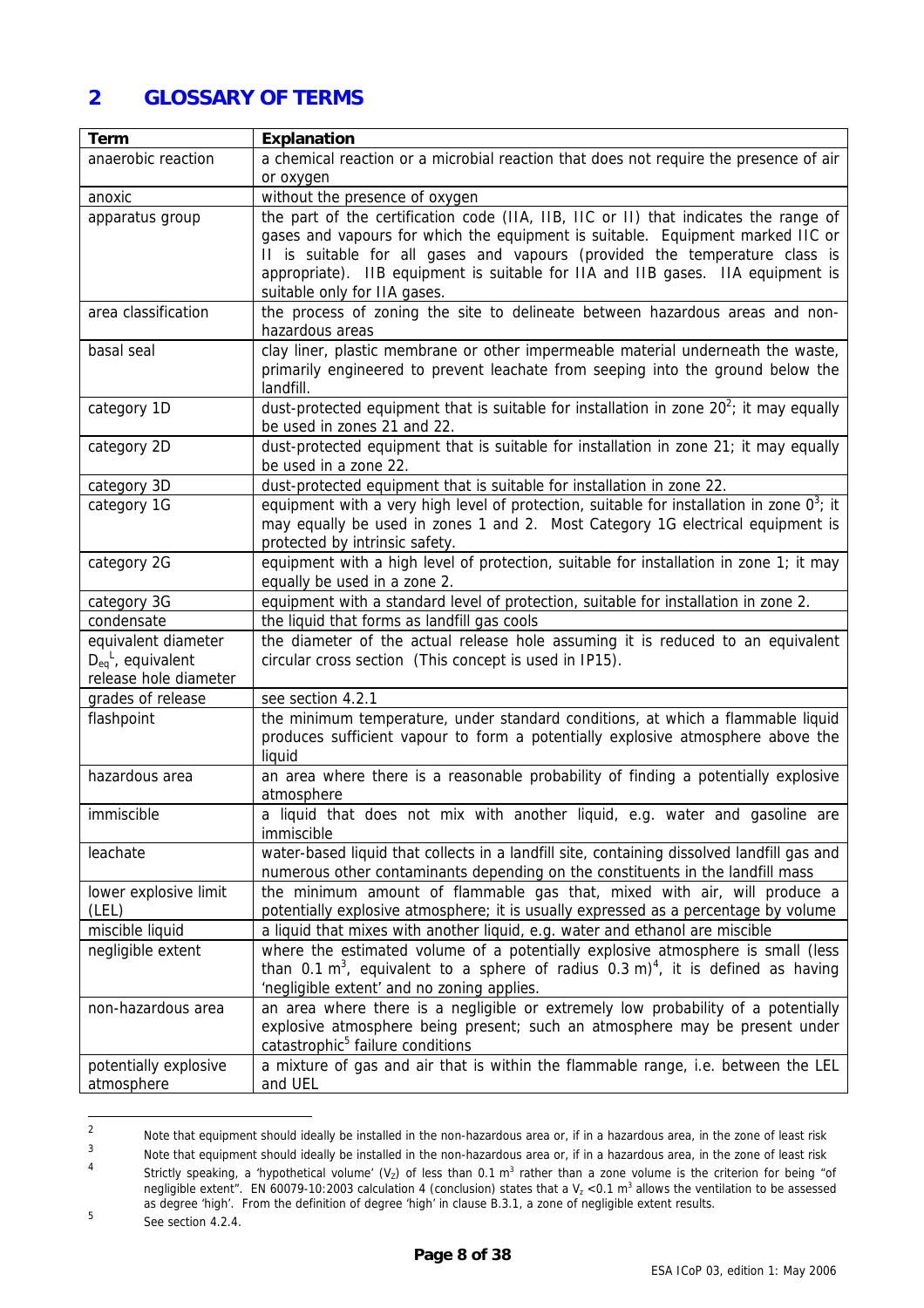# <span id="page-7-0"></span>**2 GLOSSARY OF TERMS**

| Term                                                                    | <b>Explanation</b>                                                                                                                                                                                                                                                                                                                                                       |  |  |  |  |
|-------------------------------------------------------------------------|--------------------------------------------------------------------------------------------------------------------------------------------------------------------------------------------------------------------------------------------------------------------------------------------------------------------------------------------------------------------------|--|--|--|--|
| anaerobic reaction                                                      | a chemical reaction or a microbial reaction that does not require the presence of air<br>or oxygen                                                                                                                                                                                                                                                                       |  |  |  |  |
| anoxic                                                                  | without the presence of oxygen                                                                                                                                                                                                                                                                                                                                           |  |  |  |  |
| apparatus group                                                         | the part of the certification code (IIA, IIB, IIC or II) that indicates the range of<br>gases and vapours for which the equipment is suitable. Equipment marked IIC or<br>II is suitable for all gases and vapours (provided the temperature class is<br>appropriate). IIB equipment is suitable for IIA and IIB gases. IIA equipment is<br>suitable only for IIA gases. |  |  |  |  |
| area classification                                                     | the process of zoning the site to delineate between hazardous areas and non-<br>hazardous areas                                                                                                                                                                                                                                                                          |  |  |  |  |
| basal seal                                                              | clay liner, plastic membrane or other impermeable material underneath the waste,<br>primarily engineered to prevent leachate from seeping into the ground below the<br>landfill.                                                                                                                                                                                         |  |  |  |  |
| category 1D                                                             | dust-protected equipment that is suitable for installation in zone $20^2$ ; it may equally<br>be used in zones 21 and 22.                                                                                                                                                                                                                                                |  |  |  |  |
| category 2D                                                             | dust-protected equipment that is suitable for installation in zone 21; it may equally<br>be used in a zone 22.                                                                                                                                                                                                                                                           |  |  |  |  |
| category 3D                                                             | dust-protected equipment that is suitable for installation in zone 22.                                                                                                                                                                                                                                                                                                   |  |  |  |  |
| category 1G                                                             | equipment with a very high level of protection, suitable for installation in zone $0^3$ ; it<br>may equally be used in zones 1 and 2. Most Category 1G electrical equipment is<br>protected by intrinsic safety.                                                                                                                                                         |  |  |  |  |
| category 2G                                                             | equipment with a high level of protection, suitable for installation in zone 1; it may<br>equally be used in a zone 2.                                                                                                                                                                                                                                                   |  |  |  |  |
| category 3G                                                             | equipment with a standard level of protection, suitable for installation in zone 2.                                                                                                                                                                                                                                                                                      |  |  |  |  |
| condensate                                                              | the liquid that forms as landfill gas cools                                                                                                                                                                                                                                                                                                                              |  |  |  |  |
| equivalent diameter<br>$D_{eq}^L$ , equivalent<br>release hole diameter | the diameter of the actual release hole assuming it is reduced to an equivalent<br>circular cross section (This concept is used in IP15).                                                                                                                                                                                                                                |  |  |  |  |
| grades of release                                                       | see section 4.2.1                                                                                                                                                                                                                                                                                                                                                        |  |  |  |  |
| flashpoint                                                              | the minimum temperature, under standard conditions, at which a flammable liquid<br>produces sufficient vapour to form a potentially explosive atmosphere above the<br>liquid                                                                                                                                                                                             |  |  |  |  |
| hazardous area                                                          | an area where there is a reasonable probability of finding a potentially explosive<br>atmosphere                                                                                                                                                                                                                                                                         |  |  |  |  |
| immiscible                                                              | a liquid that does not mix with another liquid, e.g. water and gasoline are<br>immiscible                                                                                                                                                                                                                                                                                |  |  |  |  |
| leachate                                                                | water-based liquid that collects in a landfill site, containing dissolved landfill gas and<br>numerous other contaminants depending on the constituents in the landfill mass                                                                                                                                                                                             |  |  |  |  |
| lower explosive limit                                                   | the minimum amount of flammable gas that, mixed with air, will produce a                                                                                                                                                                                                                                                                                                 |  |  |  |  |
| (LEL)                                                                   | potentially explosive atmosphere; it is usually expressed as a percentage by volume                                                                                                                                                                                                                                                                                      |  |  |  |  |
| miscible liquid                                                         | a liquid that mixes with another liquid, e.g. water and ethanol are miscible                                                                                                                                                                                                                                                                                             |  |  |  |  |
| negligible extent                                                       | where the estimated volume of a potentially explosive atmosphere is small (less<br>than 0.1 m <sup>3</sup> , equivalent to a sphere of radius 0.3 m) <sup>4</sup> , it is defined as having<br>'negligible extent' and no zoning applies.                                                                                                                                |  |  |  |  |
| non-hazardous area                                                      | an area where there is a negligible or extremely low probability of a potentially<br>explosive atmosphere being present; such an atmosphere may be present under<br>catastrophic <sup>5</sup> failure conditions                                                                                                                                                         |  |  |  |  |
| potentially explosive<br>atmosphere                                     | a mixture of gas and air that is within the flammable range, i.e. between the LEL<br>and UEL                                                                                                                                                                                                                                                                             |  |  |  |  |

<span id="page-7-1"></span> $\frac{1}{2}$ Note that equipment should ideally be installed in the non-hazardous area or, if in a hazardous area, in the zone of least risk

<span id="page-7-2"></span><sup>3</sup> Note that equipment should ideally be installed in the non-hazardous area or, if in a hazardous area, in the zone of least risk

<span id="page-7-3"></span><sup>4</sup> Strictly speaking, a 'hypothetical volume' (V<sub>z</sub>) of less than 0.1 m<sup>3</sup> rather than a zone volume is the criterion for being "of negligible extent". EN 60079-10:2003 calculation 4 (conclusion) states that a  $V_z < 0.1$  m<sup>3</sup> allows the ventilation to be assessed as degree 'high'. From the definition of degree 'high' in clause B.3.1, a zone of negligible extent results.

<span id="page-7-4"></span><sup>5</sup> See section 4.2.4.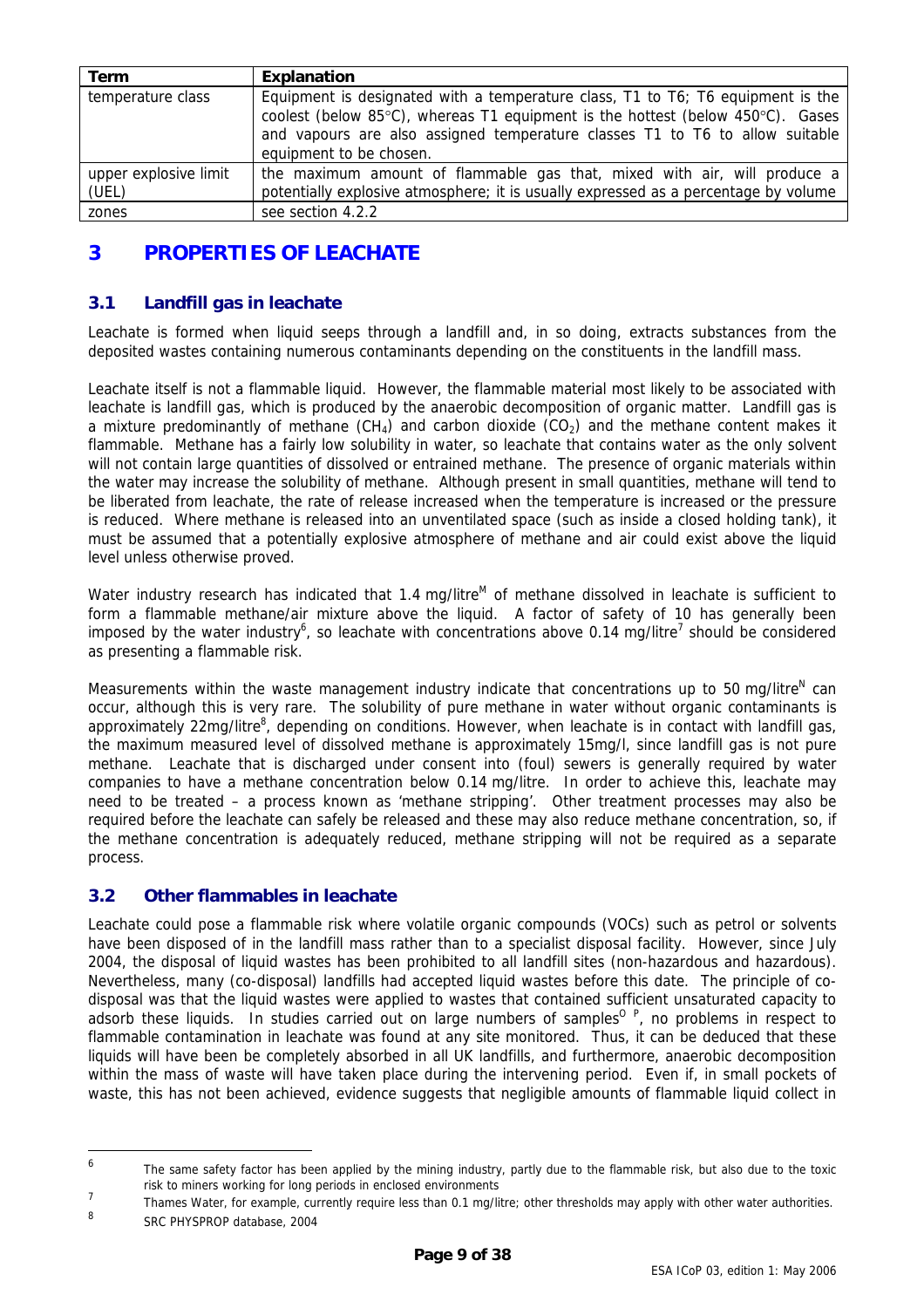<span id="page-8-0"></span>

| Term                           | Explanation                                                                                                                                                                                                                                                                  |
|--------------------------------|------------------------------------------------------------------------------------------------------------------------------------------------------------------------------------------------------------------------------------------------------------------------------|
| temperature class              | Equipment is designated with a temperature class, T1 to T6; T6 equipment is the<br>coolest (below 85°C), whereas T1 equipment is the hottest (below 450°C). Gases<br>and vapours are also assigned temperature classes T1 to T6 to allow suitable<br>equipment to be chosen. |
| upper explosive limit<br>(UEL) | the maximum amount of flammable gas that, mixed with air, will produce a<br>potentially explosive atmosphere; it is usually expressed as a percentage by volume                                                                                                              |
| zones                          | see section 4.2.2                                                                                                                                                                                                                                                            |

# **3 PROPERTIES OF LEACHATE**

### <span id="page-8-2"></span>**3.1 Landfill gas in leachate**

Leachate is formed when liquid seeps through a landfill and, in so doing, extracts substances from the deposited wastes containing numerous contaminants depending on the constituents in the landfill mass.

Leachate itself is not a flammable liquid. However, the flammable material most likely to be associated with leachate is landfill gas, which is produced by the anaerobic decomposition of organic matter. Landfill gas is a mixture predominantly of methane  $(CH<sub>4</sub>)$  and carbon dioxide  $(CO<sub>2</sub>)$  and the methane content makes it flammable. Methane has a fairly low solubility in water, so leachate that contains water as the only solvent will not contain large quantities of dissolved or entrained methane. The presence of organic materials within the water may increase the solubility of methane. Although present in small quantities, methane will tend to be liberated from leachate, the rate of release increased when the temperature is increased or the pressure is reduced. Where methane is released into an unventilated space (such as inside a closed holding tank), it must be assumed that a potentially explosive atmosphere of methane and air could exist above the liquid level unless otherwise proved.

Water industry research has indicated that 1.4 mg/litre<sup>M</sup> of methane dissolved in leachate is sufficient to form a flammable methane/air mixture above the liquid. A factor of safety of 10 has generally been imposed by the water industry<sup>[6](#page-8-3)</sup>, so leachate with concentrations above 0.14 mg/litre<sup>[7](#page-8-4)</sup> should be considered as presenting a flammable risk.

Measurements within the waste management industry indicate that concentrations up to 50 mg/litre<sup>[N](#page-37-14)</sup> can occur, although this is very rare. The solubility of pure methane in water without organic contaminants is approximately 22mg/litre<sup>[8](#page-8-5)</sup>, depending on conditions. However, when leachate is in contact with landfill gas, the maximum measured level of dissolved methane is approximately 15mg/l, since landfill gas is not pure methane. Leachate that is discharged under consent into (foul) sewers is generally required by water companies to have a methane concentration below 0.14 mg/litre. In order to achieve this, leachate may need to be treated – a process known as 'methane stripping'. Other treatment processes may also be required before the leachate can safely be released and these may also reduce methane concentration, so, if the methane concentration is adequately reduced, methane stripping will not be required as a separate process.

# <span id="page-8-1"></span>**3.2 Other flammables in leachate**

Leachate could pose a flammable risk where volatile organic compounds (VOCs) such as petrol or solvents have been disposed of in the landfill mass rather than to a specialist disposal facility. However, since July 2004, the disposal of liquid wastes has been prohibited to all landfill sites (non-hazardous and hazardous). Nevertheless, many (co-disposal) landfills had accepted liquid wastes before this date. The principle of codisposal was that the liquid wastes were applied to wastes that contained sufficient unsaturated capacity to adsorb these liquids. In studies carried out on large numbers of samples<sup>0 P</sup>[,](#page-37-16) no problems in respect to flammable contamination in leachate was found at any site monitored. Thus, it can be deduced that these liquids will have been be completely absorbed in all UK landfills, and furthermore, anaerobic decomposition within the mass of waste will have taken place during the intervening period. Even if, in small pockets of waste, this has not been achieved, evidence suggests that negligible amounts of flammable liquid collect in

<span id="page-8-5"></span>8 SRC PHYSPROP database, 2004

 $\overline{6}$ 

<span id="page-8-3"></span>The same safety factor has been applied by the mining industry, partly due to the flammable risk, but also due to the toxic risk to miners working for long periods in enclosed environments

<span id="page-8-4"></span><sup>7</sup> Thames Water, for example, currently require less than 0.1 mg/litre; other thresholds may apply with other water authorities.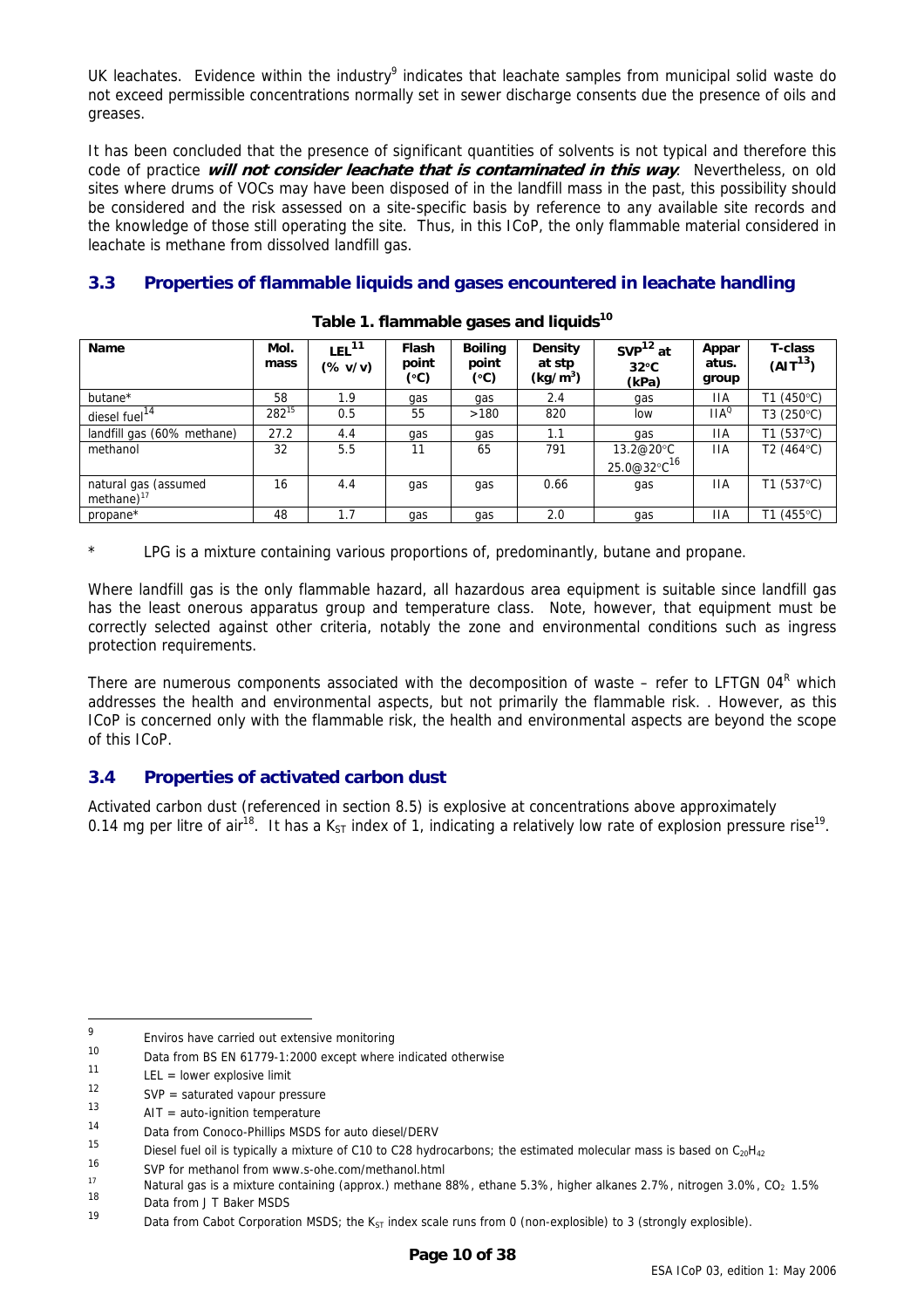<span id="page-9-0"></span>UK leachates. Evidence within the industry<sup>[9](#page-9-1)</sup> indicates that leachate samples from municipal solid waste do not exceed permissible concentrations normally set in sewer discharge consents due the presence of oils and greases.

It has been concluded that the presence of significant quantities of solvents is not typical and therefore this code of practice **will not consider leachate that is contaminated in this way**. Nevertheless, on old sites where drums of VOCs may have been disposed of in the landfill mass in the past, this possibility should be considered and the risk assessed on a site-specific basis by reference to any available site records and the knowledge of those still operating the site. Thus, in this ICoP, the only flammable material considered in leachate is methane from dissolved landfill gas.

# **3.3 Properties of flammable liquids and gases encountered in leachate handling**

| <b>Name</b>                              | Mol.<br>mass | LEL <sup>11</sup><br>$(\% v/v)$ | <b>Flash</b><br>point<br>(°C) | <b>Boiling</b><br>point<br>(°C) | Density<br>at stp<br>(kg/m <sup>3</sup> ) | $SVP12$ at<br>$32^{\circ}$ C<br>(kPa) | Appar<br>atus.<br>group | <b>T-class</b><br>$(AIT^{13})$ |
|------------------------------------------|--------------|---------------------------------|-------------------------------|---------------------------------|-------------------------------------------|---------------------------------------|-------------------------|--------------------------------|
| butane*                                  | 58           | 1.9                             | gas                           | gas                             | 2.4                                       | gas                                   | ПA                      | T1 (450°C)                     |
| diesel fuel <sup>14</sup>                | $282^{15}$   | 0.5                             | 55                            | >180                            | 820                                       | low                                   | $IIA^{\circ}$           | T3 (250°C)                     |
| landfill gas (60% methane)               | 27.2         | 4.4                             | qas                           | qas                             | 1.1                                       | gas                                   | 11A                     | T1 (537°C)                     |
| methanol                                 | 32           | 5.5                             | 11                            | 65                              | 791                                       | 13.2@20°C                             | ПA                      | T2 (464°C)                     |
|                                          |              |                                 |                               |                                 |                                           | 25.0@32°C <sup>16</sup>               |                         |                                |
| natural gas (assumed<br>methane $)^{17}$ | 16           | 4.4                             | qas                           | qas                             | 0.66                                      | qas                                   | 11A                     | T1 $(537^{\circ}C)$            |
| propane*                                 | 48           | 1.7                             | gas                           | qas                             | 2.0                                       | gas                                   | 11A                     | T1 (455°C)                     |

#### Table 1. flammable gases and liquids<sup>10</sup>

\* LPG is a mixture containing various proportions of, predominantly, butane and propane.

Where landfill gas is the only flammable hazard, all hazardous area equipment is suitable since landfill gas has the least onerous apparatus group and temperature class. Note, however, that equipment must be correctly selected against other criteria, notably the zone and environmental conditions such as ingress protection requirements.

Thereare numerous components associated with the decomposition of waste – refer to LFTGN 04<sup>R</sup> which addresses the health and environmental aspects, but not primarily the flammable risk. . However, as this ICoP is concerned only with the flammable risk, the health and environmental aspects are beyond the scope of this ICoP.

# **3.4 Properties of activated carbon dust**

Activated carbon dust (referenced in section [8.5\)](#page-22-1) is explosive at concentrations above approximately 0.14 mg per litre of air<sup>18</sup>. It has a K<sub>ST</sub> index of 1, indicating a relatively low rate of explosion pressure rise<sup>19</sup>.

<span id="page-9-1"></span> 9 Enviros have carried out extensive monitoring  $\frac{10}{2}$ 

<span id="page-9-2"></span><sup>&</sup>lt;sup>10</sup> Data from BS EN 61779-1:2000 except where indicated otherwise

<span id="page-9-3"></span> $LEL = lower$  explosive limit

<span id="page-9-4"></span> $12$  SVP = saturated vapour pressure

<span id="page-9-5"></span> $13$  AIT = auto-ignition temperature

<span id="page-9-6"></span><sup>&</sup>lt;sup>14</sup> Data from Conoco-Phillips MSDS for auto diesel/DERV<br><sup>15</sup>

<span id="page-9-7"></span><sup>&</sup>lt;sup>15</sup> Diesel fuel oil is typically a mixture of C10 to C28 hydrocarbons; the estimated molecular mass is based on C<sub>20</sub>H<sub>42</sub><br><sup>16</sup>

<span id="page-9-8"></span>

<span id="page-9-9"></span><sup>16</sup> SVP for methanol from www.s-ohe.com/methanol.html<br>
17 Natural gas is a mixture containing (approx.) methane 88%, ethane 5.3%, higher alkanes 2.7%, nitrogen 3.0%, CO<sub>2</sub> 1.5%<br>
18

<span id="page-9-10"></span> $18$  Data from J T Baker MSDS

<span id="page-9-11"></span>Data from Cabot Corporation MSDS; the K<sub>ST</sub> index scale runs from 0 (non-explosible) to 3 (strongly explosible).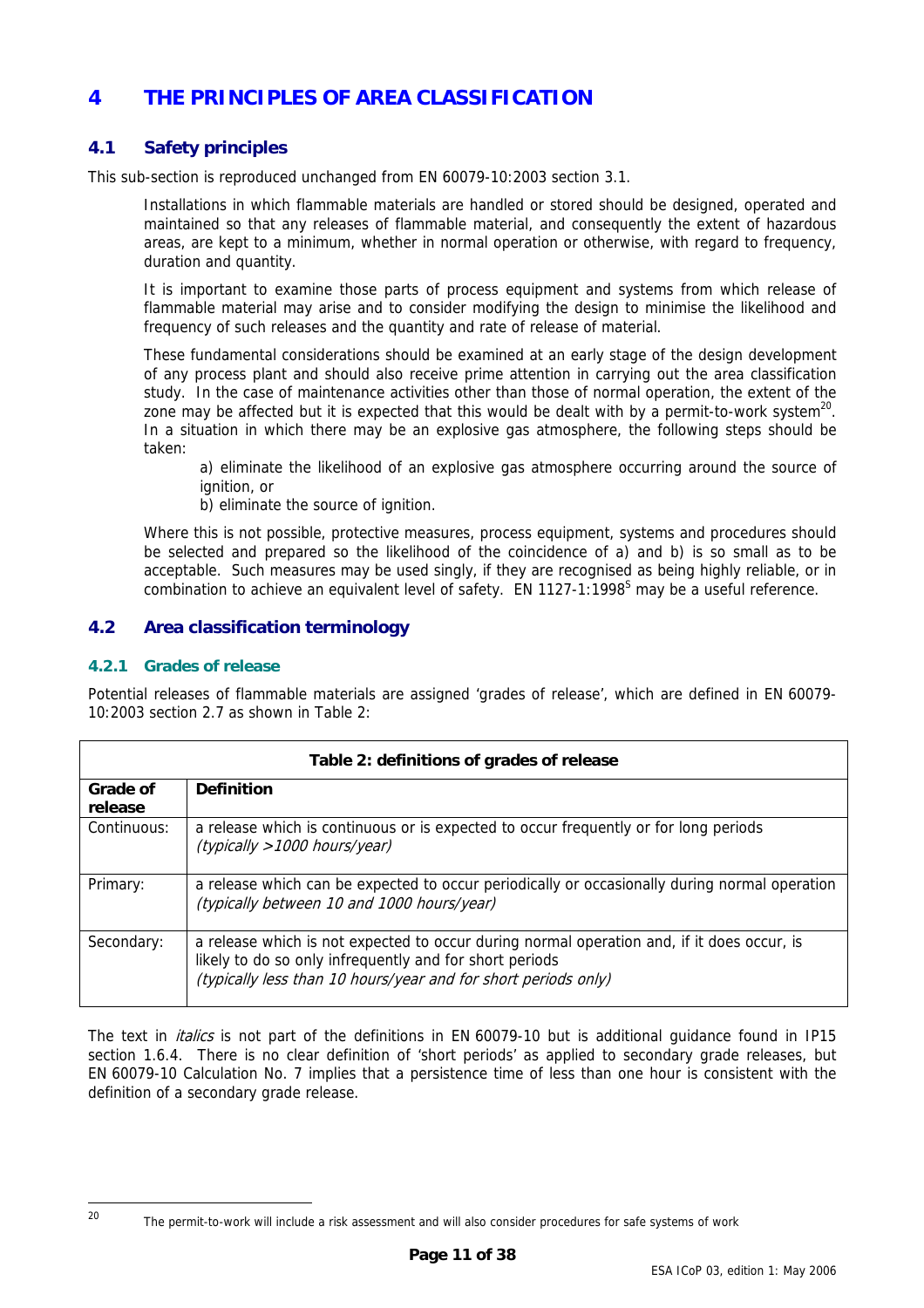# <span id="page-10-0"></span>**4 THE PRINCIPLES OF AREA CLASSIFICATION**

# **4.1 Safety principles**

This sub-section is reproduced unchanged from EN 60079-10:2003 section 3.1.

Installations in which flammable materials are handled or stored should be designed, operated and maintained so that any releases of flammable material, and consequently the extent of hazardous areas, are kept to a minimum, whether in normal operation or otherwise, with regard to frequency, duration and quantity.

It is important to examine those parts of process equipment and systems from which release of flammable material may arise and to consider modifying the design to minimise the likelihood and frequency of such releases and the quantity and rate of release of material.

These fundamental considerations should be examined at an early stage of the design development of any process plant and should also receive prime attention in carrying out the area classification study. In the case of maintenance activities other than those of normal operation, the extent of the zone may be affected but it is expected that this would be dealt with by a permit-to-work system<sup>20</sup>. In a situation in which there may be an explosive gas atmosphere, the following steps should be taken:

a) eliminate the likelihood of an explosive gas atmosphere occurring around the source of ignition, or

b) eliminate the source of ignition.

Where this is not possible, protective measures, process equipment, systems and procedures should be selected and prepared so the likelihood of the coincidence of a) and b) is so small as to be acceptable. Such measures may be used singly, if they are recognised as being highly reliable, or in combination to achieve an equivalent level of safety. EN 1127-1:1998<sup>[S](#page-37-19)</sup> may be a useful reference.

# **4.2 Area classification terminology**

#### <span id="page-10-1"></span>**4.2.1 Grades of release**

Potential releases of flammable materials are assigned 'grades of release', which are defined in EN 60079- 10:2003 section 2.7 as shown in Table [2:](#page-10-2)

<span id="page-10-2"></span>

| Table 2: definitions of grades of release |                                                                                                                                                                                                                         |  |  |  |
|-------------------------------------------|-------------------------------------------------------------------------------------------------------------------------------------------------------------------------------------------------------------------------|--|--|--|
| Grade of<br>release                       | <b>Definition</b>                                                                                                                                                                                                       |  |  |  |
| Continuous:                               | a release which is continuous or is expected to occur frequently or for long periods<br>(typically > 1000 hours/year)                                                                                                   |  |  |  |
| Primary:                                  | a release which can be expected to occur periodically or occasionally during normal operation<br>(typically between 10 and 1000 hours/year)                                                                             |  |  |  |
| Secondary:                                | a release which is not expected to occur during normal operation and, if it does occur, is<br>likely to do so only infrequently and for short periods<br>(typically less than 10 hours/year and for short periods only) |  |  |  |

The text in *italics* is not part of the definitions in EN 60079-10 but is additional guidance found in IP15 section 1.6.4. There is no clear definition of 'short periods' as applied to secondary grade releases, but EN 60079-10 Calculation No. 7 implies that a persistence time of less than one hour is consistent with the definition of a secondary grade release.

<span id="page-10-3"></span> $20$ 

The permit-to-work will include a risk assessment and will also consider procedures for safe systems of work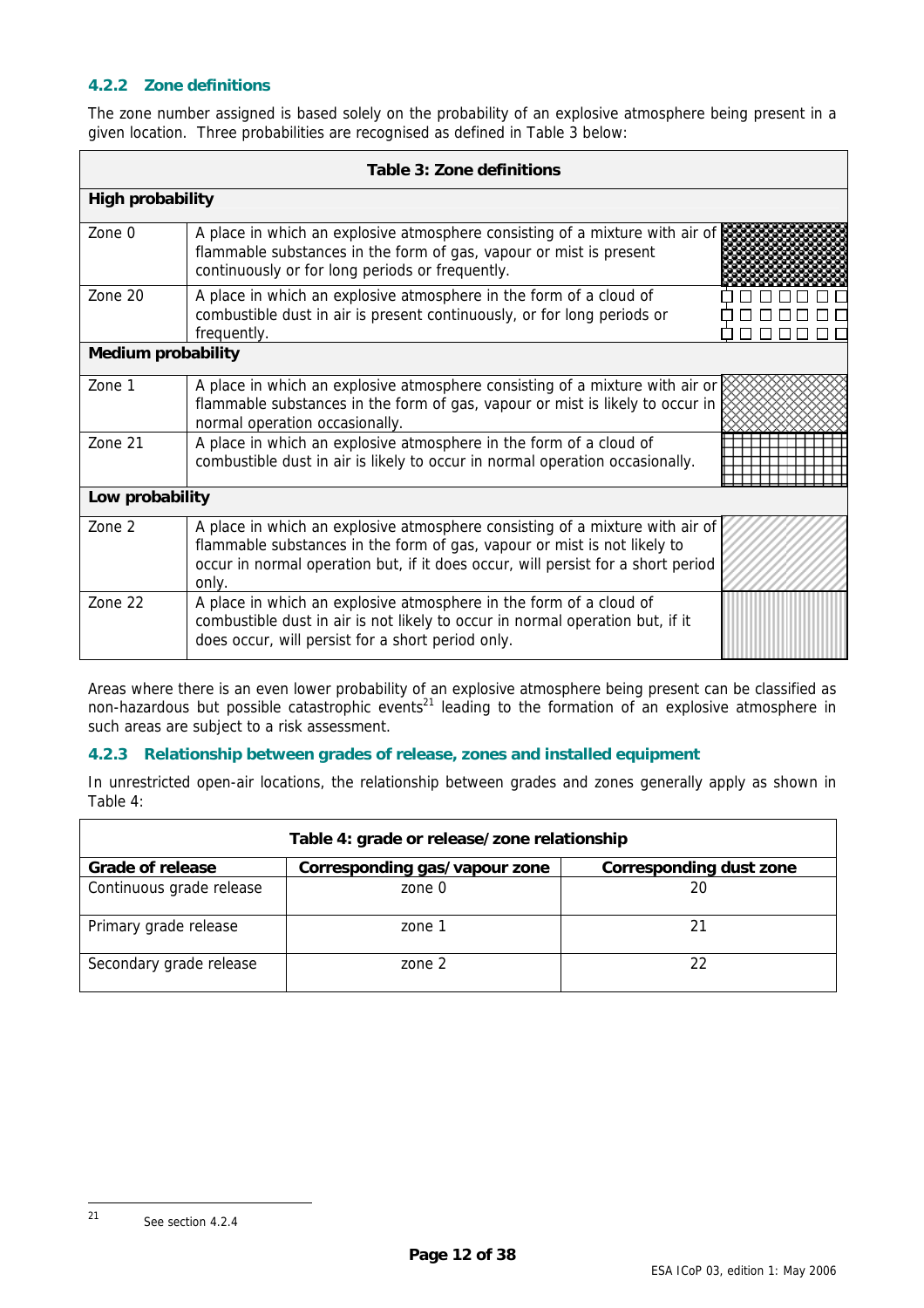### <span id="page-11-1"></span><span id="page-11-0"></span>**4.2.2 Zone definitions**

<span id="page-11-2"></span>The zone number assigned is based solely on the probability of an explosive atmosphere being present in a given location. Three probabilities are recognised as defined in [Table 3](#page-11-2) below:

| Table 3: Zone definitions |                                                                                                                                                                                                                                                       |  |  |  |  |  |
|---------------------------|-------------------------------------------------------------------------------------------------------------------------------------------------------------------------------------------------------------------------------------------------------|--|--|--|--|--|
| <b>High probability</b>   |                                                                                                                                                                                                                                                       |  |  |  |  |  |
| Zone $0$                  | A place in which an explosive atmosphere consisting of a mixture with air of<br>flammable substances in the form of gas, vapour or mist is present<br>continuously or for long periods or frequently.                                                 |  |  |  |  |  |
| Zone 20                   | A place in which an explosive atmosphere in the form of a cloud of<br>combustible dust in air is present continuously, or for long periods or<br>frequently.                                                                                          |  |  |  |  |  |
| <b>Medium probability</b> |                                                                                                                                                                                                                                                       |  |  |  |  |  |
| Zone 1                    | A place in which an explosive atmosphere consisting of a mixture with air or<br>flammable substances in the form of gas, vapour or mist is likely to occur in<br>normal operation occasionally.                                                       |  |  |  |  |  |
| Zone 21                   | A place in which an explosive atmosphere in the form of a cloud of<br>combustible dust in air is likely to occur in normal operation occasionally.                                                                                                    |  |  |  |  |  |
| Low probability           |                                                                                                                                                                                                                                                       |  |  |  |  |  |
| Zone 2                    | A place in which an explosive atmosphere consisting of a mixture with air of<br>flammable substances in the form of gas, vapour or mist is not likely to<br>occur in normal operation but, if it does occur, will persist for a short period<br>only. |  |  |  |  |  |
| Zone 22                   | A place in which an explosive atmosphere in the form of a cloud of<br>combustible dust in air is not likely to occur in normal operation but, if it<br>does occur, will persist for a short period only.                                              |  |  |  |  |  |

Areas where there is an even lower probability of an explosive atmosphere being present can be classified as non-hazardous but possible catastrophic events<sup>21</sup> leading to the formation of an explosive atmosphere in such areas are subject to a risk assessment.

#### **4.2.3 Relationship between grades of release, zones and installed equipment**

<span id="page-11-3"></span>In unrestricted open-air locations, the relationship between grades and zones generally apply as shown in Table [4:](#page-11-3)

<span id="page-11-4"></span>

| Table 4: grade or release/zone relationship |                               |                                |  |  |  |
|---------------------------------------------|-------------------------------|--------------------------------|--|--|--|
| <b>Grade of release</b>                     | Corresponding gas/vapour zone | <b>Corresponding dust zone</b> |  |  |  |
| Continuous grade release                    | zone 0                        | 20                             |  |  |  |
| Primary grade release                       | zone 1                        |                                |  |  |  |
| Secondary grade release                     | zone 2                        |                                |  |  |  |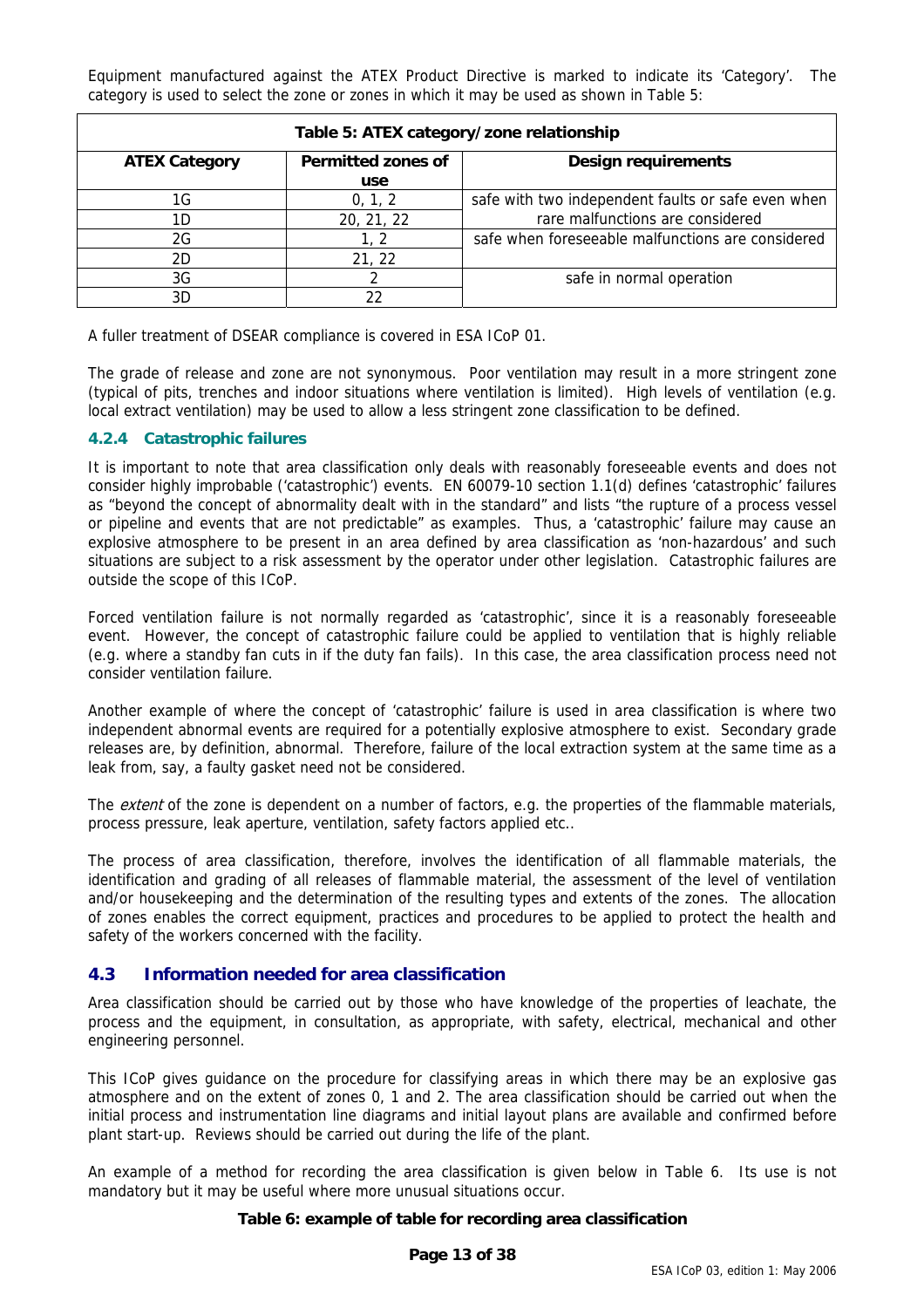<span id="page-12-2"></span><span id="page-12-0"></span>Equipment manufactured against the ATEX Product Directive is marked to indicate its 'Category'. The category is used to select the zone or zones in which it may be used as shown in Table [5:](#page-12-2)

| Table 5: ATEX category/zone relationship |                           |                                                    |  |  |  |  |  |
|------------------------------------------|---------------------------|----------------------------------------------------|--|--|--|--|--|
| <b>ATEX Category</b>                     | <b>Permitted zones of</b> | <b>Design requirements</b>                         |  |  |  |  |  |
|                                          | use                       |                                                    |  |  |  |  |  |
| 1G                                       | 0, 1, 2                   | safe with two independent faults or safe even when |  |  |  |  |  |
| 1D                                       | 20, 21, 22                | rare malfunctions are considered                   |  |  |  |  |  |
| 2G                                       | 1. 2                      | safe when foreseeable malfunctions are considered  |  |  |  |  |  |
| 2D                                       | 21, 22                    |                                                    |  |  |  |  |  |
| 3G                                       |                           | safe in normal operation                           |  |  |  |  |  |
| 3D                                       |                           |                                                    |  |  |  |  |  |

A fuller treatment of DSEAR compliance is covered in ESA ICoP 01.

The grade of release and zone are not synonymous. Poor ventilation may result in a more stringent zone (typical of pits, trenches and indoor situations where ventilation is limited). High levels of ventilation (e.g. local extract ventilation) may be used to allow a less stringent zone classification to be defined.

#### <span id="page-12-1"></span>**4.2.4 Catastrophic failures**

It is important to note that area classification only deals with reasonably foreseeable events and does not consider highly improbable ('catastrophic') events. EN 60079-10 section 1.1(d) defines 'catastrophic' failures as "beyond the concept of abnormality dealt with in the standard" and lists "the rupture of a process vessel or pipeline and events that are not predictable" as examples. Thus, a 'catastrophic' failure may cause an explosive atmosphere to be present in an area defined by area classification as 'non-hazardous' and such situations are subject to a risk assessment by the operator under other legislation. Catastrophic failures are outside the scope of this ICoP.

Forced ventilation failure is not normally regarded as 'catastrophic', since it is a reasonably foreseeable event. However, the concept of catastrophic failure could be applied to ventilation that is highly reliable (e.g. where a standby fan cuts in if the duty fan fails). In this case, the area classification process need not consider ventilation failure.

Another example of where the concept of 'catastrophic' failure is used in area classification is where two independent abnormal events are required for a potentially explosive atmosphere to exist. Secondary grade releases are, by definition, abnormal. Therefore, failure of the local extraction system at the same time as a leak from, say, a faulty gasket need not be considered.

The *extent* of the zone is dependent on a number of factors, e.g. the properties of the flammable materials, process pressure, leak aperture, ventilation, safety factors applied etc..

The process of area classification, therefore, involves the identification of all flammable materials, the identification and grading of all releases of flammable material, the assessment of the level of ventilation and/or housekeeping and the determination of the resulting types and extents of the zones. The allocation of zones enables the correct equipment, practices and procedures to be applied to protect the health and safety of the workers concerned with the facility.

# **4.3 Information needed for area classification**

Area classification should be carried out by those who have knowledge of the properties of leachate, the process and the equipment, in consultation, as appropriate, with safety, electrical, mechanical and other engineering personnel.

This ICoP gives guidance on the procedure for classifying areas in which there may be an explosive gas atmosphere and on the extent of zones 0, 1 and 2. The area classification should be carried out when the initial process and instrumentation line diagrams and initial layout plans are available and confirmed before plant start-up. Reviews should be carried out during the life of the plant.

An example of a method for recording the area classification is given below in Table [6.](#page-12-3) Its use is not mandatory but it may be useful where more unusual situations occur.

#### <span id="page-12-3"></span>**Table 6: example of table for recording area classification**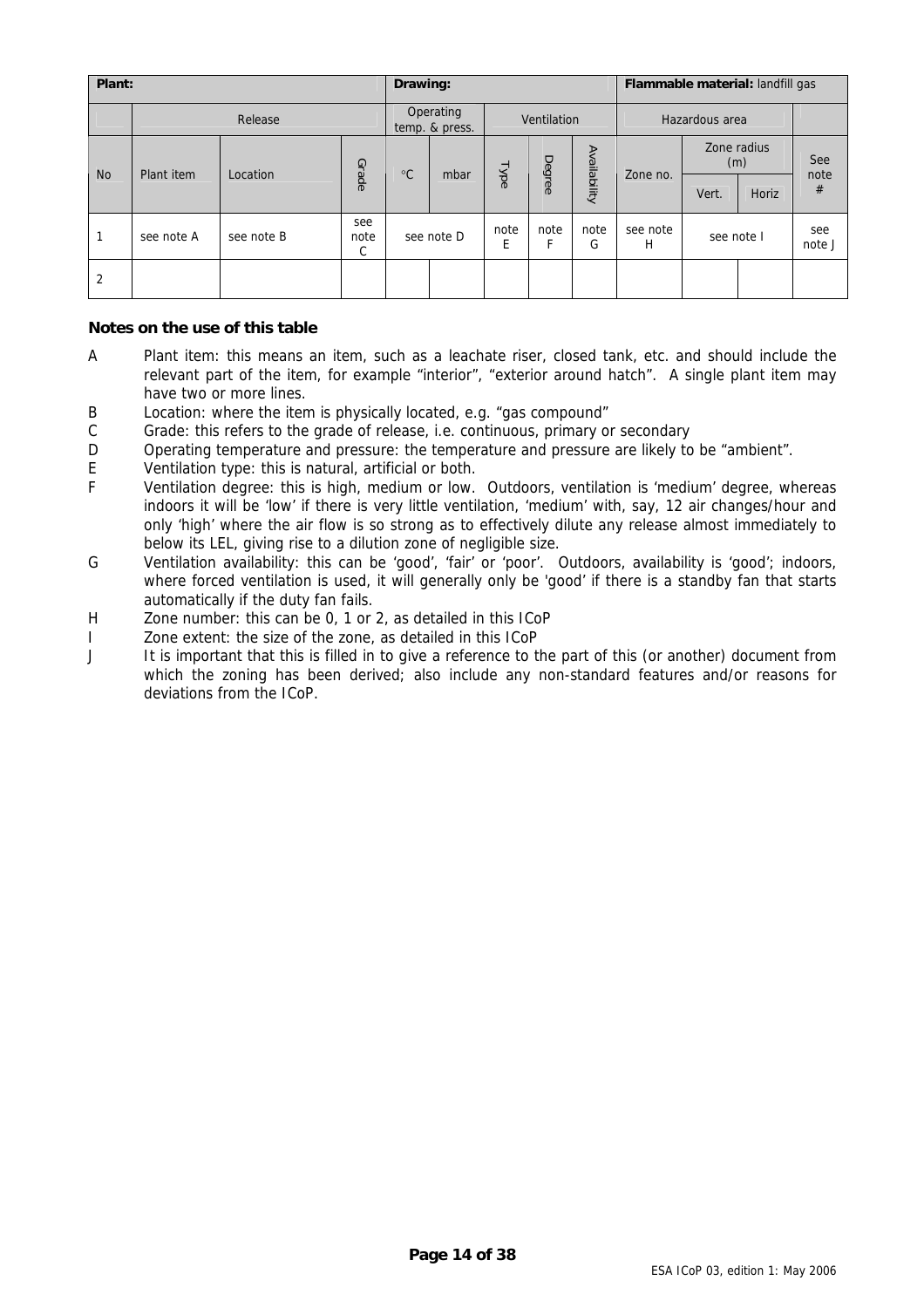| Plant:    |            |            |                  | Drawing:                    |      |             |           | Flammable material: landfill gas |               |                    |       |               |
|-----------|------------|------------|------------------|-----------------------------|------|-------------|-----------|----------------------------------|---------------|--------------------|-------|---------------|
|           | Release    |            |                  | Operating<br>temp. & press. |      | Ventilation |           | Hazardous area                   |               |                    |       |               |
| <b>No</b> | Plant item | Location   | Grade            | $^{\circ}C$                 | mbar | Type        | Degree    | Availability                     | Zone no.      | Zone radius<br>(m) |       | See<br>note   |
|           |            |            |                  |                             |      |             |           |                                  |               | Vert.              | Horiz | #             |
|           | see note A | see note B | see<br>note<br>C | see note D                  |      | note<br>E   | note<br>Е | note<br>G                        | see note<br>H | see note I         |       | see<br>note J |
| 2         |            |            |                  |                             |      |             |           |                                  |               |                    |       |               |

#### **Notes on the use of this table**

- A Plant item: this means an item, such as a leachate riser, closed tank, etc. and should include the relevant part of the item, for example "interior", "exterior around hatch". A single plant item may have two or more lines.
- B Location: where the item is physically located, e.g. "gas compound"
- C Grade: this refers to the grade of release, i.e. continuous, primary or secondary
- D Operating temperature and pressure: the temperature and pressure are likely to be "ambient".
- E Ventilation type: this is natural, artificial or both.<br>F Ventilation degree: this is high medium or low
- Ventilation degree: this is high, medium or low. Outdoors, ventilation is 'medium' degree, whereas indoors it will be 'low' if there is very little ventilation, 'medium' with, say, 12 air changes/hour and only 'high' where the air flow is so strong as to effectively dilute any release almost immediately to below its LEL, giving rise to a dilution zone of negligible size.
- G Ventilation availability: this can be 'good', 'fair' or 'poor'. Outdoors, availability is 'good'; indoors, where forced ventilation is used, it will generally only be 'good' if there is a standby fan that starts automatically if the duty fan fails.
- H Zone number: this can be 0, 1 or 2, as detailed in this ICoP
- I Zone extent: the size of the zone, as detailed in this ICoP
- J It is important that this is filled in to give a reference to the part of this (or another) document from which the zoning has been derived; also include any non-standard features and/or reasons for deviations from the ICoP.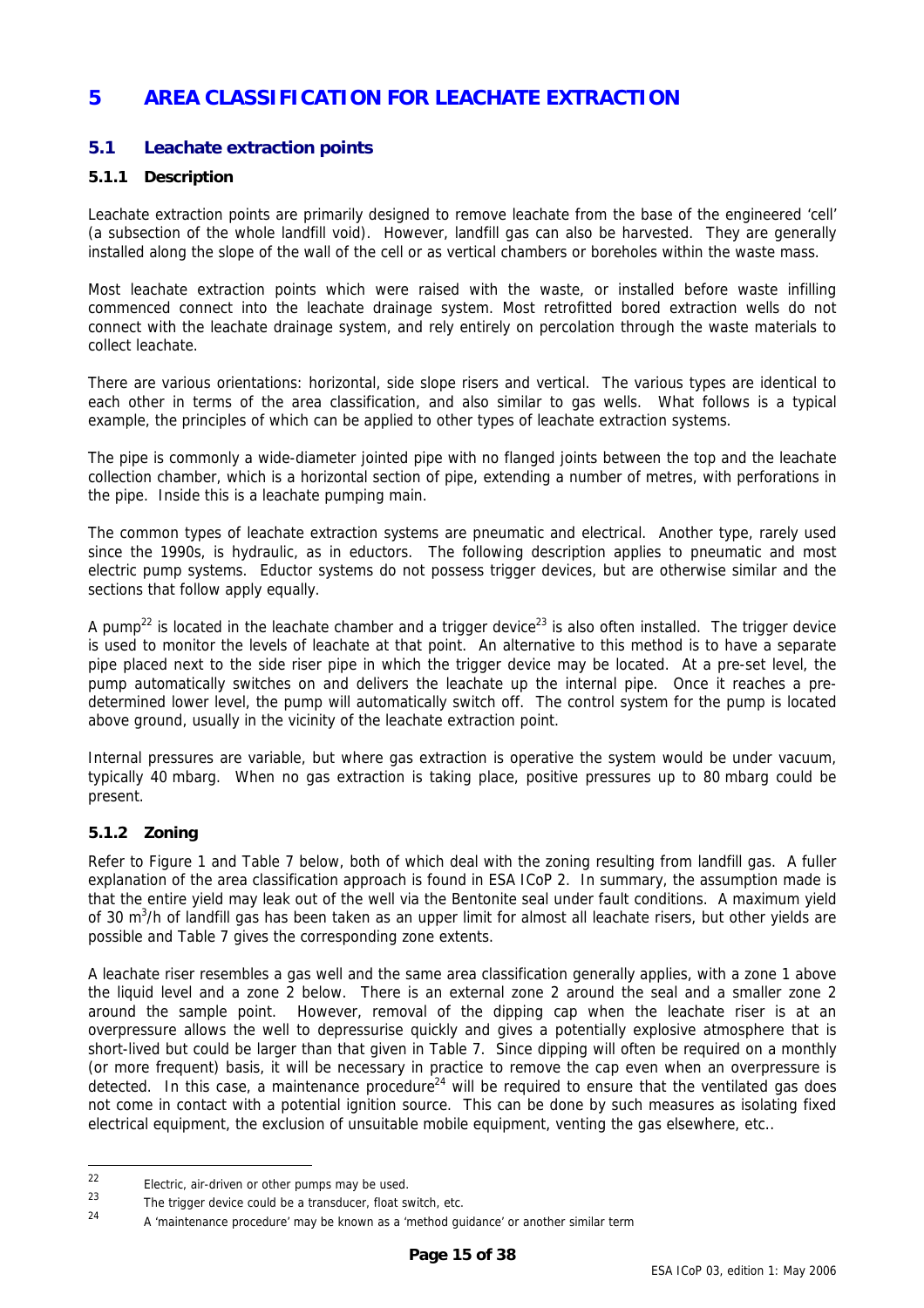# <span id="page-14-0"></span>**5 AREA CLASSIFICATION FOR LEACHATE EXTRACTION**

# **5.1 Leachate extraction points**

#### **5.1.1 Description**

Leachate extraction points are primarily designed to remove leachate from the base of the engineered 'cell' (a subsection of the whole landfill void). However, landfill gas can also be harvested. They are generally installed along the slope of the wall of the cell or as vertical chambers or boreholes within the waste mass.

Most leachate extraction points which were raised with the waste, or installed before waste infilling commenced connect into the leachate drainage system. Most retrofitted bored extraction wells do not connect with the leachate drainage system, and rely entirely on percolation through the waste materials to collect leachate.

There are various orientations: horizontal, side slope risers and vertical. The various types are identical to each other in terms of the area classification, and also similar to gas wells. What follows is a typical example, the principles of which can be applied to other types of leachate extraction systems.

The pipe is commonly a wide-diameter jointed pipe with no flanged joints between the top and the leachate collection chamber, which is a horizontal section of pipe, extending a number of metres, with perforations in the pipe. Inside this is a leachate pumping main.

The common types of leachate extraction systems are pneumatic and electrical. Another type, rarely used since the 1990s, is hydraulic, as in eductors. The following description applies to pneumatic and most electric pump systems. Eductor systems do not possess trigger devices, but are otherwise similar and the sections that follow apply equally.

A pump<sup>22</sup> is located in the leachate chamber and a trigger device<sup>23</sup> is also often installed. The trigger device is used to monitor the levels of leachate at that point. An alternative to this method is to have a separate pipe placed next to the side riser pipe in which the trigger device may be located. At a pre-set level, the pump automatically switches on and delivers the leachate up the internal pipe. Once it reaches a predetermined lower level, the pump will automatically switch off. The control system for the pump is located above ground, usually in the vicinity of the leachate extraction point.

Internal pressures are variable, but where gas extraction is operative the system would be under vacuum, typically 40 mbarg. When no gas extraction is taking place, positive pressures up to 80 mbarg could be present.

#### **5.1.2 Zoning**

Refer to Figure [1](#page-16-1) and Table [7](#page-15-1) below, both of which deal with the zoning resulting from landfill gas. A fuller explanation of the area classification approach is found in ESA ICoP 2. In summary, the assumption made is that the entire yield may leak out of the well via the Bentonite seal under fault conditions. A maximum yield of 30 m<sup>3</sup>/h of landfill gas has been taken as an upper limit for almost all leachate risers, but other yields are possible and Table [7](#page-15-1) gives the corresponding zone extents.

A leachate riser resembles a gas well and the same area classification generally applies, with a zone 1 above the liquid level and a zone 2 below. There is an external zone 2 around the seal and a smaller zone 2 around the sample point. However, removal of the dipping cap when the leachate riser is at an overpressure allows the well to depressurise quickly and gives a potentially explosive atmosphere that is short-lived but could be larger than that given in Table [7.](#page-15-1) Since dipping will often be required on a monthly (or more frequent) basis, it will be necessary in practice to remove the cap even when an overpressure is detected. In this case, a maintenance procedure<sup>24</sup> will be required to ensure that the ventilated gas does not come in contact with a potential ignition source. This can be done by such measures as isolating fixed electrical equipment, the exclusion of unsuitable mobile equipment, venting the gas elsewhere, etc..

<span id="page-14-1"></span><sup>22</sup>  $\frac{22}{23}$  Electric, air-driven or other pumps may be used.

<span id="page-14-2"></span><sup>&</sup>lt;sup>23</sup> The trigger device could be a transducer, float switch, etc.<br>
<sup>24</sup> A transistenence procedured may be known as a tracthed guy

<span id="page-14-3"></span><sup>24</sup> A 'maintenance procedure' may be known as a 'method guidance' or another similar term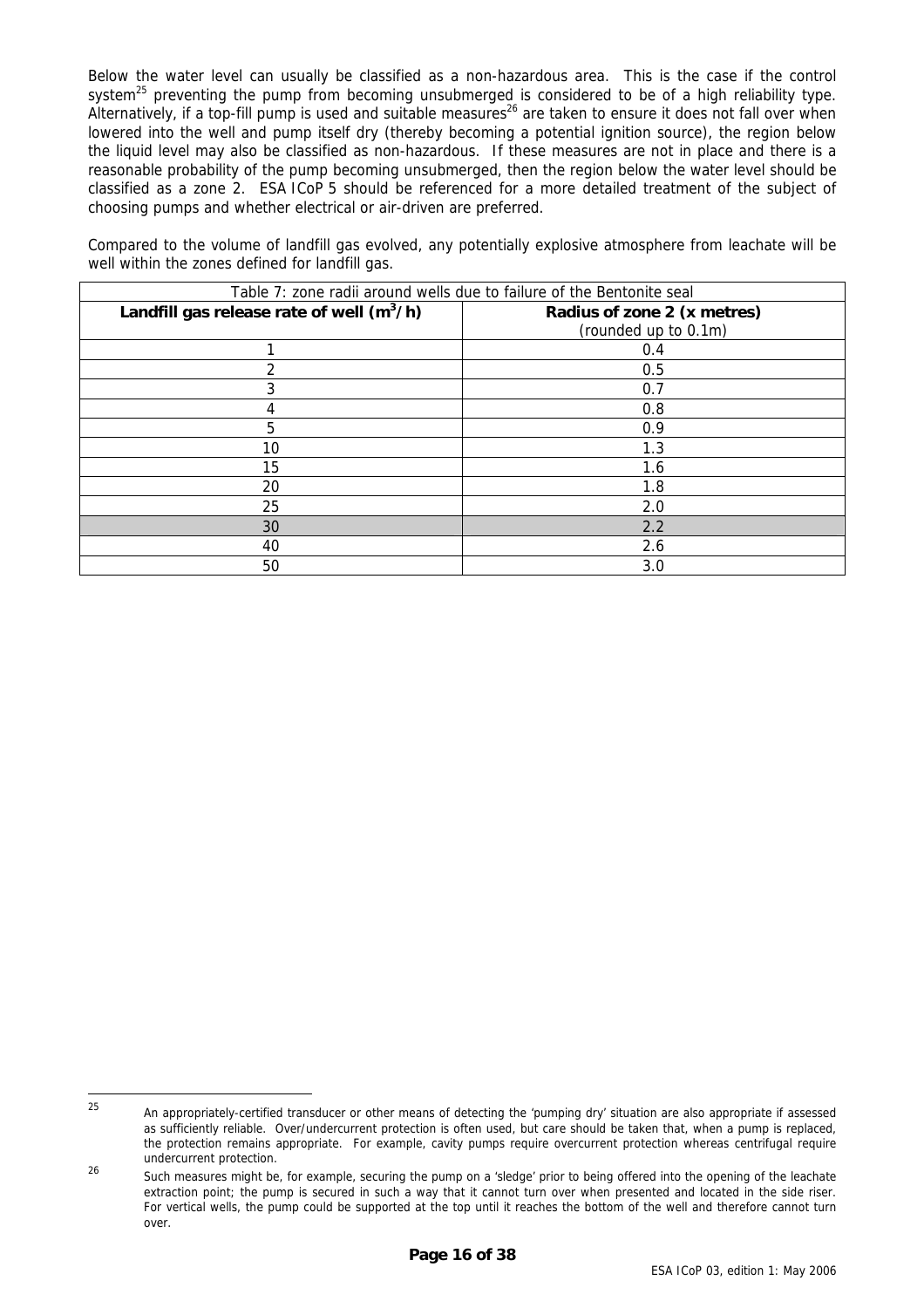<span id="page-15-0"></span>Below the water level can usually be classified as a non-hazardous area. This is the case if the control system<sup>25</sup> preventing the pump from becoming unsubmerged is considered to be of a high reliability type. Alternatively, if a top-fill pump is used and suitable measures<sup>26</sup> are taken to ensure it does not fall over when lowered into the well and pump itself dry (thereby becoming a potential ignition source), the region below the liquid level may also be classified as non-hazardous. If these measures are not in place and there is a reasonable probability of the pump becoming unsubmerged, then the region below the water level should be classified as a zone 2. ESA ICoP 5 should be referenced for a more detailed treatment of the subject of choosing pumps and whether electrical or air-driven are preferred.

<span id="page-15-1"></span>Compared to the volume of landfill gas evolved, any potentially explosive atmosphere from leachate will be well within the zones defined for landfill gas.

| Landfill gas release rate of well $(m^3/h)$<br>Radius of zone 2 (x metres) |  |
|----------------------------------------------------------------------------|--|
|                                                                            |  |
| (rounded up to 0.1m)                                                       |  |
| 0.4                                                                        |  |
| 0.5                                                                        |  |
| 3<br>0.7                                                                   |  |
| 0.8                                                                        |  |
| 5<br>0.9                                                                   |  |
| 10<br>1.3                                                                  |  |
| 15<br>1.6                                                                  |  |
| 20<br>1.8                                                                  |  |
| 25<br>2.0                                                                  |  |
| 30<br>2.2                                                                  |  |
| 2.6<br>40                                                                  |  |
| 50<br>3.0                                                                  |  |

<sup>-</sup>

<span id="page-15-2"></span><sup>&</sup>lt;sup>25</sup> An appropriately-certified transducer or other means of detecting the 'pumping dry' situation are also appropriate if assessed as sufficiently reliable. Over/undercurrent protection is often used, but care should be taken that, when a pump is replaced, the protection remains appropriate. For example, cavity pumps require overcurrent protection whereas centrifugal require undercurrent protection.

<span id="page-15-3"></span><sup>26</sup> Such measures might be, for example, securing the pump on a 'sledge' prior to being offered into the opening of the leachate extraction point; the pump is secured in such a way that it cannot turn over when presented and located in the side riser. For vertical wells, the pump could be supported at the top until it reaches the bottom of the well and therefore cannot turn over.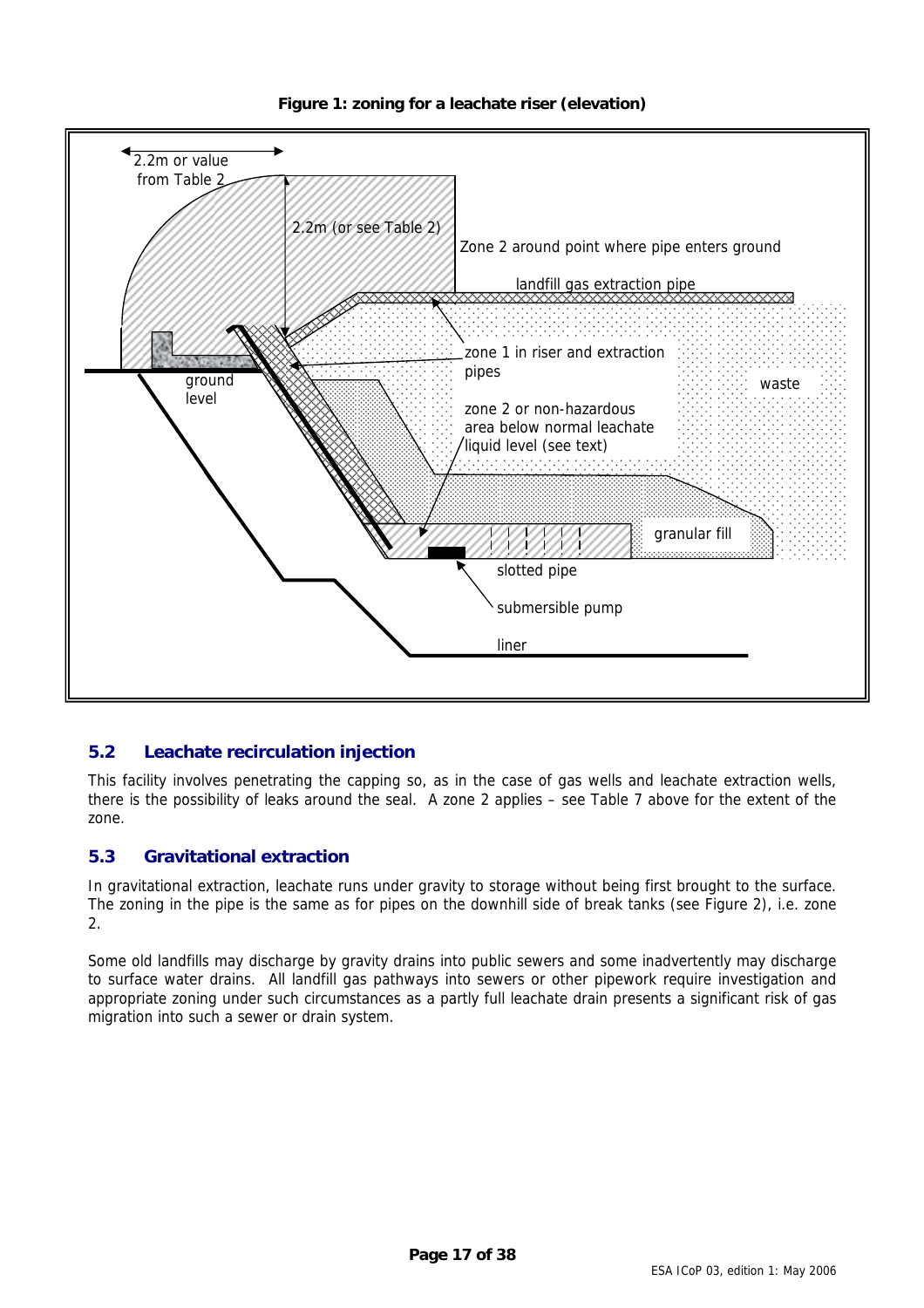<span id="page-16-1"></span>

<span id="page-16-0"></span>

# **5.2 Leachate recirculation injection**

This facility involves penetrating the capping so, as in the case of gas wells and leachate extraction wells, there is the possibility of leaks around the seal. A zone 2 applies – see Table [7](#page-15-1) above for the extent of the zone.

# **5.3 Gravitational extraction**

In gravitational extraction, leachate runs under gravity to storage without being first brought to the surface. The zoning in the pipe is the same as for pipes on the downhill side of break tanks (see Figure [2\)](#page-18-1), i.e. zone 2.

Some old landfills may discharge by gravity drains into public sewers and some inadvertently may discharge to surface water drains. All landfill gas pathways into sewers or other pipework require investigation and appropriate zoning under such circumstances as a partly full leachate drain presents a significant risk of gas migration into such a sewer or drain system.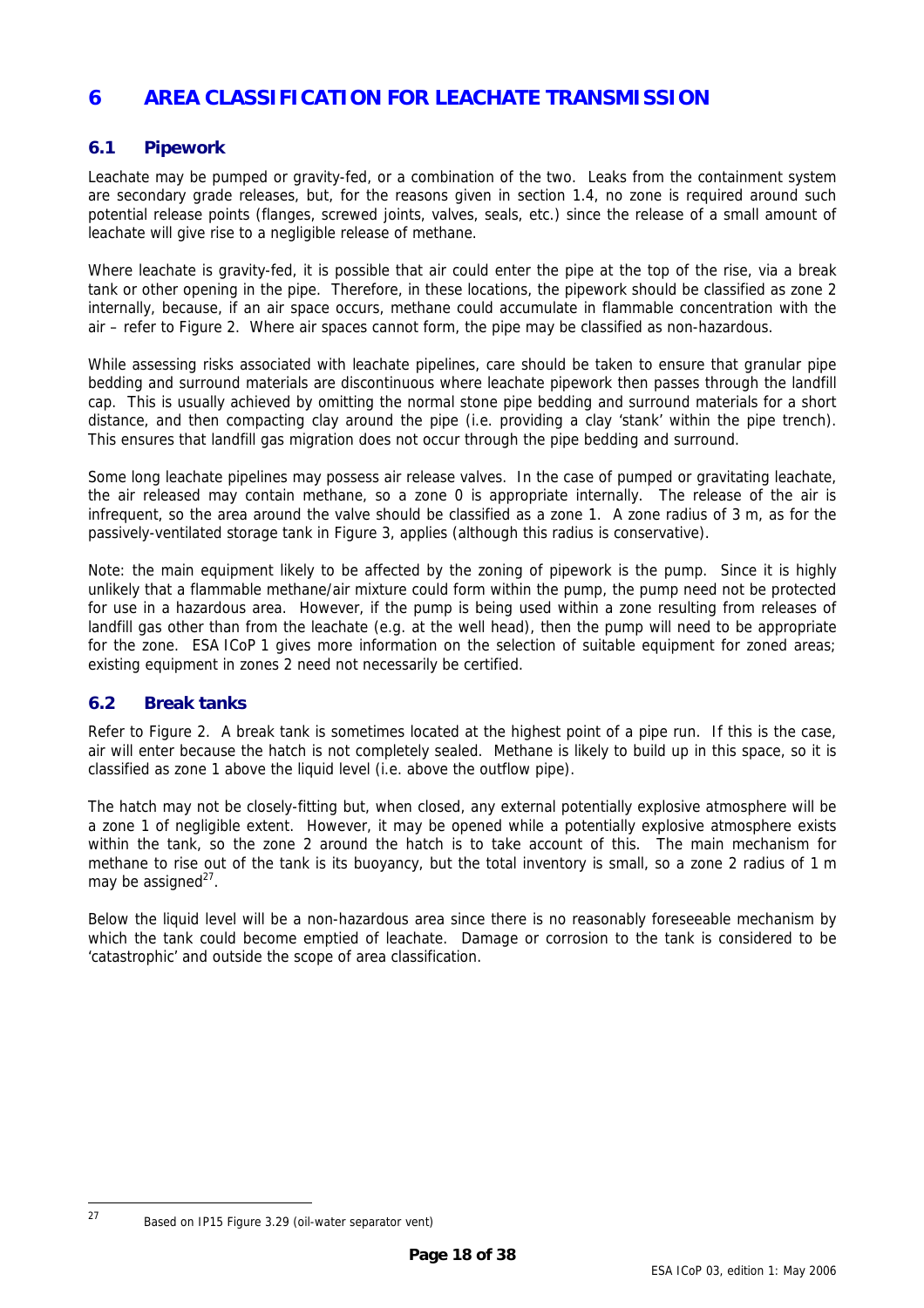# <span id="page-17-0"></span>**6 AREA CLASSIFICATION FOR LEACHATE TRANSMISSION**

### **6.1 Pipework**

Leachate may be pumped or gravity-fed, or a combination of the two. Leaks from the containment system are secondary grade releases, but, for the reasons given in section [1.4,](#page-6-2) no zone is required around such potential release points (flanges, screwed joints, valves, seals, etc.) since the release of a small amount of leachate will give rise to a negligible release of methane.

Where leachate is gravity-fed, it is possible that air could enter the pipe at the top of the rise, via a break tank or other opening in the pipe. Therefore, in these locations, the pipework should be classified as zone 2 internally, because, if an air space occurs, methane could accumulate in flammable concentration with the air – refer to Figure [2.](#page-18-1) Where air spaces cannot form, the pipe may be classified as non-hazardous.

While assessing risks associated with leachate pipelines, care should be taken to ensure that granular pipe bedding and surround materials are discontinuous where leachate pipework then passes through the landfill cap. This is usually achieved by omitting the normal stone pipe bedding and surround materials for a short distance, and then compacting clay around the pipe (i.e. providing a clay 'stank' within the pipe trench). This ensures that landfill gas migration does not occur through the pipe bedding and surround.

Some long leachate pipelines may possess air release valves. In the case of pumped or gravitating leachate, the air released may contain methane, so a zone 0 is appropriate internally. The release of the air is infrequent, so the area around the valve should be classified as a zone 1. A zone radius of 3 m, as for the passively-ventilated storage tank in Figure [3,](#page-19-1) applies (although this radius is conservative).

Note: the main equipment likely to be affected by the zoning of pipework is the pump. Since it is highly unlikely that a flammable methane/air mixture could form within the pump, the pump need not be protected for use in a hazardous area. However, if the pump is being used within a zone resulting from releases of landfill gas other than from the leachate (e.g. at the well head), then the pump will need to be appropriate for the zone. ESA ICoP 1 gives more information on the selection of suitable equipment for zoned areas; existing equipment in zones 2 need not necessarily be certified.

# **6.2 Break tanks**

Refer to Figure [2.](#page-18-1) A break tank is sometimes located at the highest point of a pipe run. If this is the case, air will enter because the hatch is not completely sealed. Methane is likely to build up in this space, so it is classified as zone 1 above the liquid level (i.e. above the outflow pipe).

The hatch may not be closely-fitting but, when closed, any external potentially explosive atmosphere will be a zone 1 of negligible extent. However, it may be opened while a potentially explosive atmosphere exists within the tank, so the zone 2 around the hatch is to take account of this. The main mechanism for methane to rise out of the tank is its buoyancy, but the total inventory is small, so a zone 2 radius of 1 m may be assigned $^{27}$ .

Below the liquid level will be a non-hazardous area since there is no reasonably foreseeable mechanism by which the tank could become emptied of leachate. Damage or corrosion to the tank is considered to be 'catastrophic' and outside the scope of area classification.

<span id="page-17-1"></span> $27$ 

Based on IP15 Figure 3.29 (oil-water separator vent)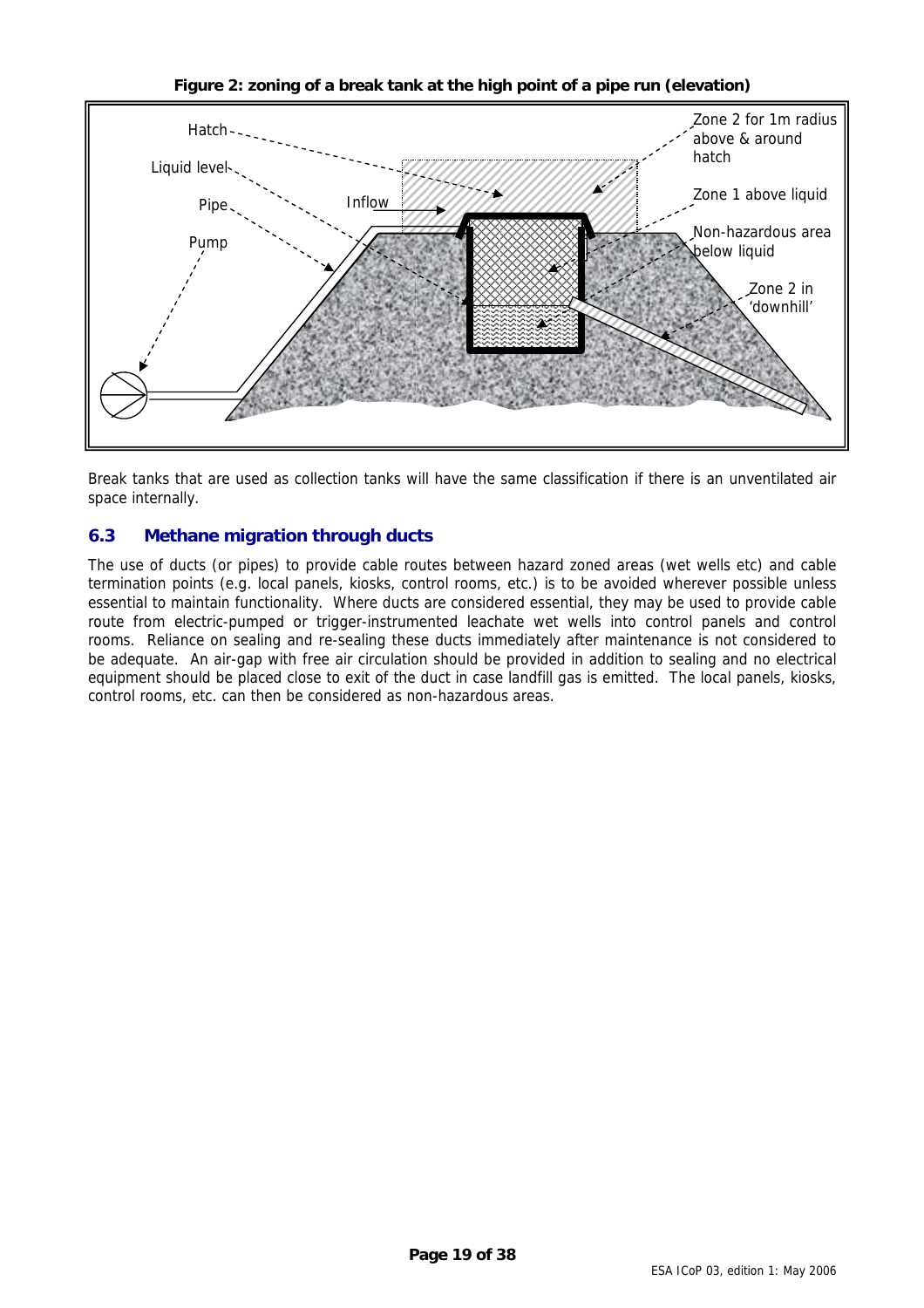<span id="page-18-1"></span>**Figure 2: zoning of a break tank at the high point of a pipe run (elevation)** 

<span id="page-18-0"></span>

Break tanks that are used as collection tanks will have the same classification if there is an unventilated air space internally.

# **6.3 Methane migration through ducts**

The use of ducts (or pipes) to provide cable routes between hazard zoned areas (wet wells etc) and cable termination points (e.g. local panels, kiosks, control rooms, etc.) is to be avoided wherever possible unless essential to maintain functionality. Where ducts are considered essential, they may be used to provide cable route from electric-pumped or trigger-instrumented leachate wet wells into control panels and control rooms. Reliance on sealing and re-sealing these ducts immediately after maintenance is not considered to be adequate. An air-gap with free air circulation should be provided in addition to sealing and no electrical equipment should be placed close to exit of the duct in case landfill gas is emitted. The local panels, kiosks, control rooms, etc. can then be considered as non-hazardous areas.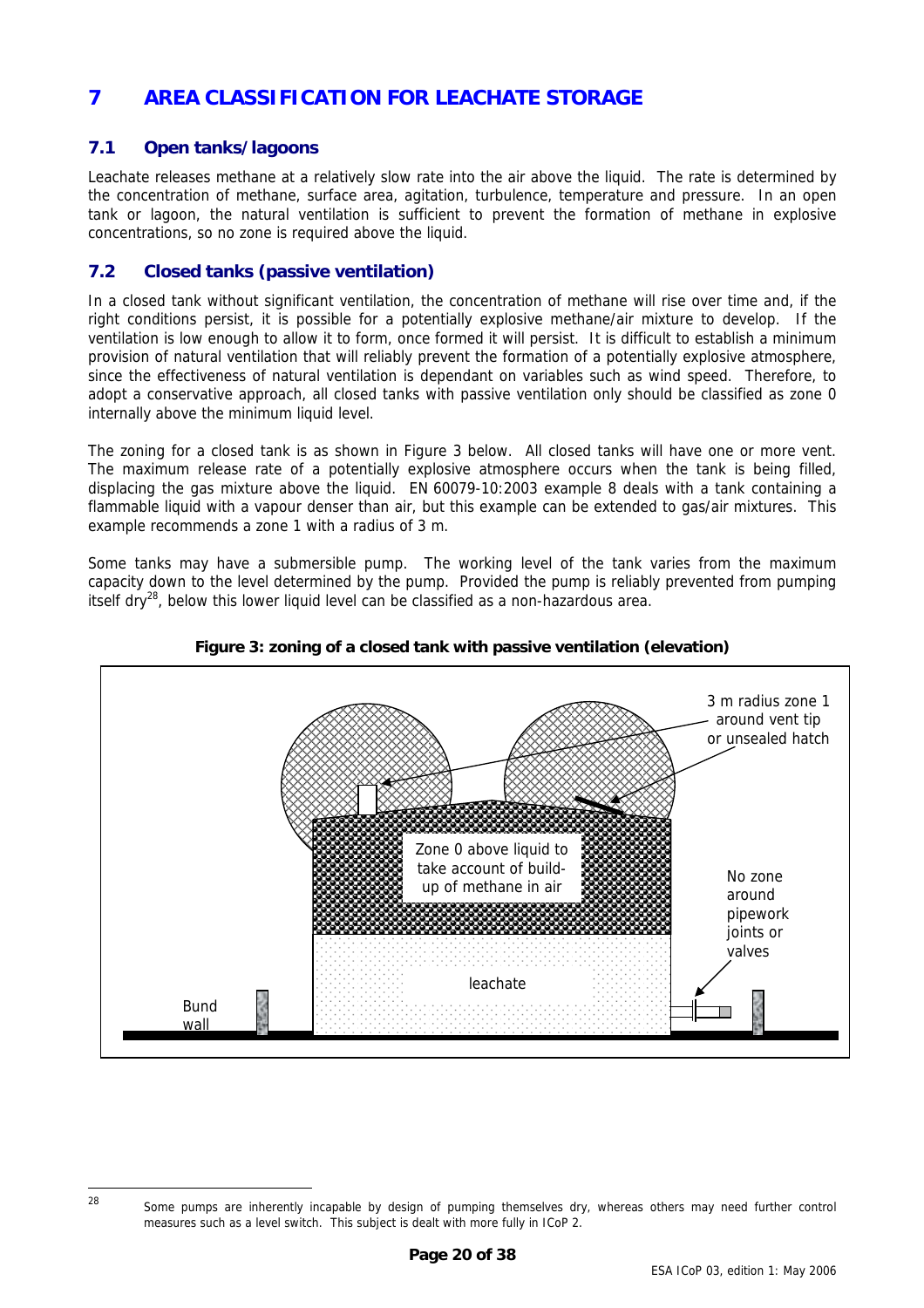# <span id="page-19-0"></span>**7 AREA CLASSIFICATION FOR LEACHATE STORAGE**

# <span id="page-19-3"></span>**7.1 Open tanks/lagoons**

Leachate releases methane at a relatively slow rate into the air above the liquid. The rate is determined by the concentration of methane, surface area, agitation, turbulence, temperature and pressure. In an open tank or lagoon, the natural ventilation is sufficient to prevent the formation of methane in explosive concentrations, so no zone is required above the liquid.

# **7.2 Closed tanks (passive ventilation)**

In a closed tank without significant ventilation, the concentration of methane will rise over time and, if the right conditions persist, it is possible for a potentially explosive methane/air mixture to develop. If the ventilation is low enough to allow it to form, once formed it will persist. It is difficult to establish a minimum provision of natural ventilation that will reliably prevent the formation of a potentially explosive atmosphere, since the effectiveness of natural ventilation is dependant on variables such as wind speed. Therefore, to adopt a conservative approach, all closed tanks with passive ventilation only should be classified as zone 0 internally above the minimum liquid level.

The zoning for a closed tank is as shown in Figure [3](#page-19-1) below. All closed tanks will have one or more vent. The maximum release rate of a potentially explosive atmosphere occurs when the tank is being filled, displacing the gas mixture above the liquid. EN 60079-10:2003 example 8 deals with a tank containing a flammable liquid with a vapour denser than air, but this example can be extended to gas/air mixtures. This example recommends a zone 1 with a radius of 3 m.

Some tanks may have a submersible pump. The working level of the tank varies from the maximum capacity down to the level determined by the pump. Provided the pump is reliably prevented from pumping itself dry<sup>28</sup>, below this lower liquid level can be classified as a non-hazardous area.



<span id="page-19-1"></span>

<span id="page-19-2"></span><sup>&</sup>lt;sup>28</sup> Some pumps are inherently incapable by design of pumping themselves dry, whereas others may need further control measures such as a level switch. This subject is dealt with more fully in ICoP 2.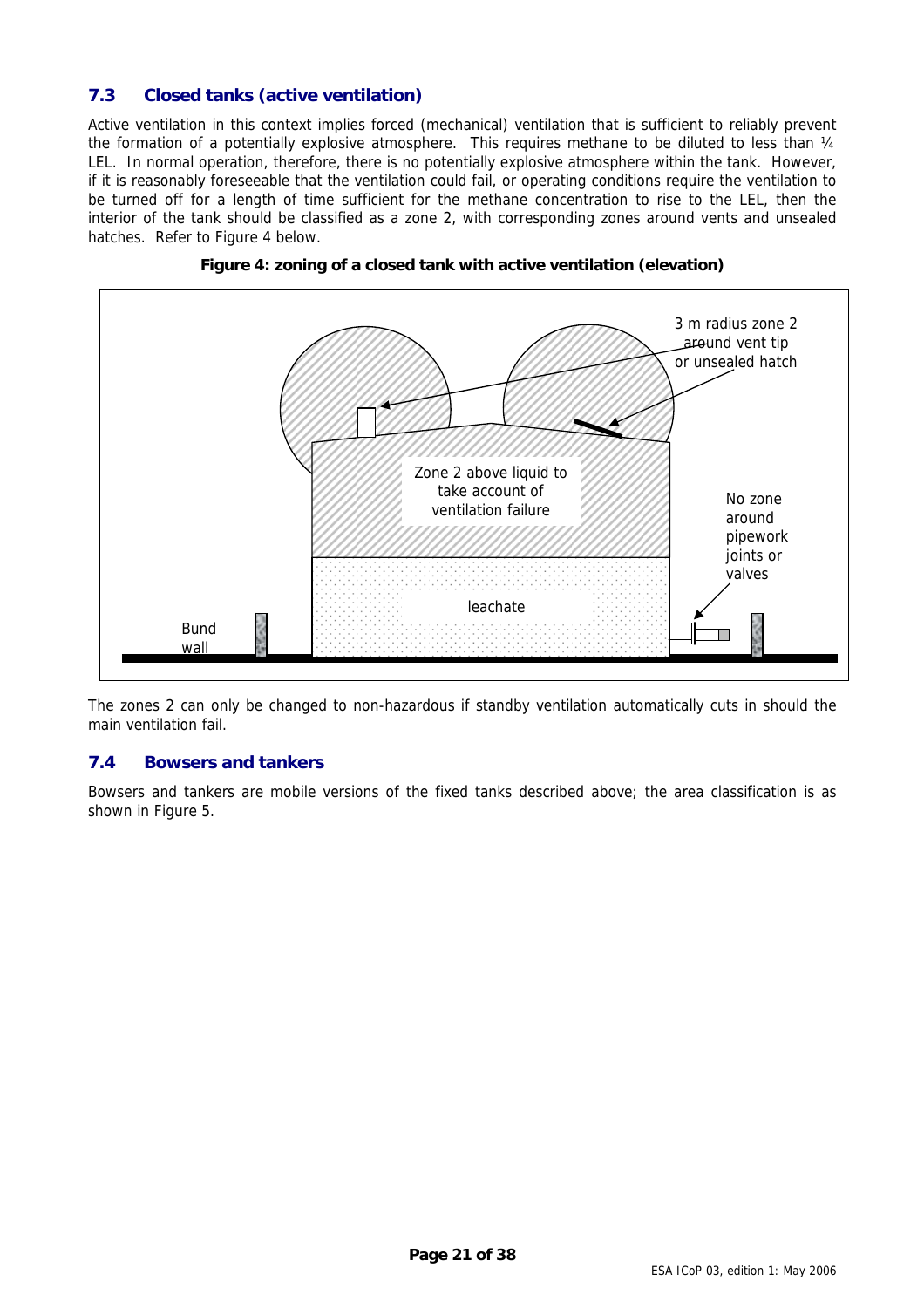# <span id="page-20-2"></span><span id="page-20-0"></span>**7.3 Closed tanks (active ventilation)**

Active ventilation in this context implies forced (mechanical) ventilation that is sufficient to reliably prevent the formation of a potentially explosive atmosphere. This requires methane to be diluted to less than 1/4 LEL. In normal operation, therefore, there is no potentially explosive atmosphere within the tank. However, if it is reasonably foreseeable that the ventilation could fail, or operating conditions require the ventilation to be turned off for a length of time sufficient for the methane concentration to rise to the LEL, then the interior of the tank should be classified as a zone 2, with corresponding zones around vents and unsealed hatches. Refer to Figure [4](#page-20-1) below.



<span id="page-20-1"></span>

The zones 2 can only be changed to non-hazardous if standby ventilation automatically cuts in should the main ventilation fail.

#### **7.4 Bowsers and tankers**

Bowsers and tankers are mobile versions of the fixed tanks described above; the area classification is as shown in Figure [5.](#page-25-1)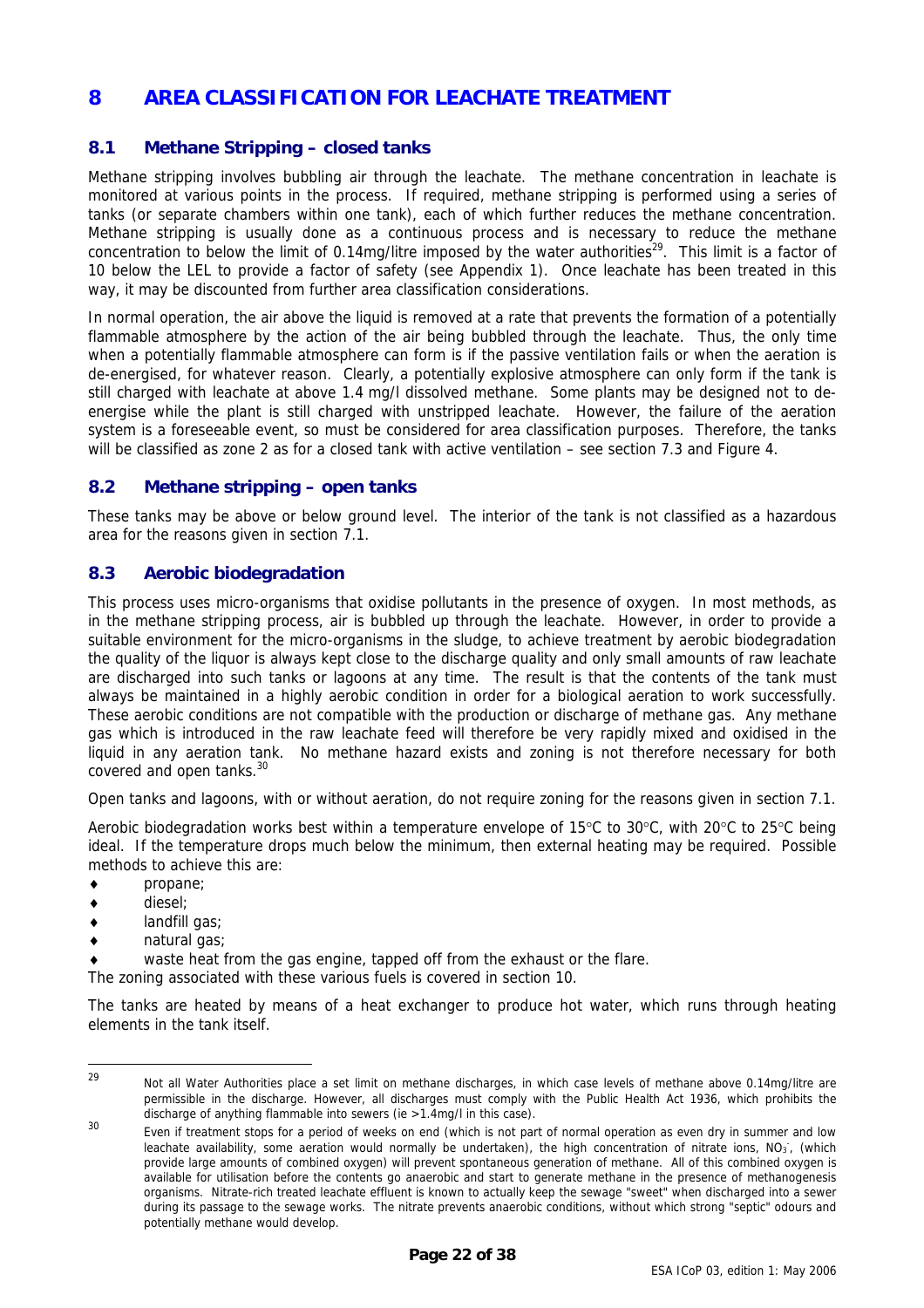# <span id="page-21-0"></span>**8 AREA CLASSIFICATION FOR LEACHATE TREATMENT**

### **8.1 Methane Stripping – closed tanks**

Methane stripping involves bubbling air through the leachate. The methane concentration in leachate is monitored at various points in the process. If required, methane stripping is performed using a series of tanks (or separate chambers within one tank), each of which further reduces the methane concentration. Methane stripping is usually done as a continuous process and is necessary to reduce the methane concentration to below the limit of 0.14mg/litre imposed by the water authorities<sup>29</sup>. This limit is a factor of 10 below the LEL to provide a factor of safety (see Appendix 1). Once leachate has been treated in this way, it may be discounted from further area classification considerations.

In normal operation, the air above the liquid is removed at a rate that prevents the formation of a potentially flammable atmosphere by the action of the air being bubbled through the leachate. Thus, the only time when a potentially flammable atmosphere can form is if the passive ventilation fails or when the aeration is de-energised, for whatever reason. Clearly, a potentially explosive atmosphere can only form if the tank is still charged with leachate at above 1.4 mg/l dissolved methane. Some plants may be designed not to deenergise while the plant is still charged with unstripped leachate. However, the failure of the aeration system is a foreseeable event, so must be considered for area classification purposes. Therefore, the tanks will be classified as zone 2 as for a closed tank with active ventilation – see section [7.3](#page-20-2) and Figure [4.](#page-20-1)

# **8.2 Methane stripping – open tanks**

These tanks may be above or below ground level. The interior of the tank is not classified as a hazardous area for the reasons given in section [7.1.](#page-19-3) 

### **8.3 Aerobic biodegradation**

This process uses micro-organisms that oxidise pollutants in the presence of oxygen. In most methods, as in the methane stripping process, air is bubbled up through the leachate. However, in order to provide a suitable environment for the micro-organisms in the sludge, to achieve treatment by aerobic biodegradation the quality of the liquor is always kept close to the discharge quality and only small amounts of raw leachate are discharged into such tanks or lagoons at any time. The result is that the contents of the tank must always be maintained in a highly aerobic condition in order for a biological aeration to work successfully. These aerobic conditions are not compatible with the production or discharge of methane gas. Any methane gas which is introduced in the raw leachate feed will therefore be very rapidly mixed and oxidised in the liquid in any aeration tank. No methane hazard exists and zoning is not therefore necessary for both covered and open tanks.<sup>[30](#page-21-2)</sup>

Open tanks and lagoons, with or without aeration, do not require zoning for the reasons given in section [7.1.](#page-19-3) 

Aerobic biodegradation works best within a temperature envelope of 15°C to 30°C, with 20°C to 25°C being ideal. If the temperature drops much below the minimum, then external heating may be required. Possible methods to achieve this are:

- propane;
- diesel;
- ♦ landfill gas;
- natural gas;

waste heat from the gas engine, tapped off from the exhaust or the flare.

The zoning associated with these various fuels is covered in section [10.](#page-26-1)

The tanks are heated by means of a heat exchanger to produce hot water, which runs through heating elements in the tank itself.

<span id="page-21-1"></span><sup>29</sup> Not all Water Authorities place a set limit on methane discharges, in which case levels of methane above 0.14mg/litre are permissible in the discharge. However, all discharges must comply with the Public Health Act 1936, which prohibits the discharge of anything flammable into sewers (ie >1.4mg/l in this case).

<span id="page-21-2"></span><sup>&</sup>lt;sup>30</sup> Even if treatment stops for a period of weeks on end (which is not part of normal operation as even dry in summer and low leachate availability, some aeration would normally be undertaken), the high concentration of nitrate ions, NO<sub>3</sub>, (which provide large amounts of combined oxygen) will prevent spontaneous generation of methane. All of this combined oxygen is available for utilisation before the contents go anaerobic and start to generate methane in the presence of methanogenesis organisms. Nitrate-rich treated leachate effluent is known to actually keep the sewage "sweet" when discharged into a sewer during its passage to the sewage works. The nitrate prevents anaerobic conditions, without which strong "septic" odours and potentially methane would develop.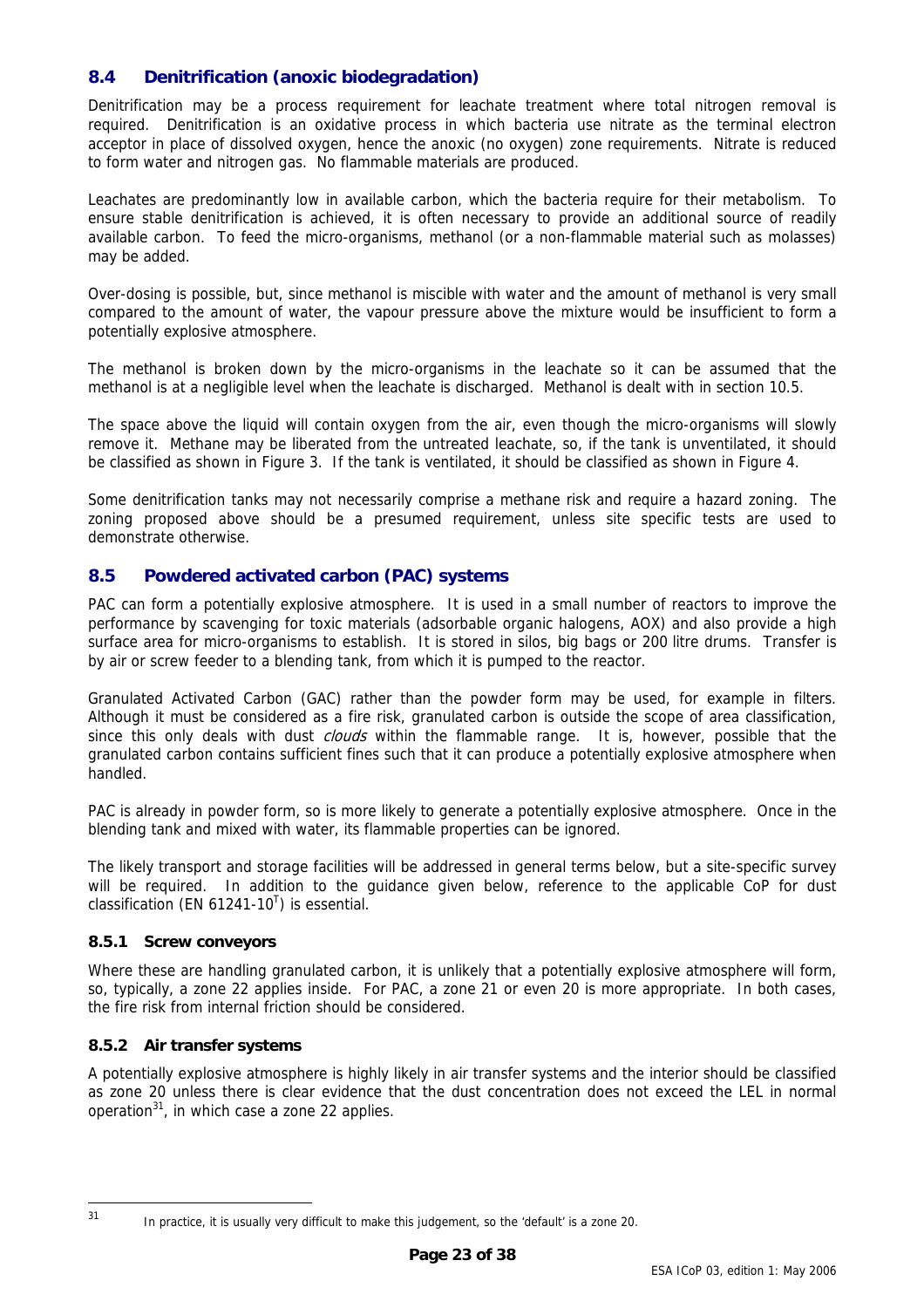# <span id="page-22-0"></span>**8.4 Denitrification (anoxic biodegradation)**

Denitrification may be a process requirement for leachate treatment where total nitrogen removal is required. Denitrification is an oxidative process in which bacteria use nitrate as the terminal electron acceptor in place of dissolved oxygen, hence the anoxic (no oxygen) zone requirements. Nitrate is reduced to form water and nitrogen gas. No flammable materials are produced.

Leachates are predominantly low in available carbon, which the bacteria require for their metabolism. To ensure stable denitrification is achieved, it is often necessary to provide an additional source of readily available carbon. To feed the micro-organisms, methanol (or a non-flammable material such as molasses) may be added.

Over-dosing is possible, but, since methanol is miscible with water and the amount of methanol is very small compared to the amount of water, the vapour pressure above the mixture would be insufficient to form a potentially explosive atmosphere.

The methanol is broken down by the micro-organisms in the leachate so it can be assumed that the methanol is at a negligible level when the leachate is discharged. Methanol is dealt with in section [10.5.](#page-30-1) 

The space above the liquid will contain oxygen from the air, even though the micro-organisms will slowly remove it. Methane may be liberated from the untreated leachate, so, if the tank is unventilated, it should be classified as shown in Figure [3.](#page-19-1) If the tank is ventilated, it should be classified as shown in Figure [4.](#page-20-1) 

Some denitrification tanks may not necessarily comprise a methane risk and require a hazard zoning. The zoning proposed above should be a presumed requirement, unless site specific tests are used to demonstrate otherwise.

# <span id="page-22-1"></span>**8.5 Powdered activated carbon (PAC) systems**

PAC can form a potentially explosive atmosphere. It is used in a small number of reactors to improve the performance by scavenging for toxic materials (adsorbable organic halogens, AOX) and also provide a high surface area for micro-organisms to establish. It is stored in silos, big bags or 200 litre drums. Transfer is by air or screw feeder to a blending tank, from which it is pumped to the reactor.

Granulated Activated Carbon (GAC) rather than the powder form may be used, for example in filters. Although it must be considered as a fire risk, granulated carbon is outside the scope of area classification, since this only deals with dust *clouds* within the flammable range. It is, however, possible that the granulated carbon contains sufficient fines such that it can produce a potentially explosive atmosphere when handled.

PAC is already in powder form, so is more likely to generate a potentially explosive atmosphere. Once in the blending tank and mixed with water, its flammable properties can be ignored.

The likely transport and storage facilities will be addressed in general terms below, but a site-specific survey will be required. In addition to the guidance given below, reference to the applicable CoP for dust classification (EN 61241-10<sup>[T](#page-37-20)</sup>) is essential.

#### **8.5.1 Screw conveyors**

Where these are handling granulated carbon, it is unlikely that a potentially explosive atmosphere will form, so, typically, a zone 22 applies inside. For PAC, a zone 21 or even 20 is more appropriate. In both cases, the fire risk from internal friction should be considered.

#### **8.5.2 Air transfer systems**

A potentially explosive atmosphere is highly likely in air transfer systems and the interior should be classified as zone 20 unless there is clear evidence that the dust concentration does not exceed the LEL in normal operation $31$ , in which case a zone 22 applies.

<span id="page-22-2"></span> $31$ 

In practice, it is usually very difficult to make this judgement, so the 'default' is a zone 20.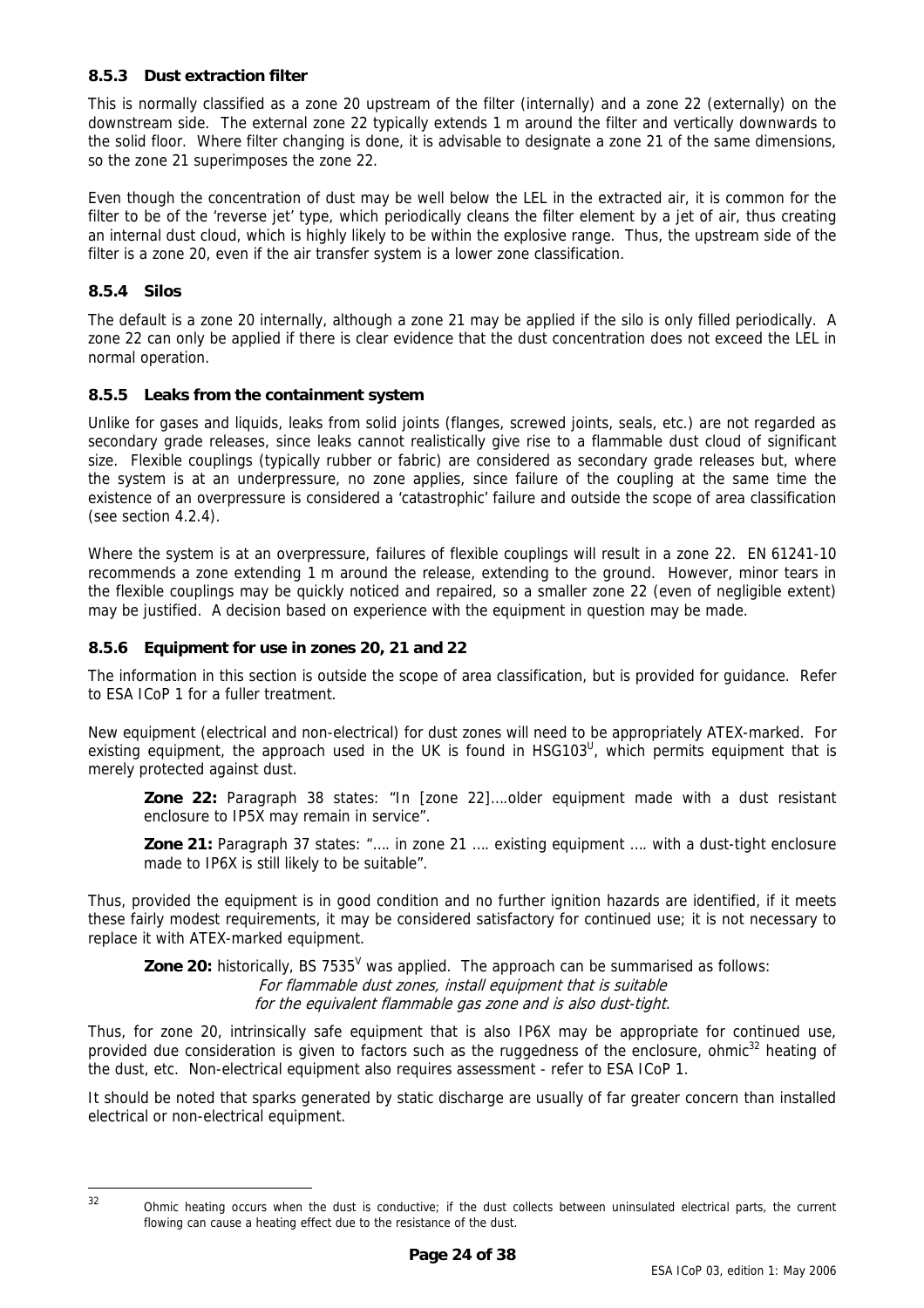#### **8.5.3 Dust extraction filter**

This is normally classified as a zone 20 upstream of the filter (internally) and a zone 22 (externally) on the downstream side. The external zone 22 typically extends 1 m around the filter and vertically downwards to the solid floor. Where filter changing is done, it is advisable to designate a zone 21 of the same dimensions, so the zone 21 superimposes the zone 22.

Even though the concentration of dust may be well below the LEL in the extracted air, it is common for the filter to be of the 'reverse jet' type, which periodically cleans the filter element by a jet of air, thus creating an internal dust cloud, which is highly likely to be within the explosive range. Thus, the upstream side of the filter is a zone 20, even if the air transfer system is a lower zone classification.

#### **8.5.4 Silos**

The default is a zone 20 internally, although a zone 21 may be applied if the silo is only filled periodically. A zone 22 can only be applied if there is clear evidence that the dust concentration does not exceed the LEL in normal operation.

#### **8.5.5 Leaks from the containment system**

Unlike for gases and liquids, leaks from solid joints (flanges, screwed joints, seals, etc.) are not regarded as secondary grade releases, since leaks cannot realistically give rise to a flammable dust cloud of significant size. Flexible couplings (typically rubber or fabric) are considered as secondary grade releases but, where the system is at an underpressure, no zone applies, since failure of the coupling at the same time the existence of an overpressure is considered a 'catastrophic' failure and outside the scope of area classification (see section [4.2.4\)](#page-12-1).

Where the system is at an overpressure, failures of flexible couplings will result in a zone 22. EN 61241-10 recommends a zone extending 1 m around the release, extending to the ground. However, minor tears in the flexible couplings may be quickly noticed and repaired, so a smaller zone 22 (even of negligible extent) may be justified. A decision based on experience with the equipment in question may be made.

### **8.5.6 Equipment for use in zones 20, 21 and 22**

The information in this section is outside the scope of area classification, but is provided for guidance. Refer to ESA ICoP 1 for a fuller treatment.

New equipment (electrical and non-electrical) for dust zones will need to be appropriately ATEX-marked. For existing equipment, the approach used in the UK is found in HSG103<sup>U</sup>, which permits equipment that is merely protected against dust.

**Zone 22:** Paragraph 38 states: "In [zone 22]….older equipment made with a dust resistant enclosure to IP5X may remain in service".

**Zone 21:** Paragraph 37 states: "…. in zone 21 …. existing equipment …. with a dust-tight enclosure made to IP6X is still likely to be suitable".

Thus, provided the equipment is in good condition and no further ignition hazards are identified, if it meets these fairly modest requirements, it may be considered satisfactory for continued use; it is not necessary to replace it with ATEX-marked equipment.

**Zone 20:** historically, BS 7535<sup>[V](#page-37-22)</sup> was applied. The approach can be summarised as follows: For flammable dust zones, install equipment that is suitable for the equivalent flammable gas zone and is also dust-tight.

Thus, for zone 20, intrinsically safe equipment that is also IP6X may be appropriate for continued use, provided due consideration is given to factors such as the ruggedness of the enclosure, ohmic<sup>32</sup> heating of the dust, etc. Non-electrical equipment also requires assessment - refer to ESA ICoP 1.

It should be noted that sparks generated by static discharge are usually of far greater concern than installed electrical or non-electrical equipment.

<span id="page-23-0"></span> $32$ 

Ohmic heating occurs when the dust is conductive; if the dust collects between uninsulated electrical parts, the current flowing can cause a heating effect due to the resistance of the dust.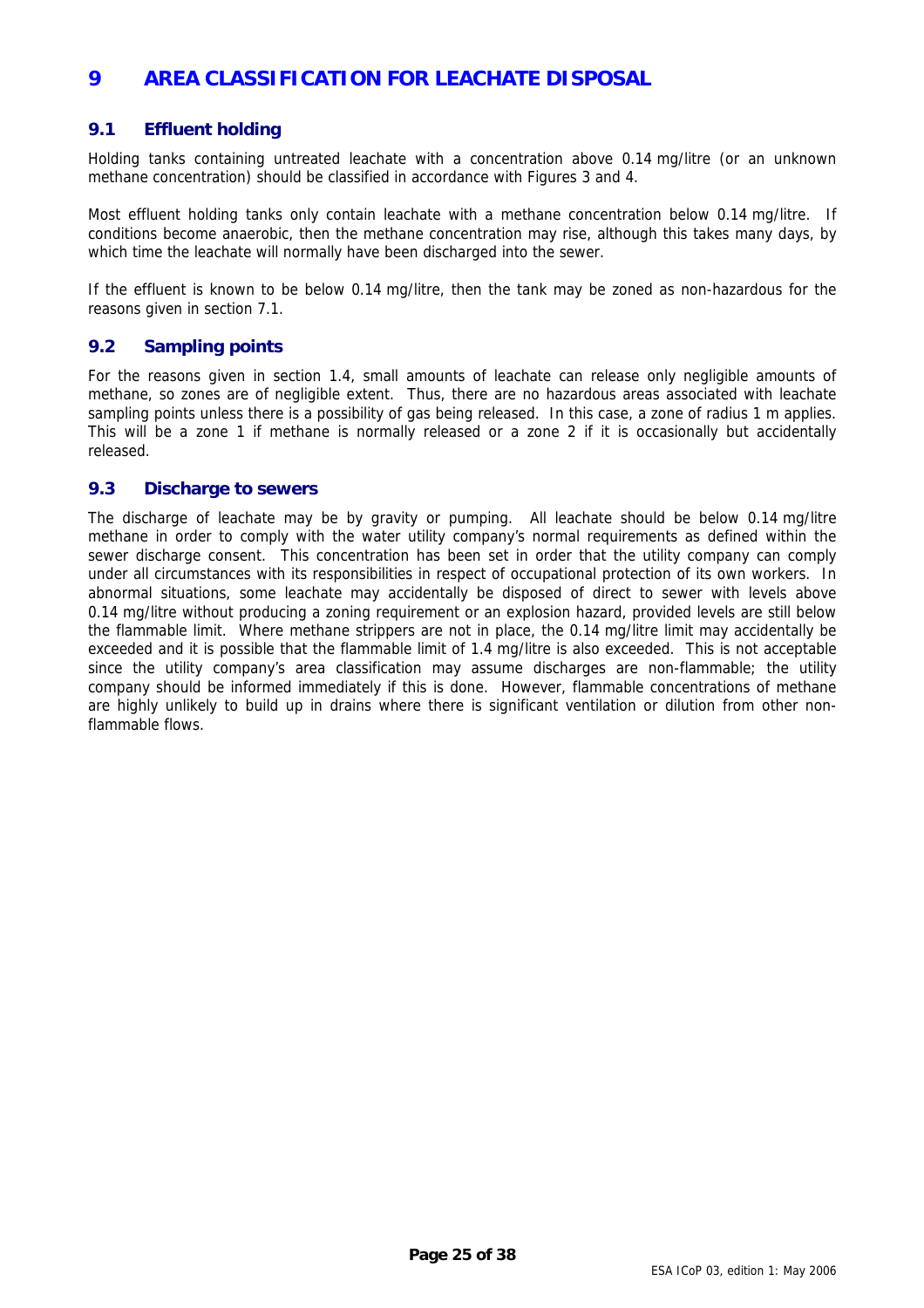# <span id="page-24-0"></span>**9 AREA CLASSIFICATION FOR LEACHATE DISPOSAL**

# **9.1 Effluent holding**

Holding tanks containing untreated leachate with a concentration above 0.14 mg/litre (or an unknown methane concentration) should be classified in accordance with Figures [3](#page-19-1) and [4.](#page-20-1)

Most effluent holding tanks only contain leachate with a methane concentration below 0.14 mg/litre. If conditions become anaerobic, then the methane concentration may rise, although this takes many days, by which time the leachate will normally have been discharged into the sewer.

If the effluent is known to be below 0.14 mg/litre, then the tank may be zoned as non-hazardous for the reasons given in section [7.1.](#page-19-3) 

### **9.2 Sampling points**

For the reasons given in section [1.4,](#page-6-2) small amounts of leachate can release only negligible amounts of methane, so zones are of negligible extent. Thus, there are no hazardous areas associated with leachate sampling points unless there is a possibility of gas being released. In this case, a zone of radius 1 m applies. This will be a zone 1 if methane is normally released or a zone 2 if it is occasionally but accidentally released.

### **9.3 Discharge to sewers**

The discharge of leachate may be by gravity or pumping. All leachate should be below 0.14 mg/litre methane in order to comply with the water utility company's normal requirements as defined within the sewer discharge consent. This concentration has been set in order that the utility company can comply under all circumstances with its responsibilities in respect of occupational protection of its own workers. In abnormal situations, some leachate may accidentally be disposed of direct to sewer with levels above 0.14 mg/litre without producing a zoning requirement or an explosion hazard, provided levels are still below the flammable limit. Where methane strippers are not in place, the 0.14 mg/litre limit may accidentally be exceeded and it is possible that the flammable limit of 1.4 mg/litre is also exceeded. This is not acceptable since the utility company's area classification may assume discharges are non-flammable; the utility company should be informed immediately if this is done. However, flammable concentrations of methane are highly unlikely to build up in drains where there is significant ventilation or dilution from other nonflammable flows.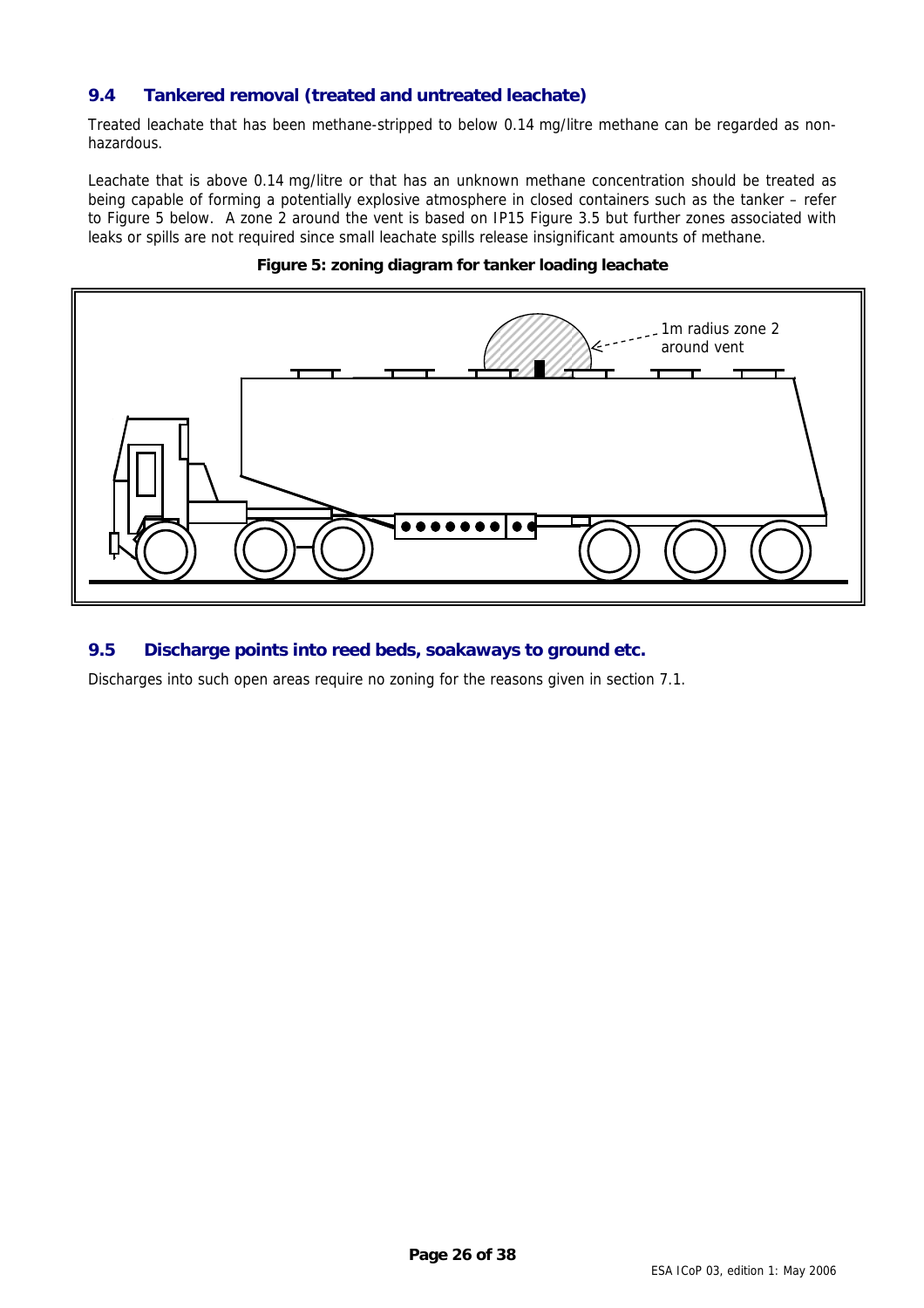# <span id="page-25-0"></span>**9.4 Tankered removal (treated and untreated leachate)**

Treated leachate that has been methane-stripped to below 0.14 mg/litre methane can be regarded as nonhazardous.

Leachate that is above 0.14 mg/litre or that has an unknown methane concentration should be treated as being capable of forming a potentially explosive atmosphere in closed containers such as the tanker – refer to Figure [5](#page-25-1) below. A zone 2 around the vent is based on IP15 Figure 3.5 but further zones associated with leaks or spills are not required since small leachate spills release insignificant amounts of methane.



### <span id="page-25-1"></span>**Figure 5: zoning diagram for tanker loading leachate**

# **9.5 Discharge points into reed beds, soakaways to ground etc.**

Discharges into such open areas require no zoning for the reasons given in section [7.1.](#page-19-3)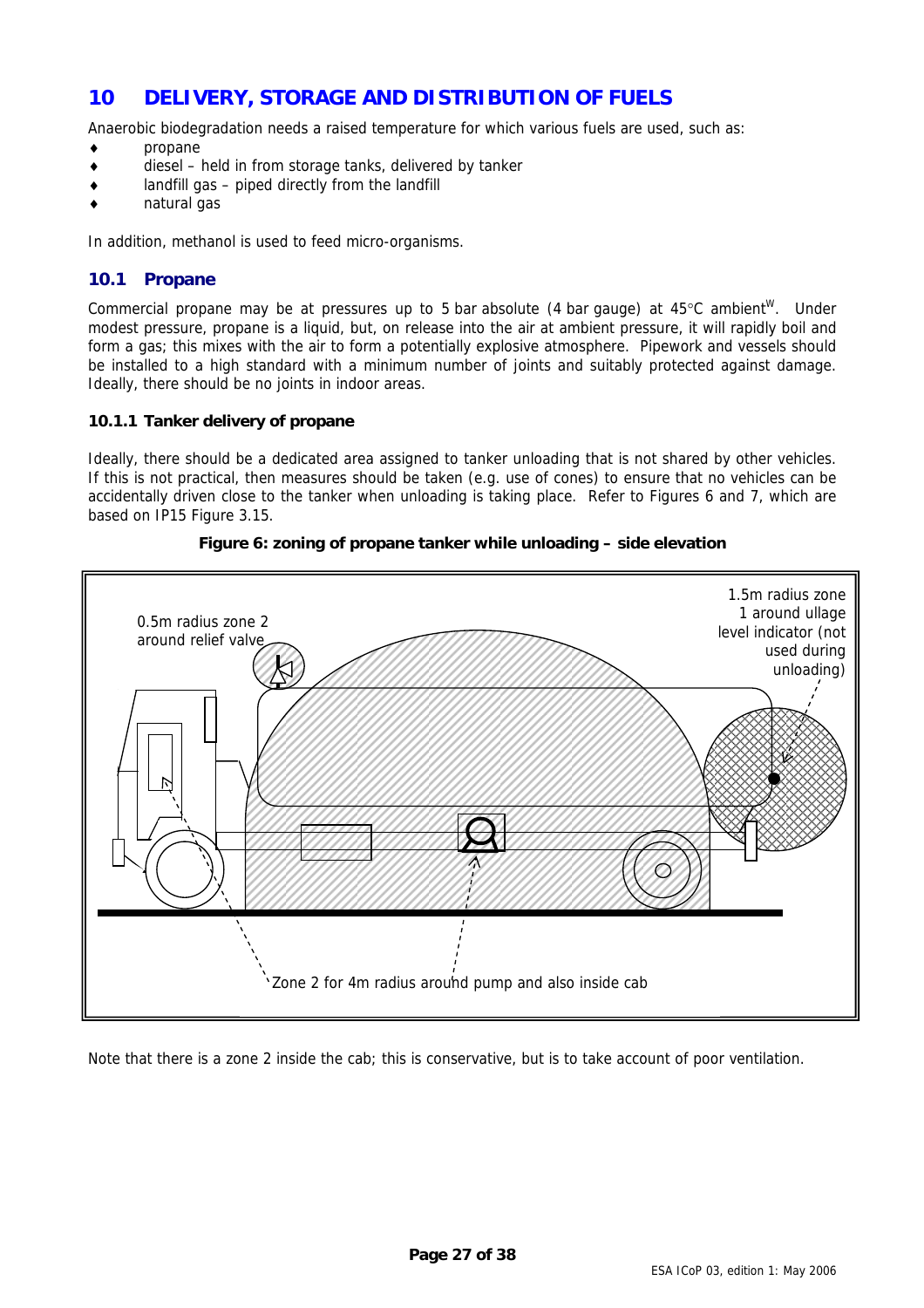# <span id="page-26-1"></span><span id="page-26-0"></span>**10 DELIVERY, STORAGE AND DISTRIBUTION OF FUELS**

Anaerobic biodegradation needs a raised temperature for which various fuels are used, such as:

- ♦ propane
- diesel held in from storage tanks, delivered by tanker
- $landfill$  gas piped directly from the landfill
- natural gas

In addition, methanol is used to feed micro-organisms.

# **10.1 Propane**

Commercial propane may be at pressures up to 5 bar absolute (4 bar gauge) at  $45^{\circ}$ C ambient<sup>w</sup>. Under modest pressure, propane is a liquid, but, on release into the air at ambient pressure, it will rapidly boil and form a gas; this mixes with the air to form a potentially explosive atmosphere. Pipework and vessels should be installed to a high standard with a minimum number of joints and suitably protected against damage. Ideally, there should be no joints in indoor areas.

### **10.1.1 Tanker delivery of propane**

Ideally, there should be a dedicated area assigned to tanker unloading that is not shared by other vehicles. If this is not practical, then measures should be taken (e.g. use of cones) to ensure that no vehicles can be accidentally driven close to the tanker when unloading is taking place. Refer to Figures [6](#page-26-2) and [7,](#page-27-1) which are based on IP15 Figure 3.15.



<span id="page-26-2"></span>

Note that there is a zone 2 inside the cab; this is conservative, but is to take account of poor ventilation.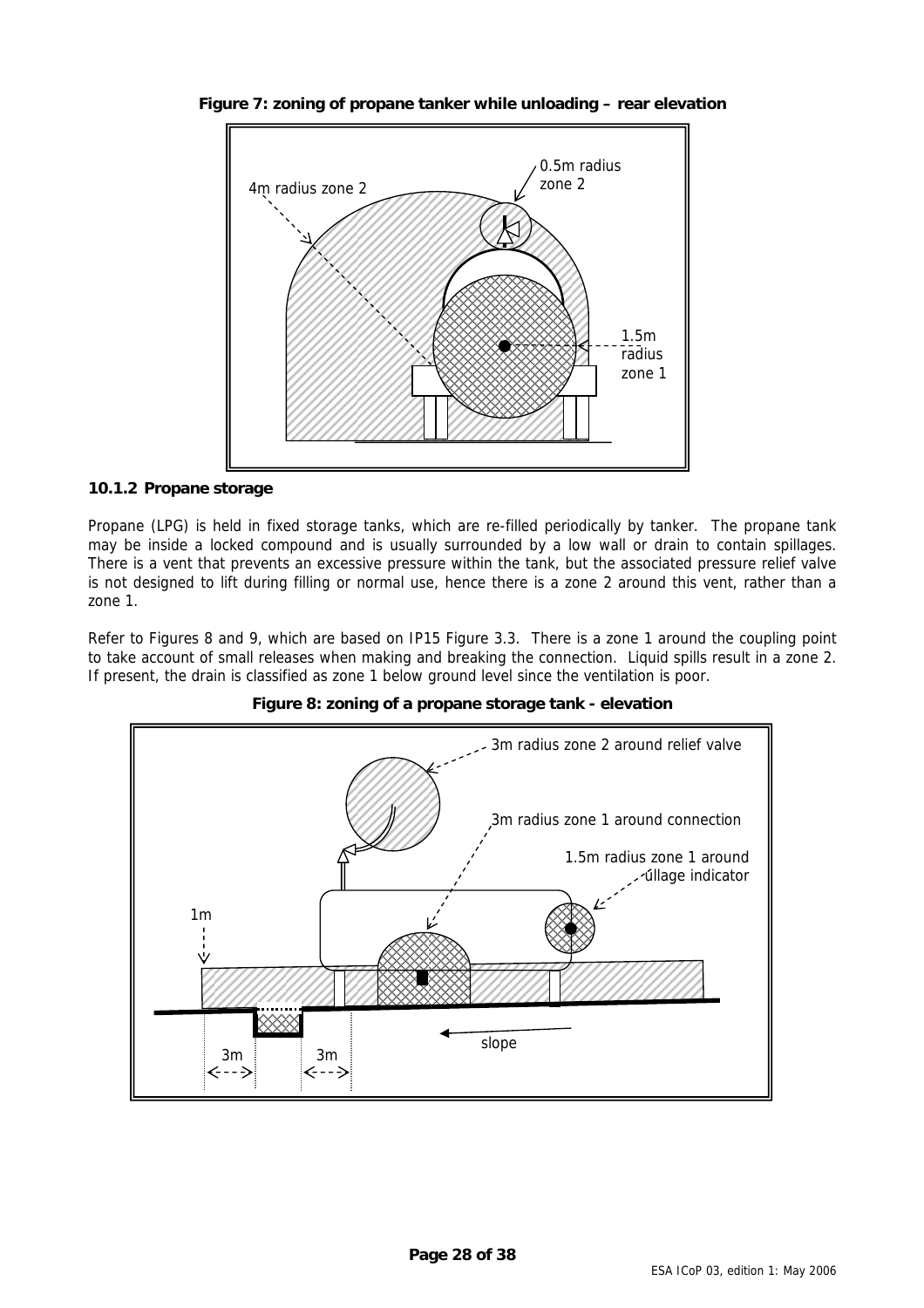<span id="page-27-1"></span>

<span id="page-27-0"></span>**Figure 7: zoning of propane tanker while unloading – rear elevation**

### **10.1.2 Propane storage**

Propane (LPG) is held in fixed storage tanks, which are re-filled periodically by tanker. The propane tank may be inside a locked compound and is usually surrounded by a low wall or drain to contain spillages. There is a vent that prevents an excessive pressure within the tank, but the associated pressure relief valve is not designed to lift during filling or normal use, hence there is a zone 2 around this vent, rather than a zone 1.

Refer to Figures [8](#page-27-2) and [9,](#page-28-1) which are based on IP15 Figure 3.3. There is a zone 1 around the coupling point to take account of small releases when making and breaking the connection. Liquid spills result in a zone 2. If present, the drain is classified as zone 1 below ground level since the ventilation is poor.

<span id="page-27-2"></span>

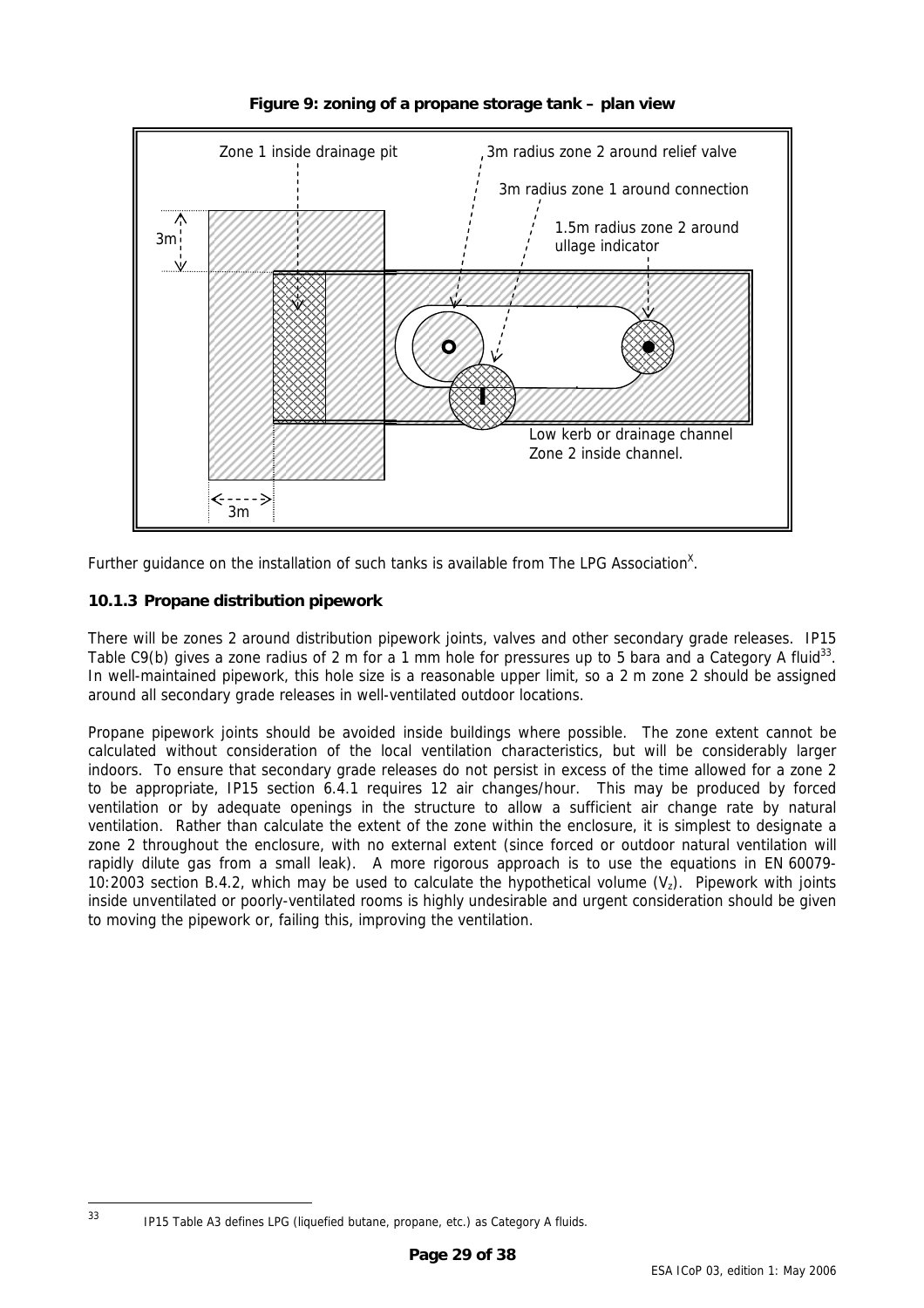<span id="page-28-0"></span>

<span id="page-28-1"></span>**Figure 9: zoning of a propane storage tank – plan view**

Further guidance on the installation of such tanks is available from The LPG Association<sup>x</sup>.

# **10.1.3 Propane distribution pipework**

There will be zones 2 around distribution pipework joints, valves and other secondary grade releases. IP15 Table C9(b) gives a zone radius of 2 m for a 1 mm hole for pressures up to 5 bara and a Category A fluid<sup>33</sup>. In well-maintained pipework, this hole size is a reasonable upper limit, so a 2 m zone 2 should be assigned around all secondary grade releases in well-ventilated outdoor locations.

Propane pipework joints should be avoided inside buildings where possible. The zone extent cannot be calculated without consideration of the local ventilation characteristics, but will be considerably larger indoors. To ensure that secondary grade releases do not persist in excess of the time allowed for a zone 2 to be appropriate, IP15 section 6.4.1 requires 12 air changes/hour. This may be produced by forced ventilation or by adequate openings in the structure to allow a sufficient air change rate by natural ventilation. Rather than calculate the extent of the zone within the enclosure, it is simplest to designate a zone 2 throughout the enclosure, with no external extent (since forced or outdoor natural ventilation will rapidly dilute gas from a small leak). A more rigorous approach is to use the equations in EN 60079- 10:2003 section B.4.2, which may be used to calculate the hypothetical volume  $(V<sub>z</sub>)$ . Pipework with joints inside unventilated or poorly-ventilated rooms is highly undesirable and urgent consideration should be given to moving the pipework or, failing this, improving the ventilation.

<span id="page-28-2"></span>

 <sup>33</sup> IP15 Table A3 defines LPG (liquefied butane, propane, etc.) as Category A fluids.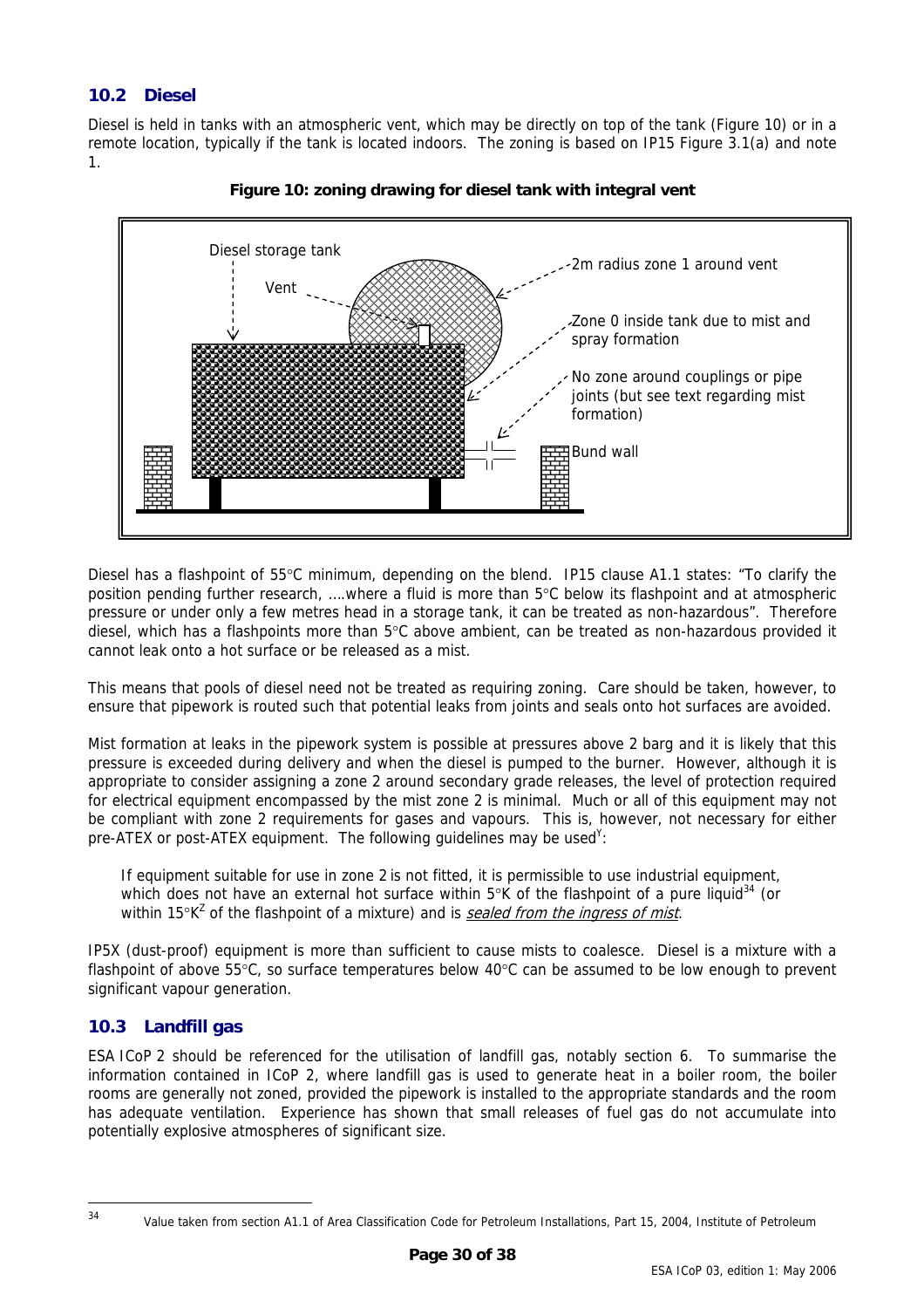# <span id="page-29-0"></span>**10.2 Diesel**

Diesel is held in tanks with an atmospheric vent, which may be directly on top of the tank (Figure [10\)](#page-29-1) or in a remote location, typically if the tank is located indoors. The zoning is based on IP15 Figure 3.1(a) and note 1.



<span id="page-29-1"></span>

Diesel has a flashpoint of 55°C minimum, depending on the blend. IP15 clause A1.1 states: "To clarify the position pending further research, ….where a fluid is more than 5°C below its flashpoint and at atmospheric pressure or under only a few metres head in a storage tank, it can be treated as non-hazardous". Therefore diesel, which has a flashpoints more than 5°C above ambient, can be treated as non-hazardous provided it cannot leak onto a hot surface or be released as a mist.

This means that pools of diesel need not be treated as requiring zoning. Care should be taken, however, to ensure that pipework is routed such that potential leaks from joints and seals onto hot surfaces are avoided.

Mist formation at leaks in the pipework system is possible at pressures above 2 barg and it is likely that this pressure is exceeded during delivery and when the diesel is pumped to the burner. However, although it is appropriate to consider assigning a zone 2 around secondary grade releases, the level of protection required for electrical equipment encompassed by the mist zone 2 is minimal. Much or all of this equipment may not be compliant with zone 2 requirements for gases and vapours. This is, however, not necessary for either pre-ATEX or post-ATEX equipment. The following guidelines may be used<sup>Y</sup>:

If equipment suitable for use in zone 2 is not fitted, it is permissible to use industrial equipment, which does not have an external hot surface within  $5^{\circ}$ K of the flashpoint of a pure liquid<sup>34</sup> (or within 15°K<sup>Z</sup> of the flashpoint of a mixture) and is **sealed from the ingress of mist**.

IP5X (dust-proof) equipment is more than sufficient to cause mists to coalesce. Diesel is a mixture with a flashpoint of above 55°C, so surface temperatures below 40°C can be assumed to be low enough to prevent significant vapour generation.

# **10.3 Landfill gas**

ESA ICoP 2 should be referenced for the utilisation of landfill gas, notably section 6. To summarise the information contained in ICoP 2, where landfill gas is used to generate heat in a boiler room, the boiler rooms are generally not zoned, provided the pipework is installed to the appropriate standards and the room has adequate ventilation. Experience has shown that small releases of fuel gas do not accumulate into potentially explosive atmospheres of significant size.

<span id="page-29-2"></span>

 <sup>34</sup> Value taken from section A1.1 of Area Classification Code for Petroleum Installations, Part 15, 2004, Institute of Petroleum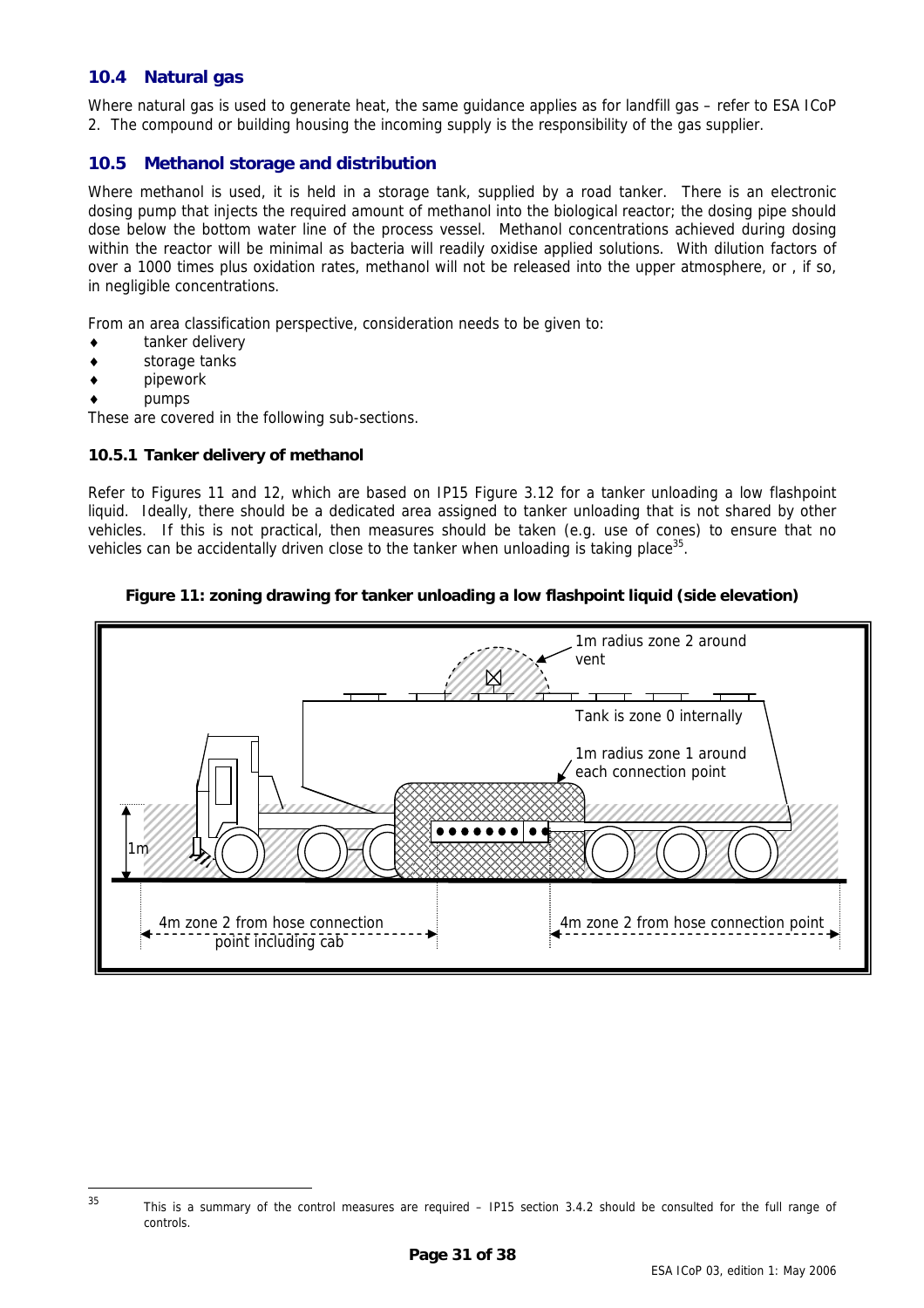### <span id="page-30-0"></span>**10.4 Natural gas**

Where natural gas is used to generate heat, the same guidance applies as for landfill gas – refer to ESA ICoP 2. The compound or building housing the incoming supply is the responsibility of the gas supplier.

#### <span id="page-30-1"></span>**10.5 Methanol storage and distribution**

Where methanol is used, it is held in a storage tank, supplied by a road tanker. There is an electronic dosing pump that injects the required amount of methanol into the biological reactor; the dosing pipe should dose below the bottom water line of the process vessel. Methanol concentrations achieved during dosing within the reactor will be minimal as bacteria will readily oxidise applied solutions. With dilution factors of over a 1000 times plus oxidation rates, methanol will not be released into the upper atmosphere, or , if so, in negligible concentrations.

From an area classification perspective, consideration needs to be given to:

- ♦ tanker delivery
- storage tanks
- pipework
- pumps

These are covered in the following sub-sections.

#### **10.5.1 Tanker delivery of methanol**

Refer to Figures [11](#page-30-2) and [12,](#page-31-1) which are based on IP15 Figure 3.12 for a tanker unloading a low flashpoint liquid. Ideally, there should be a dedicated area assigned to tanker unloading that is not shared by other vehicles. If this is not practical, then measures should be taken (e.g. use of cones) to ensure that no vehicles can be accidentally driven close to the tanker when unloading is taking place $35$ .

#### <span id="page-30-2"></span>**Figure 11: zoning drawing for tanker unloading a low flashpoint liquid (side elevation)**



<span id="page-30-3"></span><sup>35</sup> This is a summary of the control measures are required – IP15 section 3.4.2 should be consulted for the full range of controls.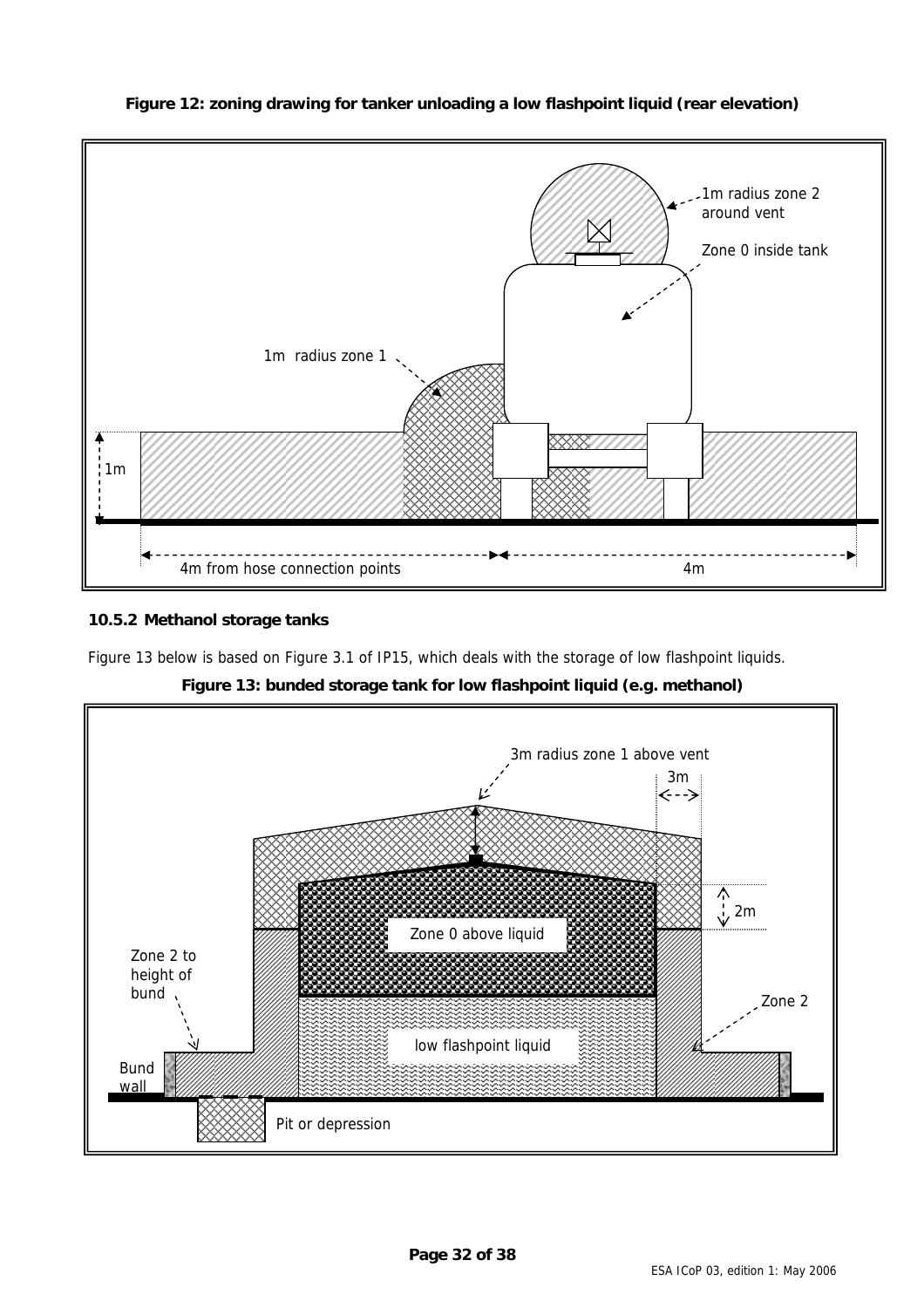<span id="page-31-0"></span>

### <span id="page-31-1"></span>**Figure 12: zoning drawing for tanker unloading a low flashpoint liquid (rear elevation)**

# **10.5.2 Methanol storage tanks**

Figure [13](#page-31-2) below is based on Figure 3.1 of IP15, which deals with the storage of low flashpoint liquids.

<span id="page-31-2"></span>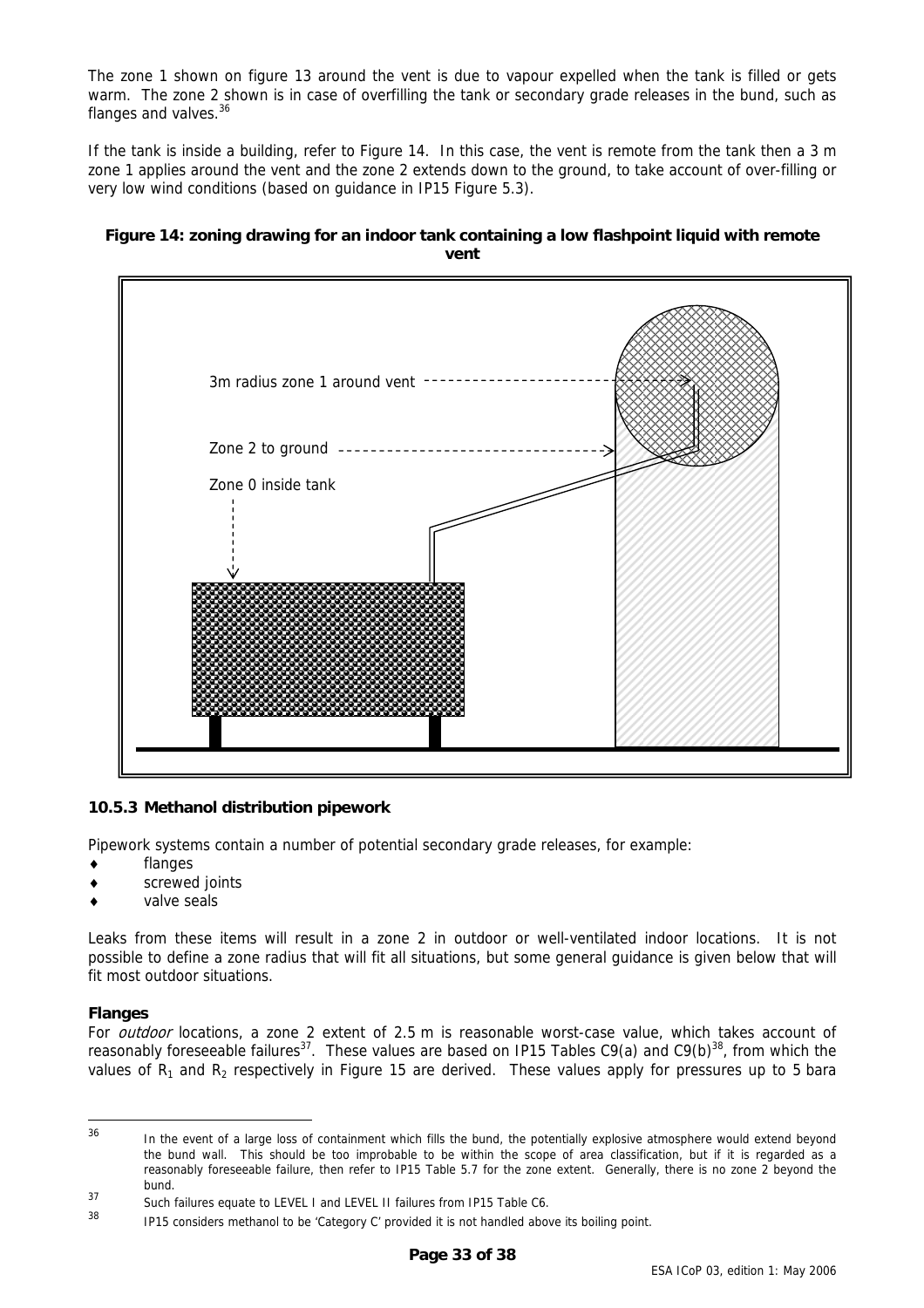<span id="page-32-0"></span>The zone 1 shown on figure [13](#page-31-2) around the vent is due to vapour expelled when the tank is filled or gets warm. The zone 2 shown is in case of overfilling the tank or secondary grade releases in the bund, such as flanges and valves.<sup>[36](#page-32-2)</sup>

If the tank is inside a building, refer to Figure [14.](#page-32-1) In this case, the vent is remote from the tank then a 3 m zone 1 applies around the vent and the zone 2 extends down to the ground, to take account of over-filling or very low wind conditions (based on guidance in IP15 Figure 5.3).

#### <span id="page-32-1"></span>**Figure 14: zoning drawing for an indoor tank containing a low flashpoint liquid with remote vent**



#### **10.5.3 Methanol distribution pipework**

Pipework systems contain a number of potential secondary grade releases, for example:

- flanges
- screwed joints
- valve seals

Leaks from these items will result in a zone 2 in outdoor or well-ventilated indoor locations. It is not possible to define a zone radius that will fit all situations, but some general guidance is given below that will fit most outdoor situations.

#### **Flanges**

For *outdoor* locations, a zone 2 extent of 2.5 m is reasonable worst-case value, which takes account of reasonably foreseeable failures<sup>37</sup>. These values are based on IP15 Tables C9(a) and C9(b)<sup>38</sup>, from which the values of  $R_1$  and  $R_2$  respectively in Figure [15](#page-33-1) are derived. These values apply for pressures up to 5 bara

<span id="page-32-2"></span>

<sup>&</sup>lt;sup>36</sup> In the event of a large loss of containment which fills the bund, the potentially explosive atmosphere would extend beyond the bund wall. This should be too improbable to be within the scope of area classification, but if it is regarded as a reasonably foreseeable failure, then refer to IP15 Table 5.7 for the zone extent. Generally, there is no zone 2 beyond the bund.

<span id="page-32-3"></span><sup>&</sup>lt;sup>37</sup> Such failures equate to LEVEL I and LEVEL II failures from IP15 Table C6.

<span id="page-32-4"></span>IP15 considers methanol to be 'Category C' provided it is not handled above its boiling point.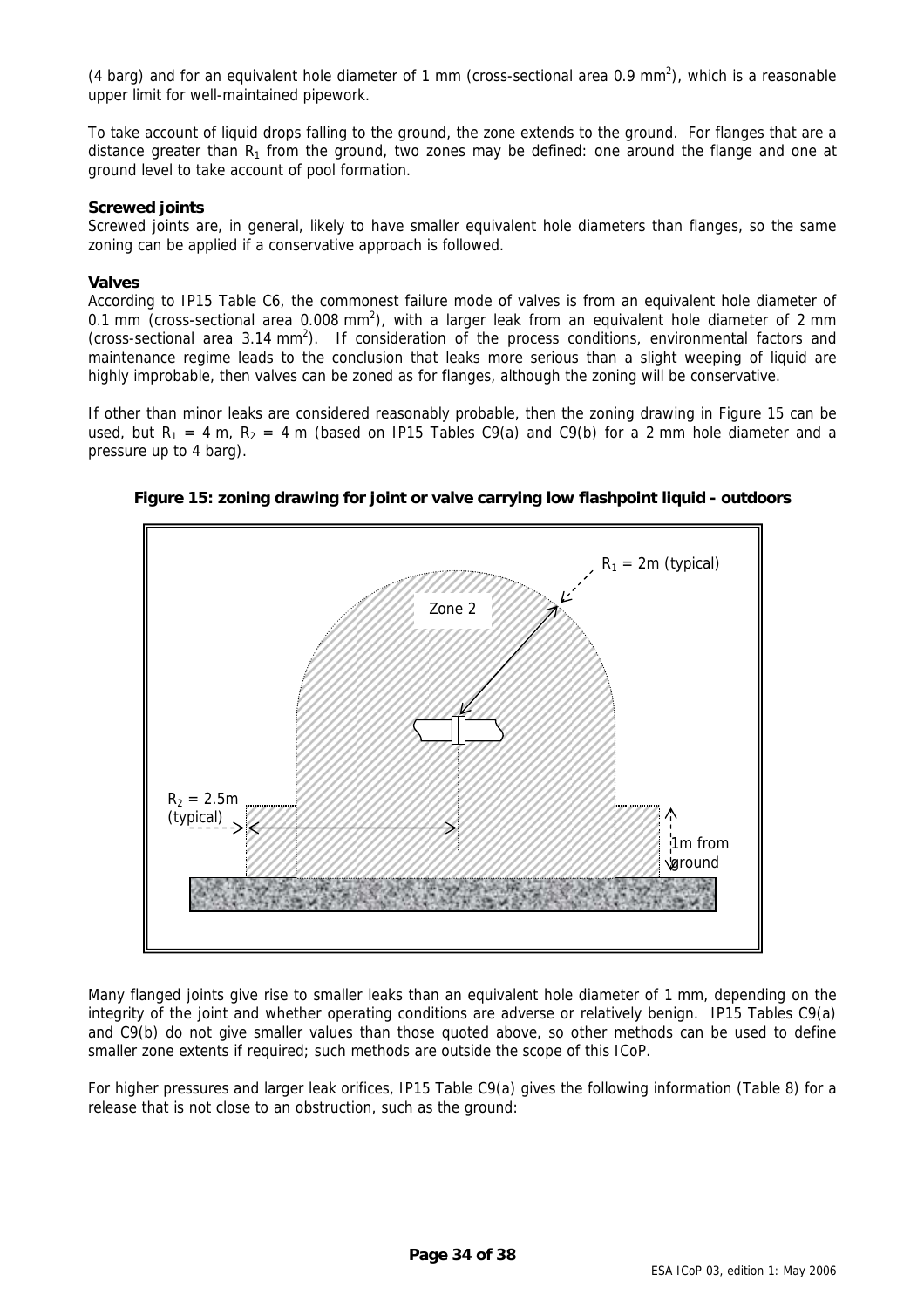<span id="page-33-0"></span>(4 barg) and for an equivalent hole diameter of 1 mm (cross-sectional area 0.9 mm<sup>2</sup>), which is a reasonable upper limit for well-maintained pipework.

To take account of liquid drops falling to the ground, the zone extends to the ground. For flanges that are a distance greater than  $R_1$  from the ground, two zones may be defined: one around the flange and one at ground level to take account of pool formation.

#### **Screwed joints**

Screwed joints are, in general, likely to have smaller equivalent hole diameters than flanges, so the same zoning can be applied if a conservative approach is followed.

#### **Valves**

According to IP15 Table C6, the commonest failure mode of valves is from an equivalent hole diameter of 0.1 mm (cross-sectional area 0.008 mm<sup>2</sup>), with a larger leak from an equivalent hole diameter of 2 mm (cross-sectional area  $3.14 \text{ mm}^2$ ). If consideration of the process conditions, environmental factors and maintenance regime leads to the conclusion that leaks more serious than a slight weeping of liquid are highly improbable, then valves can be zoned as for flanges, although the zoning will be conservative.

If other than minor leaks are considered reasonably probable, then the zoning drawing in Figure [15](#page-33-1) can be used, but  $R_1 = 4$  m,  $R_2 = 4$  m (based on IP15 Tables C9(a) and C9(b) for a 2 mm hole diameter and a pressure up to 4 barg).



<span id="page-33-1"></span>**Figure 15: zoning drawing for joint or valve carrying low flashpoint liquid - outdoors** 

Many flanged joints give rise to smaller leaks than an equivalent hole diameter of 1 mm, depending on the integrity of the joint and whether operating conditions are adverse or relatively benign. IP15 Tables C9(a) and C9(b) do not give smaller values than those quoted above, so other methods can be used to define smaller zone extents if required; such methods are outside the scope of this ICoP.

For higher pressures and larger leak orifices, IP15 Table C9(a) gives the following information (Table [8\)](#page-34-1) for a release that is not close to an obstruction, such as the ground: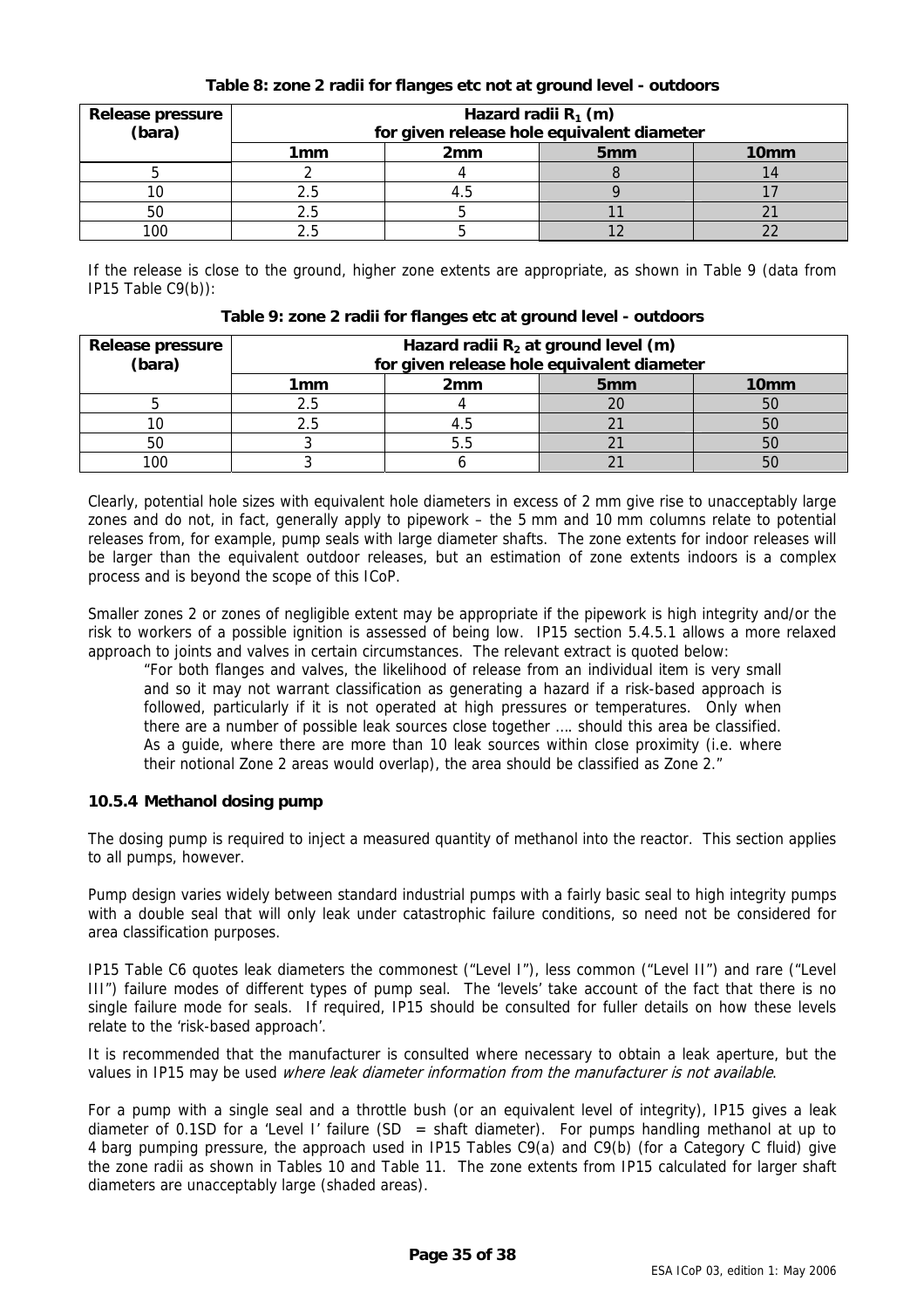<span id="page-34-0"></span>

| <b>Release pressure</b><br>(bara) |                 | Hazard radii $R_1$ (m)<br>for given release hole equivalent diameter |                 |                  |  |  |  |  |
|-----------------------------------|-----------------|----------------------------------------------------------------------|-----------------|------------------|--|--|--|--|
|                                   | 1 <sub>mm</sub> | 2 <sub>mm</sub>                                                      | 5 <sub>mm</sub> | 10 <sub>mm</sub> |  |  |  |  |
|                                   |                 |                                                                      |                 |                  |  |  |  |  |
|                                   |                 |                                                                      |                 |                  |  |  |  |  |
| 50                                |                 |                                                                      |                 |                  |  |  |  |  |
|                                   |                 |                                                                      |                 |                  |  |  |  |  |

<span id="page-34-1"></span>**Table 8: zone 2 radii for flanges etc not at ground level - outdoors** 

If the release is close to the ground, higher zone extents are appropriate, as shown in Table [9](#page-34-2) (data from IP15 Table C9(b)):

| <b>Release pressure</b><br>(bara) | Hazard radii $R_2$ at ground level (m)<br>for given release hole equivalent diameter |                 |                 |                  |  |  |  |
|-----------------------------------|--------------------------------------------------------------------------------------|-----------------|-----------------|------------------|--|--|--|
|                                   | 1mm                                                                                  | 2 <sub>mm</sub> | 5 <sub>mm</sub> | 10 <sub>mm</sub> |  |  |  |
|                                   |                                                                                      |                 |                 |                  |  |  |  |
|                                   | 2.5                                                                                  |                 |                 |                  |  |  |  |
| 50                                |                                                                                      |                 |                 |                  |  |  |  |
|                                   |                                                                                      |                 |                 |                  |  |  |  |

<span id="page-34-2"></span>**Table 9: zone 2 radii for flanges etc at ground level - outdoors** 

Clearly, potential hole sizes with equivalent hole diameters in excess of 2 mm give rise to unacceptably large zones and do not, in fact, generally apply to pipework – the 5 mm and 10 mm columns relate to potential releases from, for example, pump seals with large diameter shafts. The zone extents for indoor releases will be larger than the equivalent outdoor releases, but an estimation of zone extents indoors is a complex process and is beyond the scope of this ICoP.

Smaller zones 2 or zones of negligible extent may be appropriate if the pipework is high integrity and/or the risk to workers of a possible ignition is assessed of being low. IP15 section 5.4.5.1 allows a more relaxed approach to joints and valves in certain circumstances. The relevant extract is quoted below:

 "For both flanges and valves, the likelihood of release from an individual item is very small and so it may not warrant classification as generating a hazard if a risk-based approach is followed, particularly if it is not operated at high pressures or temperatures. Only when there are a number of possible leak sources close together …. should this area be classified. As a guide, where there are more than 10 leak sources within close proximity (i.e. where their notional Zone 2 areas would overlap), the area should be classified as Zone 2."

#### **10.5.4 Methanol dosing pump**

The dosing pump is required to inject a measured quantity of methanol into the reactor. This section applies to all pumps, however.

Pump design varies widely between standard industrial pumps with a fairly basic seal to high integrity pumps with a double seal that will only leak under catastrophic failure conditions, so need not be considered for area classification purposes.

IP15 Table C6 quotes leak diameters the commonest ("Level I"), less common ("Level II") and rare ("Level III") failure modes of different types of pump seal. The 'levels' take account of the fact that there is no single failure mode for seals. If required, IP15 should be consulted for fuller details on how these levels relate to the 'risk-based approach'.

It is recommended that the manufacturer is consulted where necessary to obtain a leak aperture, but the values in IP15 may be used where leak diameter information from the manufacturer is not available.

For a pump with a single seal and a throttle bush (or an equivalent level of integrity), IP15 gives a leak diameter of 0.1SD for a 'Level I' failure (SD = shaft diameter). For pumps handling methanol at up to 4 barg pumping pressure, the approach used in IP15 Tables C9(a) and C9(b) (for a Category C fluid) give the zone radii as shown in Tables [10 a](#page-35-1)nd [Table 11.](#page-35-2) The zone extents from IP15 calculated for larger shaft diameters are unacceptably large (shaded areas).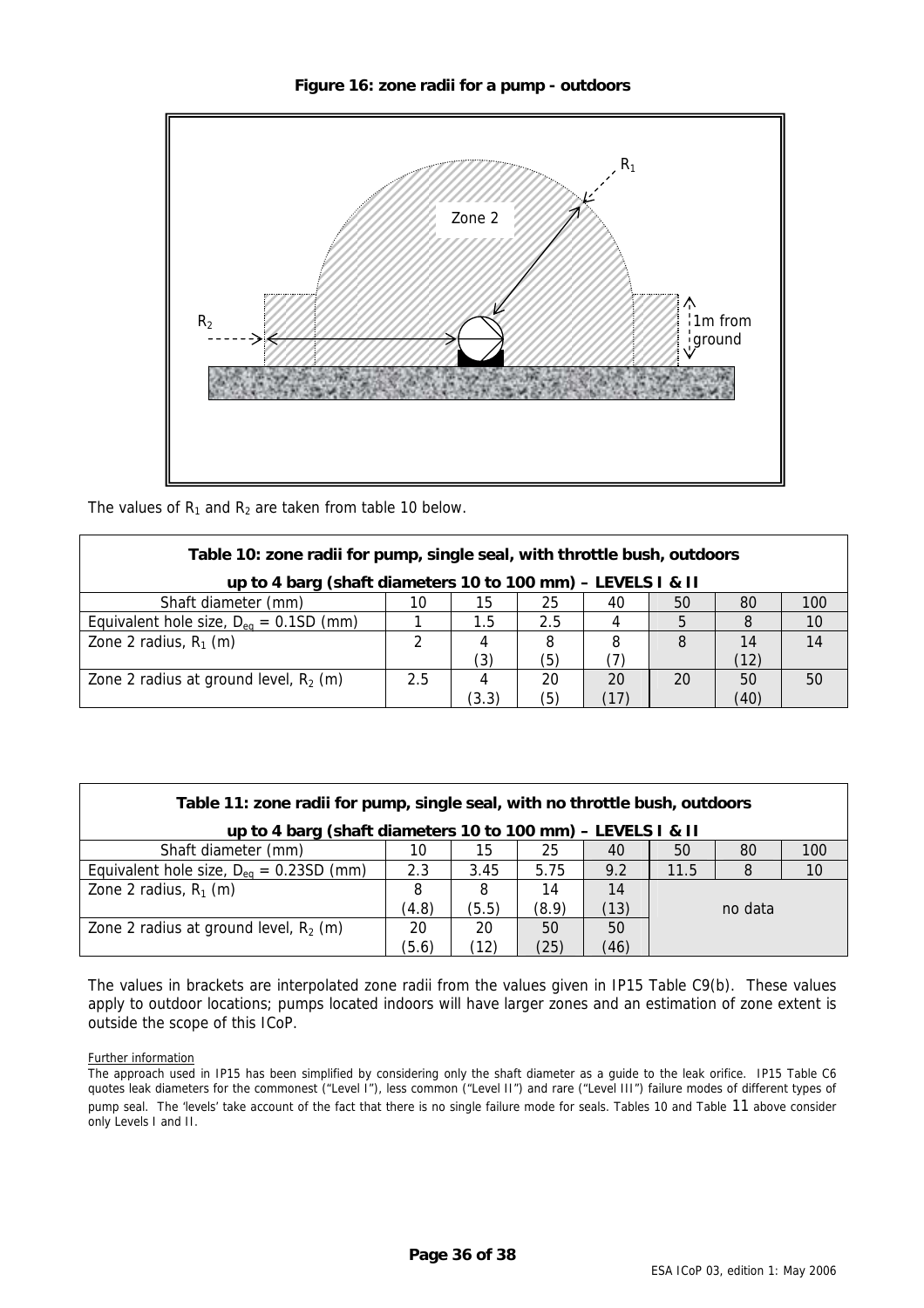

<span id="page-35-0"></span>

<span id="page-35-1"></span>The values of  $R_1$  and  $R_2$  are taken from table [10 b](#page-35-1)elow.

| Table 10: zone radii for pump, single seal, with throttle bush, outdoors |     |               |     |     |    |      |     |
|--------------------------------------------------------------------------|-----|---------------|-----|-----|----|------|-----|
| up to 4 barg (shaft diameters 10 to 100 mm) - LEVELS I & II              |     |               |     |     |    |      |     |
| Shaft diameter (mm)                                                      | 10  | 15            | 25  | 40  | 50 | 80   | 100 |
| Equivalent hole size, $D_{eq} = 0.1SD$ (mm)                              |     | $1.5^{\circ}$ | 2.5 |     | 5  |      | 10  |
| Zone 2 radius, $R_1$ (m)                                                 | 2   |               | 8   | 8   | 8  | 14   | 14  |
|                                                                          |     | (3)           | (5) |     |    | (12) |     |
| Zone 2 radius at ground level, $R_2$ (m)                                 | 2.5 |               | 20  | 20  | 20 | 50   | 50  |
|                                                                          |     | (3.3)         | (5) | (17 |    | (40) |     |

<span id="page-35-2"></span>

| Table 11: zone radii for pump, single seal, with no throttle bush, outdoors |       |       |       |      |      |         |     |
|-----------------------------------------------------------------------------|-------|-------|-------|------|------|---------|-----|
| up to 4 barg (shaft diameters 10 to 100 mm) - LEVELS I & II                 |       |       |       |      |      |         |     |
| Shaft diameter (mm)                                                         | 10    | 15    | 25    | 40   | 50   | 80      | 100 |
| Equivalent hole size, $D_{eq} = 0.23SD$ (mm)                                | 2.3   | 3.45  | 5.75  | 9.2  | 11.5 | 8       | 10  |
| Zone 2 radius, $R_1$ (m)                                                    | 8     | 8     | 14    | 14   |      |         |     |
|                                                                             | (4.8) | (5.5) | (8.9) | (13) |      | no data |     |
| Zone 2 radius at ground level, $R_2$ (m)                                    | 20    | 20    | 50    | 50   |      |         |     |
|                                                                             | (5.6) | (12)  | (25)  | (46) |      |         |     |

The values in brackets are interpolated zone radii from the values given in IP15 Table C9(b). These values apply to outdoor locations; pumps located indoors will have larger zones and an estimation of zone extent is outside the scope of this ICoP.

Further information

The approach used in IP15 has been simplified by considering only the shaft diameter as a guide to the leak orifice. IP15 Table C6 quotes leak diameters for the commonest ("Level I"), less common ("Level II") and rare ("Level III") failure modes of different types of pump seal. The 'levels' take account of the fact that there is no single failure mode for seals. Tables [10](#page-35-1) and [Table 11 a](#page-35-2)bove consider only Levels I and II.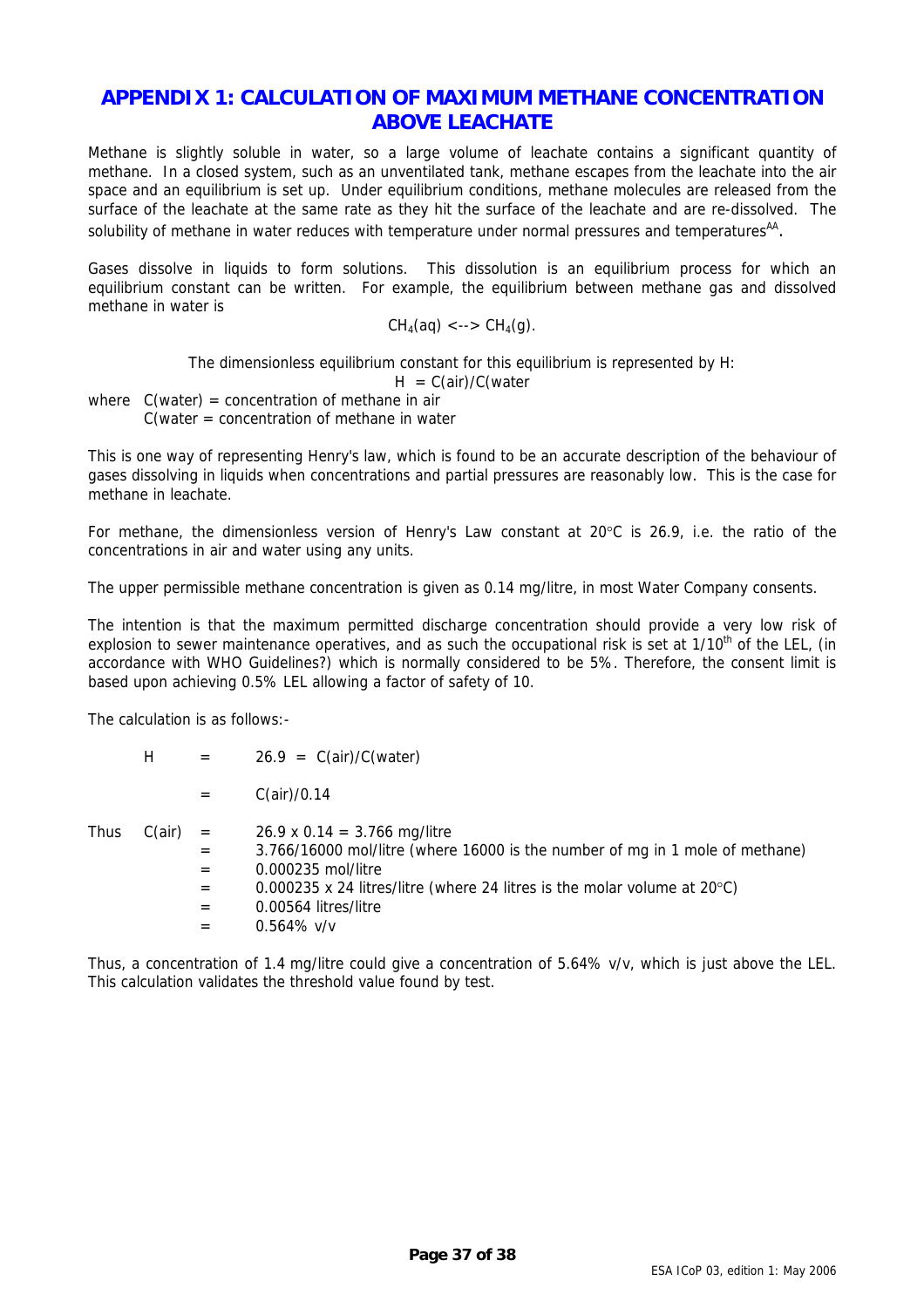# <span id="page-36-0"></span>**APPENDIX 1: CALCULATION OF MAXIMUM METHANE CONCENTRATION ABOVE LEACHATE**

Methane is slightly soluble in water, so a large volume of leachate contains a significant quantity of methane. In a closed system, such as an unventilated tank, methane escapes from the leachate into the air space and an equilibrium is set up. Under equilibrium conditions, methane molecules are released from the surface of the leachate at the same rate as they hit the surface of the leachate and are re-dissolved. The solubility of methane in water reduces with temperature under normal pressures and temperatures<sup>AA</sup>.

Gases dissolve in liquids to form solutions. This dissolution is an equilibrium process for which an equilibrium constant can be written. For example, the equilibrium between methane gas and dissolved methane in water is

$$
CH_4(aq) \leq -\geq CH_4(g).
$$

The dimensionless equilibrium constant for this equilibrium is represented by H:

 $H = C(air)/C(water)$ 

where  $C(water) = concentration of methane in air$ C(water = concentration of methane in water

This is one way of representing Henry's law, which is found to be an accurate description of the behaviour of gases dissolving in liquids when concentrations and partial pressures are reasonably low. This is the case for methane in leachate.

For methane, the dimensionless version of Henry's Law constant at 20°C is 26.9, i.e. the ratio of the concentrations in air and water using any units.

The upper permissible methane concentration is given as 0.14 mg/litre, in most Water Company consents.

The intention is that the maximum permitted discharge concentration should provide a very low risk of explosion to sewer maintenance operatives, and as such the occupational risk is set at  $1/10^{th}$  of the LEL, (in accordance with WHO Guidelines?) which is normally considered to be 5%. Therefore, the consent limit is based upon achieving 0.5% LEL allowing a factor of safety of 10.

The calculation is as follows:-

|      | H      | $=$                             | $26.9 = C-air)/C(water)$                                                                                                                                                                                                                                          |
|------|--------|---------------------------------|-------------------------------------------------------------------------------------------------------------------------------------------------------------------------------------------------------------------------------------------------------------------|
|      |        |                                 | C(air)/0.14                                                                                                                                                                                                                                                       |
| Thus | C(air) | $=$<br>$=$<br>$=$<br>$=$<br>$=$ | 26.9 x 0.14 = 3.766 mg/litre<br>3.766/16000 mol/litre (where 16000 is the number of mq in 1 mole of methane)<br>0.000235 mol/litre<br>0.000235 x 24 litres/litre (where 24 litres is the molar volume at $20^{\circ}$ C)<br>0.00564 litres/litre<br>$0.564\%$ v/v |

Thus, a concentration of 1.4 mg/litre could give a concentration of 5.64% v/v, which is just above the LEL. This calculation validates the threshold value found by test.